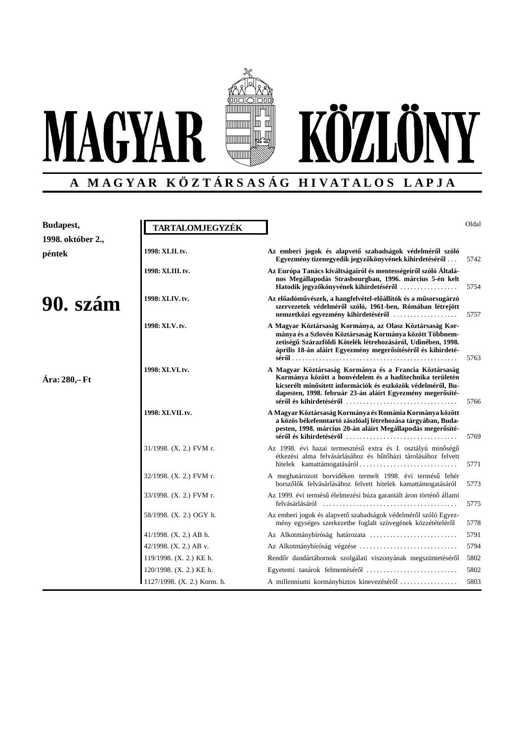

# **A M A G Y A R K Ö Z T Á R S A S Á G H I V A T A L O S L A P J A**

| Budapest,<br>1998. október 2., | TARTALOMJEGYZÉK             |                                                                                                                                                                                                                                                     | Oldal |
|--------------------------------|-----------------------------|-----------------------------------------------------------------------------------------------------------------------------------------------------------------------------------------------------------------------------------------------------|-------|
| péntek                         | 1998: XLII. tv.             | Az emberi jogok és alapvető szabadságok védelméről szóló<br>Egyezmény tizenegyedik jegyzőkönyvének kihirdetéséről.                                                                                                                                  | 5742  |
|                                | 1998: XLIII.tv.             | Az Európa Tanács kiváltságairól és mentességeiről szóló Általá-<br>nos Megállapodás Strasbourgban, 1996. március 5-én kelt<br>Hatodik jegyzőkönyvének kihirdetéséről                                                                                | 5754  |
| 90. szám                       | 1998: XLIV.tv.              | Az előadóművészek, a hangfelvétel-előállítók és a műsorsugárzó<br>szervezetek védelméről szóló, 1961-ben, Rómában létrejött                                                                                                                         | 5757  |
|                                | 1998: XLV.tv.               | A Magyar Köztársaság Kormánya, az Olasz Köztársaság Kor-<br>mánya és a Szlovén Köztársaság Kormánya között Többnem-<br>zetiségű Szárazföldi Kötelék létrehozásáról, Udinében, 1998.<br>április 18-án aláírt Egyezmény megerősítéséről és kihirdeté- | 5763  |
| Ára: 280,-Ft                   | 1998: XLVI.tv.              | A Magyar Köztársaság Kormánya és a Francia Köztársaság<br>Kormánya között a honvédelem és a haditechnika területén<br>kicserélt minősített információk és eszközök védelméről, Bu-<br>dapesten, 1998. február 23-án aláírt Egyezmény megerősíté-    | 5766  |
|                                | 1998: XLVII.tv.             | A Magyar Köztársaság Kormánya és Románia Kormánya között<br>a közös békefenntartó zászlóalj létrehozása tárgyában, Buda-<br>pesten, 1998. március 20-án aláírt Megállapodás megerősíté-                                                             | 5769  |
|                                | 31/1998. (X. 2.) FVM r.     | Az 1998. évi hazai termesztésű extra és I. osztályú minőségű<br>étkezési alma felvásárlásához és hűtőházi tárolásához felvett                                                                                                                       | 5771  |
|                                | 32/1998. (X. 2.) FVM r.     | A meghatározott borvidéken termelt 1998. évi termésű fehér<br>borszőlők felvásárlásához felvett hitelek kamattámogatásáról                                                                                                                          | 5773  |
|                                | 33/1998. (X. 2.) FVM r.     | Az 1999. évi termésű élelmezési búza garantált áron történő állami                                                                                                                                                                                  | 5775  |
|                                | 58/1998. (X. 2.) OGY h.     | Az emberi jogok és alapvető szabadságok védelméről szóló Egyez-<br>mény egységes szerkezetbe foglalt szövegének közzétételéről                                                                                                                      | 5778  |
|                                | 41/1998. $(X, 2)$ AB h.     |                                                                                                                                                                                                                                                     | 5791  |
|                                | 42/1998. (X. 2.) AB v.      | Az Alkotmánybíróság végzése                                                                                                                                                                                                                         | 5794  |
|                                | 119/1998. (X. 2.) KE h.     | Rendőr dandártábornok szolgálati viszonyának megszüntetéséről                                                                                                                                                                                       | 5802  |
|                                | 120/1998. (X. 2.) KE h.     | Egyetemi tanárok felmentéséről                                                                                                                                                                                                                      | 5802  |
|                                | 1127/1998. (X. 2.) Korm. h. | A millenniumi kormánybiztos kinevezéséről                                                                                                                                                                                                           | 5803  |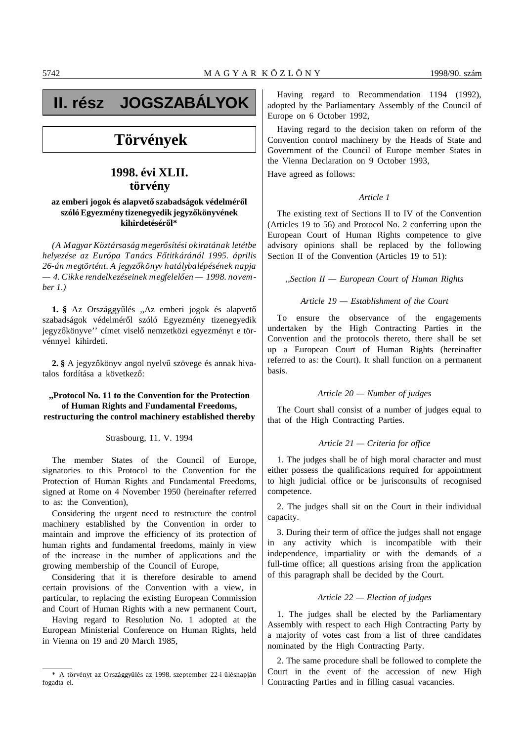# **II. rész JOGSZABÁLYOK**

# **Törvények**

# **1998. évi XLII. törvény**

# az emberi jogok és alapvető szabadságok védelméről szóló Egyezmény tizenegyedik jegyzőkönyvének kihirdetéséről\*

*(A Magyar Köztársaság meger´´osítési okiratának letétbe helyezése az Európa Tanács F´´otitkáránál 1995. április 26-án megtörtént. A jegyz´´okönyv hatálybalépésének napja*  $-4$ . Cikke rendelkezéseinek megfelelően — 1998. novem*ber 1.)*

1. § Az Országgyűlés "Az emberi jogok és alapvető szabadságok védelméről szóló Egyezmény tizenegyedik jegyzőkönyve'' címet viselő nemzetközi egyezményt e törvénnyel kihirdeti.

**2.** § A jegyzőkönyv angol nyelvű szövege és annak hivatalos fordítása a következő:

# **,,Protocol No. 11 to the Convention for the Protection of Human Rights and Fundamental Freedoms, restructuring the control machinery established thereby**

Strasbourg, 11. V. 1994

The member States of the Council of Europe, signatories to this Protocol to the Convention for the Protection of Human Rights and Fundamental Freedoms, signed at Rome on 4 November 1950 (hereinafter referred to as: the Convention),

Considering the urgent need to restructure the control machinery established by the Convention in order to maintain and improve the efficiency of its protection of human rights and fundamental freedoms, mainly in view of the increase in the number of applications and the growing membership of the Council of Europe,

Considering that it is therefore desirable to amend certain provisions of the Convention with a view, in particular, to replacing the existing European Commission and Court of Human Rights with a new permanent Court,

Having regard to Resolution No. 1 adopted at the European Ministerial Conference on Human Rights, held in Vienna on 19 and 20 March 1985,

Having regard to Recommendation 1194 (1992), adopted by the Parliamentary Assembly of the Council of Europe on 6 October 1992,

Having regard to the decision taken on reform of the Convention control machinery by the Heads of State and Government of the Council of Europe member States in the Vienna Declaration on 9 October 1993,

Have agreed as follows:

# *Article 1*

The existing text of Sections II to IV of the Convention (Articles 19 to 56) and Protocol No. 2 conferring upon the European Court of Human Rights competence to give advisory opinions shall be replaced by the following Section II of the Convention (Articles 19 to 51):

*,,Section II — European Court of Human Rights*

#### *Article 19 — Establishment of the Court*

To ensure the observance of the engagements undertaken by the High Contracting Parties in the Convention and the protocols thereto, there shall be set up a European Court of Human Rights (hereinafter referred to as: the Court). It shall function on a permanent basis.

# *Article 20 — Number of judges*

The Court shall consist of a number of judges equal to that of the High Contracting Parties.

# *Article 21 — Criteria for office*

1. The judges shall be of high moral character and must either possess the qualifications required for appointment to high judicial office or be jurisconsults of recognised competence.

2. The judges shall sit on the Court in their individual capacity.

3. During their term of office the judges shall not engage in any activity which is incompatible with their independence, impartiality or with the demands of a full-time office; all questions arising from the application of this paragraph shall be decided by the Court.

#### *Article 22 — Election of judges*

1. The judges shall be elected by the Parliamentary Assembly with respect to each High Contracting Party by a majority of votes cast from a list of three candidates nominated by the High Contracting Party.

2. The same procedure shall be followed to complete the Court in the event of the accession of new High Contracting Parties and in filling casual vacancies.

<sup>\*</sup> A törvényt az Országgyűlés az 1998. szeptember 22-i ülésnapján fogadta el.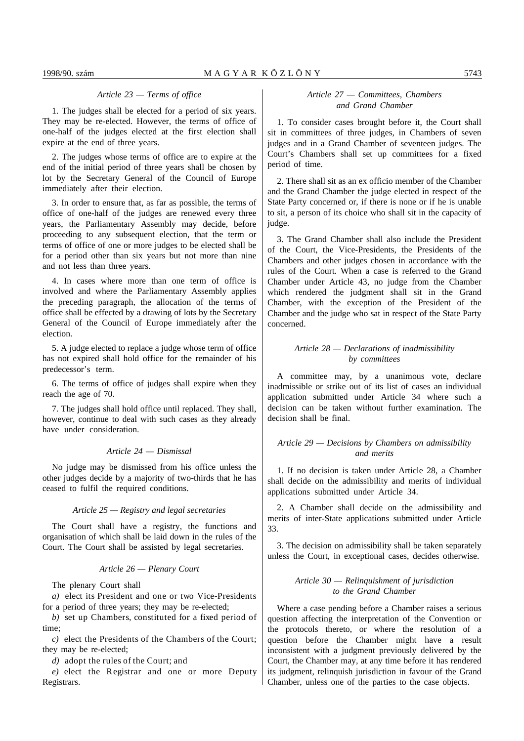## *Article 23 — Terms of office*

1. The judges shall be elected for a period of six years. They may be re-elected. However, the terms of office of one-half of the judges elected at the first election shall expire at the end of three years.

2. The judges whose terms of office are to expire at the end of the initial period of three years shall be chosen by lot by the Secretary General of the Council of Europe immediately after their election.

3. In order to ensure that, as far as possible, the terms of office of one-half of the judges are renewed every three years, the Parliamentary Assembly may decide, before proceeding to any subsequent election, that the term or terms of office of one or more judges to be elected shall be for a period other than six years but not more than nine and not less than three years.

4. In cases where more than one term of office is involved and where the Parliamentary Assembly applies the preceding paragraph, the allocation of the terms of office shall be effected by a drawing of lots by the Secretary General of the Council of Europe immediately after the election.

5. A judge elected to replace a judge whose term of office has not expired shall hold office for the remainder of his predecessor's term.

6. The terms of office of judges shall expire when they reach the age of 70.

7. The judges shall hold office until replaced. They shall, however, continue to deal with such cases as they already have under consideration.

# *Article 24 — Dismissal*

No judge may be dismissed from his office unless the other judges decide by a majority of two-thirds that he has ceased to fulfil the required conditions.

#### *Article 25 — Registry and legal secretaries*

The Court shall have a registry, the functions and organisation of which shall be laid down in the rules of the Court. The Court shall be assisted by legal secretaries.

#### *Article 26 — Plenary Court*

The plenary Court shall

*a)* elect its President and one or two Vice-Presidents for a period of three years; they may be re-elected;

*b)* set up Chambers, constituted for a fixed period of time;

*c)* elect the Presidents of the Chambers of the Court; they may be re-elected;

*d)* adopt the rules of the Court; and

*e)* elect the Registrar and one or more Deputy Registrars.

# *Article 27 — Committees, Chambers and Grand Chamber*

1. To consider cases brought before it, the Court shall sit in committees of three judges, in Chambers of seven judges and in a Grand Chamber of seventeen judges. The Court's Chambers shall set up committees for a fixed period of time.

2. There shall sit as an ex officio member of the Chamber and the Grand Chamber the judge elected in respect of the State Party concerned or, if there is none or if he is unable to sit, a person of its choice who shall sit in the capacity of judge.

3. The Grand Chamber shall also include the President of the Court, the Vice-Presidents, the Presidents of the Chambers and other judges chosen in accordance with the rules of the Court. When a case is referred to the Grand Chamber under Article 43, no judge from the Chamber which rendered the judgment shall sit in the Grand Chamber, with the exception of the President of the Chamber and the judge who sat in respect of the State Party concerned.

# *Article 28 — Declarations of inadmissibility by committees*

A committee may, by a unanimous vote, declare inadmissible or strike out of its list of cases an individual application submitted under Article 34 where such a decision can be taken without further examination. The decision shall be final.

# *Article 29 — Decisions by Chambers on admissibility and merits*

1. If no decision is taken under Article 28, a Chamber shall decide on the admissibility and merits of individual applications submitted under Article 34.

2. A Chamber shall decide on the admissibility and merits of inter-State applications submitted under Article 33.

3. The decision on admissibility shall be taken separately unless the Court, in exceptional cases, decides otherwise.

# *Article 30 — Relinquishment of jurisdiction to the Grand Chamber*

Where a case pending before a Chamber raises a serious question affecting the interpretation of the Convention or the protocols thereto, or where the resolution of a question before the Chamber might have a result inconsistent with a judgment previously delivered by the Court, the Chamber may, at any time before it has rendered its judgment, relinquish jurisdiction in favour of the Grand Chamber, unless one of the parties to the case objects.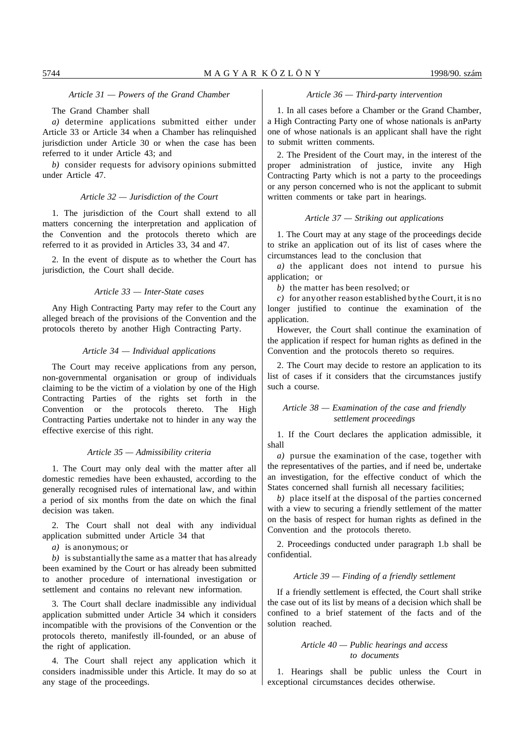*Article 31 — Powers of the Grand Chamber*

# The Grand Chamber shall

*a)* determine applications submitted either under Article 33 or Article 34 when a Chamber has relinquished jurisdiction under Article 30 or when the case has been referred to it under Article 43; and

*b)* consider requests for advisory opinions submitted under Article 47.

# *Article 32 — Jurisdiction of the Court*

1. The jurisdiction of the Court shall extend to all matters concerning the interpretation and application of the Convention and the protocols thereto which are referred to it as provided in Articles 33, 34 and 47.

2. In the event of dispute as to whether the Court has jurisdiction, the Court shall decide.

#### *Article 33 — Inter-State cases*

Any High Contracting Party may refer to the Court any alleged breach of the provisions of the Convention and the protocols thereto by another High Contracting Party.

# *Article 34 — Individual applications*

The Court may receive applications from any person, non-governmental organisation or group of individuals claiming to be the victim of a violation by one of the High Contracting Parties of the rights set forth in the Convention or the protocols thereto. The High Contracting Parties undertake not to hinder in any way the effective exercise of this right.

# *Article 35 — Admissibility criteria*

1. The Court may only deal with the matter after all domestic remedies have been exhausted, according to the generally recognised rules of international law, and within a period of six months from the date on which the final decision was taken.

2. The Court shall not deal with any individual application submitted under Article 34 that

*a)* is anonymous; or

*b)* is substantially the same as a matter that has already been examined by the Court or has already been submitted to another procedure of international investigation or settlement and contains no relevant new information.

3. The Court shall declare inadmissible any individual application submitted under Article 34 which it considers incompatible with the provisions of the Convention or the protocols thereto, manifestly ill-founded, or an abuse of the right of application.

4. The Court shall reject any application which it considers inadmissible under this Article. It may do so at any stage of the proceedings.

## *Article 36 — Third-party intervention*

1. In all cases before a Chamber or the Grand Chamber, a High Contracting Party one of whose nationals is anParty one of whose nationals is an applicant shall have the right to submit written comments.

2. The President of the Court may, in the interest of the proper administration of justice, invite any High Contracting Party which is not a party to the proceedings or any person concerned who is not the applicant to submit written comments or take part in hearings.

#### *Article 37 — Striking out applications*

1. The Court may at any stage of the proceedings decide to strike an application out of its list of cases where the circumstances lead to the conclusion that

*a)* the applicant does not intend to pursue his application; or

*b)* the matter has been resolved; or

*c)* for any other reason established by the Court, it is no longer justified to continue the examination of the application.

However, the Court shall continue the examination of the application if respect for human rights as defined in the Convention and the protocols thereto so requires.

2. The Court may decide to restore an application to its list of cases if it considers that the circumstances justify such a course.

# *Article 38 — Examination of the case and friendly settlement proceedings*

1. If the Court declares the application admissible, it shall

*a)* pursue the examination of the case, together with the representatives of the parties, and if need be, undertake an investigation, for the effective conduct of which the States concerned shall furnish all necessary facilities;

*b)* place itself at the disposal of the parties concerned with a view to securing a friendly settlement of the matter on the basis of respect for human rights as defined in the Convention and the protocols thereto.

2. Proceedings conducted under paragraph 1.b shall be confidential.

# *Article 39 — Finding of a friendly settlement*

If a friendly settlement is effected, the Court shall strike the case out of its list by means of a decision which shall be confined to a brief statement of the facts and of the solution reached.

# *Article 40 — Public hearings and access to documents*

1. Hearings shall be public unless the Court in exceptional circumstances decides otherwise.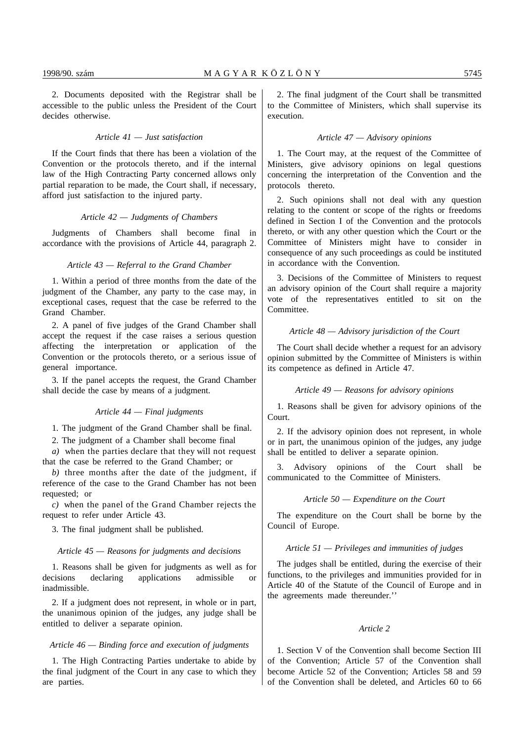2. Documents deposited with the Registrar shall be accessible to the public unless the President of the Court decides otherwise.

# *Article 41 — Just satisfaction*

If the Court finds that there has been a violation of the Convention or the protocols thereto, and if the internal law of the High Contracting Party concerned allows only partial reparation to be made, the Court shall, if necessary, afford just satisfaction to the injured party.

# *Article 42 — Judgments of Chambers*

Judgments of Chambers shall become final in accordance with the provisions of Article 44, paragraph 2.

# *Article 43 — Referral to the Grand Chamber*

1. Within a period of three months from the date of the judgment of the Chamber, any party to the case may, in exceptional cases, request that the case be referred to the Grand Chamber.

2. A panel of five judges of the Grand Chamber shall accept the request if the case raises a serious question affecting the interpretation or application of the Convention or the protocols thereto, or a serious issue of general importance.

3. If the panel accepts the request, the Grand Chamber shall decide the case by means of a judgment.

#### *Article 44 — Final judgments*

1. The judgment of the Grand Chamber shall be final.

2. The judgment of a Chamber shall become final

*a)* when the parties declare that they will not request that the case be referred to the Grand Chamber; or

*b)* three months after the date of the judgment, if reference of the case to the Grand Chamber has not been requested; or

*c)* when the panel of the Grand Chamber rejects the request to refer under Article 43.

3. The final judgment shall be published.

#### *Article 45 — Reasons for judgments and decisions*

1. Reasons shall be given for judgments as well as for decisions declaring applications admissible or inadmissible.

2. If a judgment does not represent, in whole or in part, the unanimous opinion of the judges, any judge shall be entitled to deliver a separate opinion.

# *Article 46 — Binding force and execution of judgments*

1. The High Contracting Parties undertake to abide by the final judgment of the Court in any case to which they are parties.

2. The final judgment of the Court shall be transmitted to the Committee of Ministers, which shall supervise its execution.

#### *Article 47 — Advisory opinions*

1. The Court may, at the request of the Committee of Ministers, give advisory opinions on legal questions concerning the interpretation of the Convention and the protocols thereto.

2. Such opinions shall not deal with any question relating to the content or scope of the rights or freedoms defined in Section I of the Convention and the protocols thereto, or with any other question which the Court or the Committee of Ministers might have to consider in consequence of any such proceedings as could be instituted in accordance with the Convention.

3. Decisions of the Committee of Ministers to request an advisory opinion of the Court shall require a majority vote of the representatives entitled to sit on the Committee.

# *Article 48 — Advisory jurisdiction of the Court*

The Court shall decide whether a request for an advisory opinion submitted by the Committee of Ministers is within its competence as defined in Article 47.

# *Article 49 — Reasons for advisory opinions*

1. Reasons shall be given for advisory opinions of the Court.

2. If the advisory opinion does not represent, in whole or in part, the unanimous opinion of the judges, any judge shall be entitled to deliver a separate opinion.

3. Advisory opinions of the Court shall be communicated to the Committee of Ministers.

# *Article 50 — Expenditure on the Court*

The expenditure on the Court shall be borne by the Council of Europe.

#### *Article 51 — Privileges and immunities of judges*

The judges shall be entitled, during the exercise of their functions, to the privileges and immunities provided for in Article 40 of the Statute of the Council of Europe and in the agreements made thereunder.''

#### *Article 2*

1. Section V of the Convention shall become Section III of the Convention; Article 57 of the Convention shall become Article 52 of the Convention; Articles 58 and 59 of the Convention shall be deleted, and Articles 60 to 66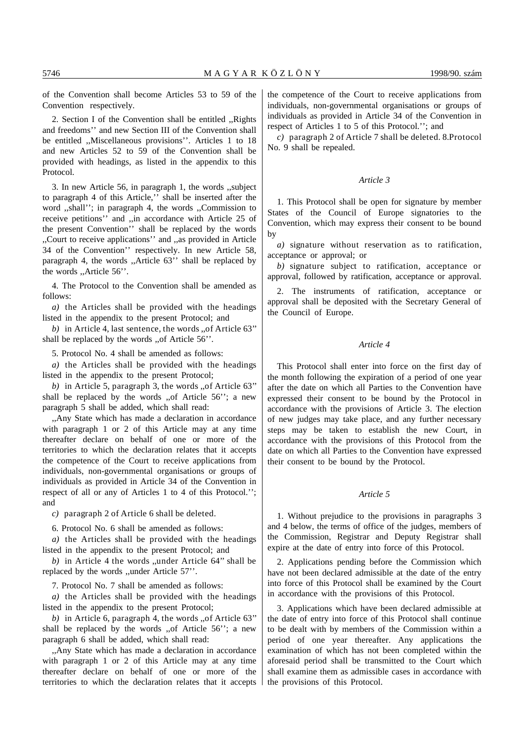2. Section I of the Convention shall be entitled ,,Rights and freedoms'' and new Section III of the Convention shall be entitled ,,Miscellaneous provisions''. Articles 1 to 18 and new Articles 52 to 59 of the Convention shall be provided with headings, as listed in the appendix to this Protocol.

3. In new Article 56, in paragraph 1, the words ,,subject to paragraph 4 of this Article,'' shall be inserted after the word ,,shall''; in paragraph 4, the words ,,Commission to receive petitions'' and ,,in accordance with Article 25 of the present Convention'' shall be replaced by the words ,,Court to receive applications'' and ,,as provided in Article 34 of the Convention'' respectively. In new Article 58, paragraph 4, the words ,,Article 63'' shall be replaced by the words ,,Article 56''.

4. The Protocol to the Convention shall be amended as follows:

*a)* the Articles shall be provided with the headings listed in the appendix to the present Protocol; and

*b)* in Article 4, last sentence, the words ,,of Article 63'' shall be replaced by the words ,,of Article 56''.

5. Protocol No. 4 shall be amended as follows:

*a)* the Articles shall be provided with the headings listed in the appendix to the present Protocol;

*b)* in Article 5, paragraph 3, the words ,,of Article 63'' shall be replaced by the words ,,of Article 56''; a new paragraph 5 shall be added, which shall read:

,,Any State which has made a declaration in accordance with paragraph 1 or 2 of this Article may at any time thereafter declare on behalf of one or more of the territories to which the declaration relates that it accepts the competence of the Court to receive applications from individuals, non-governmental organisations or groups of individuals as provided in Article 34 of the Convention in respect of all or any of Articles 1 to 4 of this Protocol.''; and

*c)* paragraph 2 of Article 6 shall be deleted.

6. Protocol No. 6 shall be amended as follows:

*a)* the Articles shall be provided with the headings listed in the appendix to the present Protocol; and

*b)* in Article 4 the words ,,under Article 64'' shall be replaced by the words ,,under Article 57''.

7. Protocol No. 7 shall be amended as follows:

*a)* the Articles shall be provided with the headings listed in the appendix to the present Protocol;

*b)* in Article 6, paragraph 4, the words ,,of Article 63'' shall be replaced by the words ,,of Article 56''; a new paragraph 6 shall be added, which shall read:

,,Any State which has made a declaration in accordance with paragraph 1 or 2 of this Article may at any time thereafter declare on behalf of one or more of the territories to which the declaration relates that it accepts the competence of the Court to receive applications from individuals, non-governmental organisations or groups of individuals as provided in Article 34 of the Convention in respect of Articles 1 to 5 of this Protocol.''; and

*c)* paragraph 2 of Article 7 shall be deleted. 8.Protocol No. 9 shall be repealed.

# *Article 3*

1. This Protocol shall be open for signature by member States of the Council of Europe signatories to the Convention, which may express their consent to be bound by

*a)* signature without reservation as to ratification, acceptance or approval; or

*b)* signature subject to ratification, acceptance or approval, followed by ratification, acceptance or approval.

2. The instruments of ratification, acceptance or approval shall be deposited with the Secretary General of the Council of Europe.

# *Article 4*

This Protocol shall enter into force on the first day of the month following the expiration of a period of one year after the date on which all Parties to the Convention have expressed their consent to be bound by the Protocol in accordance with the provisions of Article 3. The election of new judges may take place, and any further necessary steps may be taken to establish the new Court, in accordance with the provisions of this Protocol from the date on which all Parties to the Convention have expressed their consent to be bound by the Protocol.

# *Article 5*

1. Without prejudice to the provisions in paragraphs 3 and 4 below, the terms of office of the judges, members of the Commission, Registrar and Deputy Registrar shall expire at the date of entry into force of this Protocol.

2. Applications pending before the Commission which have not been declared admissible at the date of the entry into force of this Protocol shall be examined by the Court in accordance with the provisions of this Protocol.

3. Applications which have been declared admissible at the date of entry into force of this Protocol shall continue to be dealt with by members of the Commission within a period of one year thereafter. Any applications the examination of which has not been completed within the aforesaid period shall be transmitted to the Court which shall examine them as admissible cases in accordance with the provisions of this Protocol.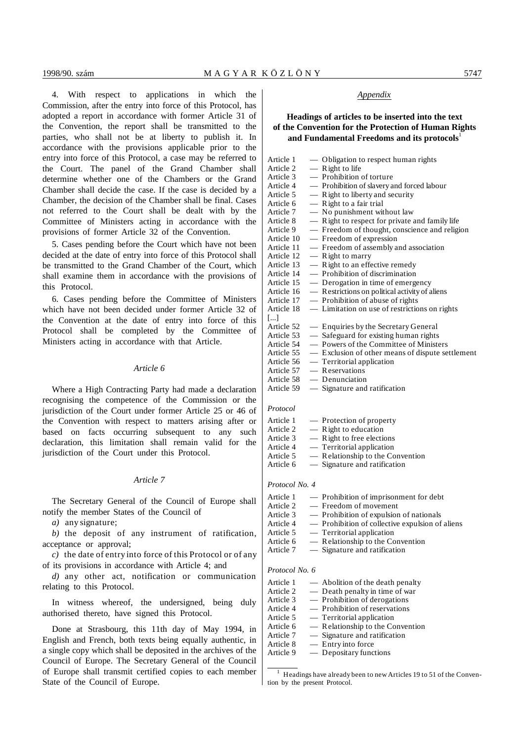4. With respect to applications in which the Commission, after the entry into force of this Protocol, has adopted a report in accordance with former Article 31 of the Convention, the report shall be transmitted to the parties, who shall not be at liberty to publish it. In accordance with the provisions applicable prior to the entry into force of this Protocol, a case may be referred to the Court. The panel of the Grand Chamber shall determine whether one of the Chambers or the Grand Chamber shall decide the case. If the case is decided by a Chamber, the decision of the Chamber shall be final. Cases not referred to the Court shall be dealt with by the Committee of Ministers acting in accordance with the provisions of former Article 32 of the Convention.

5. Cases pending before the Court which have not been decided at the date of entry into force of this Protocol shall be transmitted to the Grand Chamber of the Court, which shall examine them in accordance with the provisions of this Protocol.

6. Cases pending before the Committee of Ministers which have not been decided under former Article 32 of the Convention at the date of entry into force of this Protocol shall be completed by the Committee of Ministers acting in accordance with that Article.

# *Article 6*

Where a High Contracting Party had made a declaration recognising the competence of the Commission or the jurisdiction of the Court under former Article 25 or 46 of the Convention with respect to matters arising after or based on facts occurring subsequent to any such declaration, this limitation shall remain valid for the jurisdiction of the Court under this Protocol.

# *Article 7*

The Secretary General of the Council of Europe shall notify the member States of the Council of

*a)* any signature;

*b)* the deposit of any instrument of ratification, acceptance or approval;

*c)* the date of entry into force of this Protocol or of any of its provisions in accordance with Article 4; and

*d)* any other act, notification or communication relating to this Protocol.

In witness whereof, the undersigned, being duly authorised thereto, have signed this Protocol.

Done at Strasbourg, this 11th day of May 1994, in English and French, both texts being equally authentic, in a single copy which shall be deposited in the archives of the Council of Europe. The Secretary General of the Council of Europe shall transmit certified copies to each member State of the Council of Europe.

# *Appendix*

# **Headings of articles to be inserted into the text of the Convention for the Protection of Human Rights** and Fundamental Freedoms and its protocols<sup>1</sup>

| Article 1             | — Obligation to respect human rights             |
|-----------------------|--------------------------------------------------|
| Article 2             | $-$ Right to life                                |
| Article 3             | — Prohibition of torture                         |
| Article 4             | - Prohibition of slavery and forced labour       |
| Article 5             | - Right to liberty and security                  |
| Article 6             | — Right to a fair trial                          |
| Article 7             | - No punishment without law                      |
| Article 8             | - Right to respect for private and family life   |
| Article 9             | - Freedom of thought, conscience and religion    |
| Article 10            | - Freedom of expression                          |
| Article 11            | - Freedom of assembly and association            |
| Article 12            | $-$ Right to marry                               |
| Article 13            | - Right to an effective remedy                   |
| Article 14            | — Prohibition of discrimination                  |
| Article 15            | — Derogation in time of emergency                |
| Article 16            | — Restrictions on political activity of aliens   |
| Article 17            | - Prohibition of abuse of rights                 |
| Article 18            | - Limitation on use of restrictions on rights    |
| $\left[\ldots\right]$ |                                                  |
| Article 52            | — Enquiries by the Secretary General             |
| Article 53            | — Safeguard for existing human rights            |
| Article 54            | - Powers of the Committee of Ministers           |
| Article 55            | - Exclusion of other means of dispute settlement |
| Article 56            | $-$ Territorial application                      |
| Article 57            | $-$ Reservations                                 |
| Article 58            | — Denunciation                                   |
| Article 59            | — Signature and ratification                     |
|                       |                                                  |

#### *Protocol*

| Article 1 | - Protection of property         |
|-----------|----------------------------------|
| Article 2 | — Right to education             |
| Article 3 | $-$ Right to free elections      |
| Article 4 | $-$ Territorial application      |
| Article 5 | — Relationship to the Convention |
| Article 6 | — Signature and ratification     |

## *Protocol No. 4*

| Article 1 | - Prohibition of imprisonment for debt          |
|-----------|-------------------------------------------------|
| Article 2 | — Freedom of movement                           |
| Article 3 | — Prohibition of expulsion of nationals         |
| Article 4 | - Prohibition of collective expulsion of aliens |
| Article 5 | — Territorial application                       |
| Article 6 | $-$ Relationship to the Convention              |
| Article 7 | - Signature and ratification                    |
|           |                                                 |

#### *Protocol No. 6*

| — Abolition of the death penalty |
|----------------------------------|
| - Death penalty in time of war   |
| - Prohibition of derogations     |
| - Prohibition of reservations    |
| — Territorial application        |
| — Relationship to the Convention |
| — Signature and ratification     |
| — Entry into force               |
| $-$ Depositary functions         |
|                                  |

<sup>&</sup>lt;sup>1</sup> Headings have already been to new Articles 19 to 51 of the Convention by the present Protocol.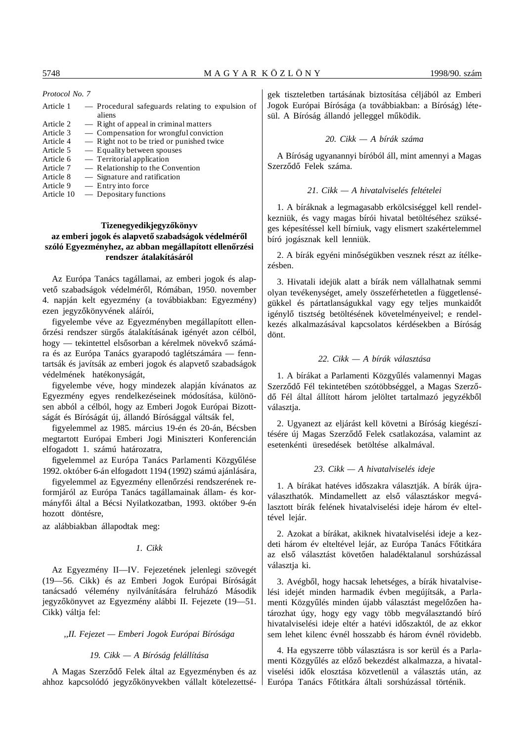*Protocol No. 7*

| Article 1  | - Procedural safeguards relating to expulsion of |
|------------|--------------------------------------------------|
|            | aliens                                           |
| Article 2  | — Right of appeal in criminal matters            |
| Article 3  | — Compensation for wrongful conviction           |
| Article 4  | - Right not to be tried or punished twice        |
| Article 5  | — Equality between spouses                       |
| Article 6  | — Territorial application                        |
| Article 7  | — Relationship to the Convention                 |
| Article 8  | — Signature and ratification                     |
| Article 9  | — Entry into force                               |
| Article 10 | $\sim$ Depositary functions                      |

# **Tizenegyedikjegyzőkönyv** az emberi jogok és alapvető szabadságok védelméről szóló Egyezményhez, az abban megállapított ellenőrzési **rendszer átalakításáról**

Az Európa Tanács tagállamai, az emberi jogok és alapvető szabadságok védelméről, Rómában, 1950. november 4. napján kelt egyezmény (a továbbiakban: Egyezmény) ezen jegyzőkönyvének aláírói,

figyelembe véve az Egyezményben megállapított ellenőrzési rendszer sürgős átalakításának igényét azon célból, hogy — tekintettel elsősorban a kérelmek növekvő számára és az Európa Tanács gyarapodó taglétszámára — fenntartsák és javítsák az emberi jogok és alapvető szabadságok védelmének hatékonyságát,

figyelembe véve, hogy mindezek alapján kívánatos az Egyezmény egyes rendelkezéseinek módosítása, különösen abból a célból, hogy az Emberi Jogok Európai Bizottságát és Bíróságát új, állandó Bírósággal váltsák fel,

figyelemmel az 1985. március 19-én és 20-án, Bécsben megtartott Európai Emberi Jogi Miniszteri Konferencián elfogadott 1. számú határozatra,

figyelemmel az Európa Tanács Parlamenti Közgyűlése 1992. október 6-án elfogadott 1194 (1992) számú ajánlására,

figyelemmel az Egyezmény ellenőrzési rendszerének reformjáról az Európa Tanács tagállamainak állam- és kormányfői által a Bécsi Nyilatkozatban, 1993. október 9-én hozott döntésre,

az alábbiakban állapodtak meg:

#### *1. Cikk*

Az Egyezmény II—IV. Fejezetének jelenlegi szövegét (19—56. Cikk) és az Emberi Jogok Európai Bíróságát tanácsadó vélemény nyilvánítására felruházó Második jegyzőkönyvet az Egyezmény alábbi II. Fejezete (19-51. Cikk) váltja fel:

# *,,II. Fejezet — Emberi Jogok Európai Bírósága*

# *19. Cikk — A Bíróság felállítása*

A Magas Szerződő Felek által az Egyezményben és az ahhoz kapcsolódó jegyzőkönyvekben vállalt kötelezettségek tiszteletben tartásának biztosítása céljából az Emberi Jogok Európai Bírósága (a továbbiakban: a Bíróság) létesül. A Bíróság állandó jelleggel működik.

# *20. Cikk — A bírák száma*

A Bíróság ugyanannyi bíróból áll, mint amennyi a Magas Szerződő Felek száma.

# *21. Cikk — A hivatalviselés feltételei*

1. A bíráknak a legmagasabb erkölcsiséggel kell rendelkezniük, és vagy magas bírói hivatal betöltéséhez szükséges képesítéssel kell bírniuk, vagy elismert szakértelemmel bíró jogásznak kell lenniük.

2. A bírák egyéni minőségükben vesznek részt az ítélkezésben.

3. Hivatali idejük alatt a bírák nem vállalhatnak semmi olyan tevékenységet, amely összeférhetetlen a függetlenségükkel és pártatlanságukkal vagy egy teljes munkaidőt igénylő tisztség betöltésének követelményeivel; e rendelkezés alkalmazásával kapcsolatos kérdésekben a Bíróság dönt.

# *22. Cikk — A bírák választása*

1. A bírákat a Parlamenti Közgyűlés valamennyi Magas Szerződő Fél tekintetében szótöbbséggel, a Magas Szerződő Fél által állított három jelöltet tartalmazó jegyzékből választja.

2. Ugyanezt az eljárást kell követni a Bíróság kiegészítésére új Magas Szerződő Felek csatlakozása, valamint az esetenkénti üresedések betöltése alkalmával.

# *23. Cikk — A hivatalviselés ideje*

1. A bírákat hatéves időszakra választják. A bírák újraválaszthatók. Mindamellett az első választáskor megválasztott bírák felének hivatalviselési ideje három év elteltével lejár.

2. Azokat a bírákat, akiknek hivatalviselési ideje a kezdeti három év elteltével lejár, az Európa Tanács Főtitkára az első választást követően haladéktalanul sorshúzással választja ki.

3. Avégből, hogy hacsak lehetséges, a bírák hivatalviselési idejét minden harmadik évben megújítsák, a Parlamenti Közgyűlés minden újabb választást megelőzően határozhat úgy, hogy egy vagy több megválasztandó bíró hivatalviselési ideje eltér a hatévi időszaktól, de az ekkor sem lehet kilenc évnél hosszabb és három évnél rövidebb.

4. Ha egyszerre több választásra is sor kerül és a Parlamenti Közgyűlés az előző bekezdést alkalmazza, a hivatalviselési idők elosztása közvetlenül a választás után, az Európa Tanács Főtitkára általi sorshúzással történik.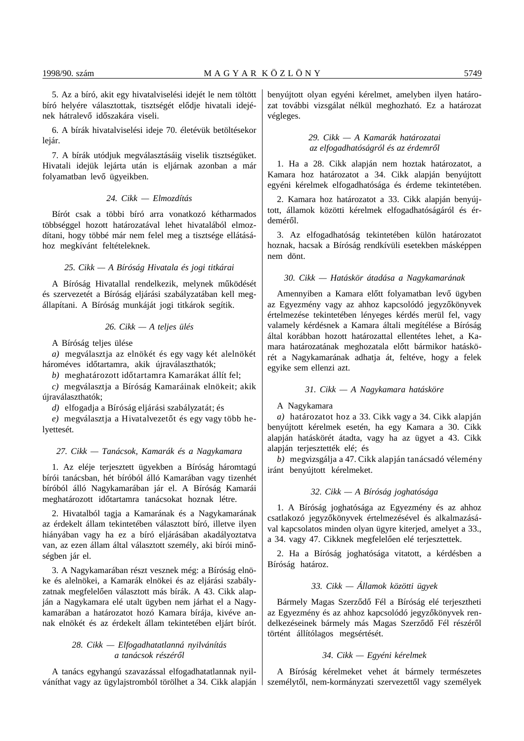5. Az a bíró, akit egy hivatalviselési idejét le nem töltött bíró helyére választottak, tisztségét elődje hivatali idejének hátralevő időszakára viseli.

6. A bírák hivatalviselési ideje 70. életévük betöltésekor lejár.

7. A bírák utódjuk megválasztásáig viselik tisztségüket. Hivatali idejük lejárta után is eljárnak azonban a már folyamatban levő ügyeikben.

# *24. Cikk — Elmozdítás*

Bírót csak a többi bíró arra vonatkozó kétharmados többséggel hozott határozatával lehet hivatalából elmozdítani, hogy többé már nem felel meg a tisztsége ellátásához megkívánt feltételeknek.

# *25. Cikk — A Bíróság Hivatala és jogi titkárai*

A Bíróság Hivatallal rendelkezik, melynek működését és szervezetét a Bíróság eljárási szabályzatában kell megállapítani. A Bíróság munkáját jogi titkárok segítik.

# *26. Cikk — A teljes ülés*

A Bíróság teljes ülése

*a)* megválasztja az elnökét és egy vagy két alelnökét hároméves időtartamra, akik újraválaszthatók;

*b*) meghatározott időtartamra Kamarákat állít fel;

*c)* megválasztja a Bíróság Kamaráinak elnökeit; akik újraválaszthatók;

*d)* elfogadja a Bíróság eljárási szabályzatát; és

*e*) megválasztja a Hivatalvezetőt és egy vagy több helyettesét.

## *27. Cikk — Tanácsok, Kamarák és a Nagykamara*

1. Az eléje terjesztett ügyekben a Bíróság háromtagú bírói tanácsban, hét bíróból álló Kamarában vagy tizenhét bíróból álló Nagykamarában jár el. A Bíróság Kamarái meghatározott időtartamra tanácsokat hoznak létre.

2. Hivatalból tagja a Kamarának és a Nagykamarának az érdekelt állam tekintetében választott bíró, illetve ilyen hiányában vagy ha ez a bíró eljárásában akadályoztatva van, az ezen állam által választott személy, aki bírói minőségben jár el.

3. A Nagykamarában részt vesznek még: a Bíróság elnöke és alelnökei, a Kamarák elnökei és az eljárási szabályzatnak megfelelően választott más bírák. A 43. Cikk alapján a Nagykamara elé utalt ügyben nem járhat el a Nagykamarában a határozatot hozó Kamara bírája, kivéve annak elnökét és az érdekelt állam tekintetében eljárt bírót.

# *28. Cikk — Elfogadhatatlanná nyilvánítás a tanácsok részér´´ol*

A tanács egyhangú szavazással elfogadhatatlannak nyilváníthat vagy az ügylajstromból törölhet a 34. Cikk alapján benyújtott olyan egyéni kérelmet, amelyben ilyen határozat további vizsgálat nélkül meghozható. Ez a határozat végleges.

# *29. Cikk — A Kamarák határozatai az elfogadhatóságról és az érdemr´´ol*

1. Ha a 28. Cikk alapján nem hoztak határozatot, a Kamara hoz határozatot a 34. Cikk alapján benyújtott egyéni kérelmek elfogadhatósága és érdeme tekintetében.

2. Kamara hoz határozatot a 33. Cikk alapján benyújtott, államok közötti kérelmek elfogadhatóságáról és érdeméről.

3. Az elfogadhatóság tekintetében külön határozatot hoznak, hacsak a Bíróság rendkívüli esetekben másképpen nem dönt.

### *30. Cikk — Hatáskör átadása a Nagykamarának*

Amennyiben a Kamara előtt folyamatban levő ügyben az Egyezmény vagy az ahhoz kapcsolódó jegyzőkönyvek értelmezése tekintetében lényeges kérdés merül fel, vagy valamely kérdésnek a Kamara általi megítélése a Bíróság által korábban hozott határozattal ellentétes lehet, a Kamara határozatának meghozatala előtt bármikor hatáskörét a Nagykamarának adhatja át, feltéve, hogy a felek egyike sem ellenzi azt.

#### *31. Cikk — A Nagykamara hatásköre*

A Nagykamara

*a)* határozatot hoz a 33. Cikk vagy a 34. Cikk alapján benyújtott kérelmek esetén, ha egy Kamara a 30. Cikk alapján hatáskörét átadta, vagy ha az ügyet a 43. Cikk alapján terjesztették elé; és

*b)* megvizsgálja a 47. Cikk alapján tanácsadó vélemény iránt benyújtott kérelmeket.

#### *32. Cikk — A Bíróság joghatósága*

1. A Bíróság joghatósága az Egyezmény és az ahhoz csatlakozó jegyzőkönyvek értelmezésével és alkalmazásával kapcsolatos minden olyan ügyre kiterjed, amelyet a 33., a 34. vagy 47. Cikknek megfelelően elé terjesztettek.

2. Ha a Bíróság joghatósága vitatott, a kérdésben a Bíróság határoz.

# *33. Cikk — Államok közötti ügyek*

Bármely Magas Szerződő Fél a Bíróság elé terjesztheti az Egyezmény és az ahhoz kapcsolódó jegyzőkönyvek rendelkezéseinek bármely más Magas Szerződő Fél részéről történt állítólagos megsértését.

# *34. Cikk — Egyéni kérelmek*

A Bíróság kérelmeket vehet át bármely természetes személytől, nem-kormányzati szervezettől vagy személyek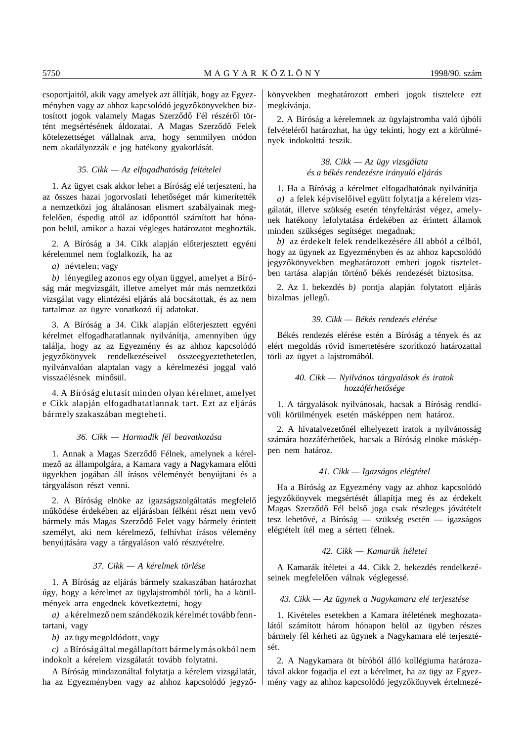csoportjaitól, akik vagy amelyek azt állítják, hogy az Egyezményben vagy az ahhoz kapcsolódó jegyzőkönyvekben biztosított jogok valamely Magas Szerződő Fél részéről történt megsértésének áldozatai. A Magas Szerződő Felek kötelezettséget vállalnak arra, hogy semmilyen módon nem akadályozzák e jog hatékony gyakorlását.

### *35. Cikk — Az elfogadhatóság feltételei*

1. Az ügyet csak akkor lehet a Bíróság elé terjeszteni, ha az összes hazai jogorvoslati lehetőséget már kimerítették a nemzetközi jog általánosan elismert szabályainak megfelelően, éspedig attól az időponttól számított hat hónapon belül, amikor a hazai végleges határozatot meghozták.

2. A Bíróság a 34. Cikk alapján előterjesztett egyéni kérelemmel nem foglalkozik, ha az

*a)* névtelen; vagy

*b)* lényegileg azonos egy olyan üggyel, amelyet a Bíróság már megvizsgált, illetve amelyet már más nemzetközi vizsgálat vagy elintézési eljárás alá bocsátottak, és az nem tartalmaz az ügyre vonatkozó új adatokat.

3. A Bíróság a 34. Cikk alapján előterjesztett egyéni kérelmet elfogadhatatlannak nyilvánítja, amennyiben úgy találja, hogy az az Egyezmény és az ahhoz kapcsolódó jegyzőkönyvek rendelkezéseivel összeegyeztethetetlen, nyilvánvalóan alaptalan vagy a kérelmezési joggal való visszaélésnek minősül.

4. A Bíróság elutasít minden olyan kérelmet, amelyet e Cikk alapján elfogadhatatlannak tart. Ezt az eljárás bármely szakaszában megteheti.

# *36. Cikk — Harmadik fél beavatkozása*

1. Annak a Magas Szerződő Félnek, amelynek a kérelmező az állampolgára, a Kamara vagy a Nagykamara előtti ügyekben jogában áll írásos véleményét benyújtani és a tárgyaláson részt venni.

2. A Bíróság elnöke az igazságszolgáltatás megfelelő működése érdekében az eljárásban félként részt nem vevő bármely más Magas Szerződő Felet vagy bármely érintett személyt, aki nem kérelmező, felhívhat írásos vélemény benyújtására vagy a tárgyaláson való résztvételre.

#### *37. Cikk — A kérelmek törlése*

1. A Bíróság az eljárás bármely szakaszában határozhat úgy, hogy a kérelmet az ügylajstromból törli, ha a körülmények arra engednek következtetni, hogy

*a*) a kérelmező nem szándékozik kérelmét tovább fenntartani, vagy

*b)* az ügy megoldódott, vagy

*c)* a Bíróság által megállapított bármely más okból nem indokolt a kérelem vizsgálatát tovább folytatni.

A Bíróság mindazonáltal folytatja a kérelem vizsgálatát, ha az Egyezményben vagy az ahhoz kapcsolódó jegyzőkönyvekben meghatározott emberi jogok tisztelete ezt megkívánja.

2. A Bíróság a kérelemnek az ügylajstromba való újbóli felvételéről határozhat, ha úgy tekinti, hogy ezt a körülmények indokolttá teszik.

# *38. Cikk — Az ügy vizsgálata és a békés rendezésre irányuló eljárás*

1. Ha a Bíróság a kérelmet elfogadhatónak nyilvánítja *a*) a felek képviselőivel együtt folytatja a kérelem vizsgálatát, illetve szükség esetén tényfeltárást végez, amelynek hatékony lefolytatása érdekében az érintett államok minden szükséges segítséget megadnak;

*b)* az érdekelt felek rendelkezésére áll abból a célból, hogy az ügynek az Egyezményben és az ahhoz kapcsolódó jegyzőkönyvekben meghatározott emberi jogok tiszteletben tartása alapján történő békés rendezését biztosítsa.

2. Az 1. bekezdés *b)* pontja alapján folytatott eljárás bizalmas jellegű.

#### *39. Cikk — Békés rendezés elérése*

Békés rendezés elérése estén a Bíróság a tények és az elért megoldás rövid ismertetésére szorítkozó határozattal törli az ügyet a lajstromából.

# *40. Cikk — Nyilvános tárgyalások és iratok hozzáférhet´´osége*

1. A tárgyalások nyilvánosak, hacsak a Bíróság rendkívüli körülmények esetén másképpen nem határoz.

2. A hivatalvezetőnél elhelyezett iratok a nyilvánosság számára hozzáférhetőek, hacsak a Bíróság elnöke másképpen nem határoz.

# *41. Cikk — Igazságos elégtétel*

Ha a Bíróság az Egyezmény vagy az ahhoz kapcsolódó jegyzőkönyvek megsértését állapítia meg és az érdekelt Magas Szerződő Fél belső joga csak részleges jóvátételt tesz lehetővé, a Bíróság — szükség esetén — igazságos elégtételt ítél meg a sértett félnek.

#### *42. Cikk — Kamarák ítéletei*

A Kamarák ítéletei a 44. Cikk 2. bekezdés rendelkezéseinek megfelelően válnak véglegessé.

#### *43. Cikk — Az ügynek a Nagykamara elé terjesztése*

1. Kivételes esetekben a Kamara ítéletének meghozatalától számított három hónapon belül az ügyben részes bármely fél kérheti az ügynek a Nagykamara elé terjesztését.

2. A Nagykamara öt bíróból álló kollégiuma határozatával akkor fogadja el ezt a kérelmet, ha az ügy az Egyezmény vagy az ahhoz kapcsolódó jegyzőkönyvek értelmezé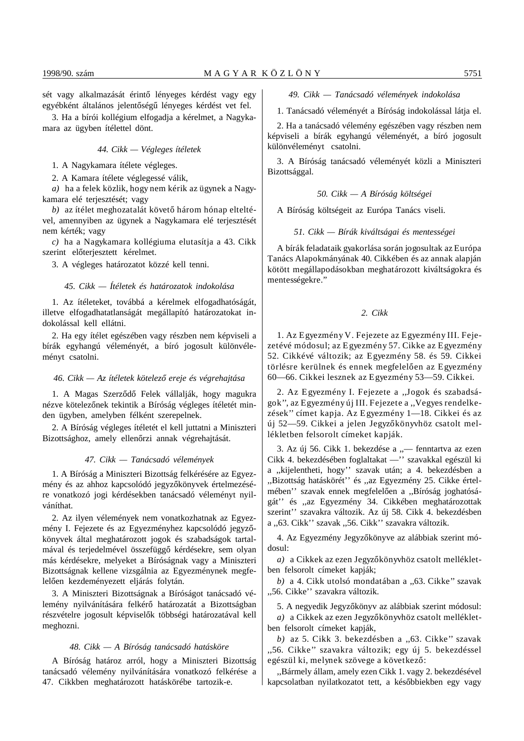sét vagy alkalmazását érintő lényeges kérdést vagy egy egyébként általános jelentőségű lényeges kérdést vet fel.

3. Ha a bírói kollégium elfogadja a kérelmet, a Nagykamara az ügyben ítélettel dönt.

*44. Cikk — Végleges ítéletek*

1. A Nagykamara ítélete végleges.

2. A Kamara ítélete véglegessé válik,

*a)* ha a felek közlik, hogy nem kérik az ügynek a Nagykamara elé terjesztését; vagy

*b*) az ítélet meghozatalát követő három hónap elteltével, amennyiben az ügynek a Nagykamara elé terjesztését nem kérték; vagy

*c)* ha a Nagykamara kollégiuma elutasítja a 43. Cikk szerint előterjesztett kérelmet.

3. A végleges határozatot közzé kell tenni.

#### *45. Cikk — Ítéletek és határozatok indokolása*

1. Az ítéleteket, továbbá a kérelmek elfogadhatóságát, illetve elfogadhatatlanságát megállapító határozatokat indokolással kell ellátni.

2. Ha egy ítélet egészében vagy részben nem képviseli a bírák egyhangú véleményét, a bíró jogosult különvéleményt csatolni.

#### *46. Cikk — Az ítéletek kötelez´´o ereje és végrehajtása*

1. A Magas Szerződő Felek vállalják, hogy magukra nézve kötelezőnek tekintik a Bíróság végleges ítéletét minden ügyben, amelyben félként szerepelnek.

2. A Bíróság végleges ítéletét el kell juttatni a Miniszteri Bizottsághoz, amely ellenőrzi annak végrehajtását.

#### *47. Cikk — Tanácsadó vélemények*

1. A Bíróság a Miniszteri Bizottság felkérésére az Egyezmény és az ahhoz kapcsolódó jegyzőkönyvek értelmezésére vonatkozó jogi kérdésekben tanácsadó véleményt nyilváníthat.

2. Az ilyen vélemények nem vonatkozhatnak az Egyezmény I. Fejezete és az Egyezményhez kapcsolódó jegyzőkönyvek által meghatározott jogok és szabadságok tartalmával és terjedelmével összefüggő kérdésekre, sem olyan más kérdésekre, melyeket a Bíróságnak vagy a Miniszteri Bizottságnak kellene vizsgálnia az Egyezménynek megfelelően kezdeményezett eljárás folytán.

3. A Miniszteri Bizottságnak a Bíróságot tanácsadó vélemény nyilvánítására felkérő határozatát a Bizottságban részvételre jogosult képviselők többségi határozatával kell meghozni.

#### *48. Cikk — A Bíróság tanácsadó hatásköre*

A Bíróság határoz arról, hogy a Miniszteri Bizottság tanácsadó vélemény nyilvánítására vonatkozó felkérése a 47. Cikkben meghatározott hatáskörébe tartozik-e.

*49. Cikk — Tanácsadó vélemények indokolása*

1. Tanácsadó véleményét a Bíróság indokolással látja el.

2. Ha a tanácsadó vélemény egészében vagy részben nem képviseli a bírák egyhangú véleményét, a bíró jogosult különvéleményt csatolni.

3. A Bíróság tanácsadó véleményét közli a Miniszteri Bizottsággal.

*50. Cikk — A Bíróság költségei*

A Bíróság költségeit az Európa Tanács viseli.

*51. Cikk — Bírák kiváltságai és mentességei*

A bírák feladataik gyakorlása során jogosultak az Európa Tanács Alapokmányának 40. Cikkében és az annak alapján kötött megállapodásokban meghatározott kiváltságokra és mentességekre.''

#### *2. Cikk*

1. Az Egyezmény V. Fejezete az Egyezmény III. Fejezetévé módosul; az Egyezmény 57. Cikke az Egyezmény 52. Cikkévé változik; az Egyezmény 58. és 59. Cikkei törlésre kerülnek és ennek megfelelően az Egyezmény 60—66. Cikkei lesznek az Egyezmény 53—59. Cikkei.

2. Az Egyezmény I. Fejezete a ,,Jogok és szabadságok'', az Egyezmény új III. Fejezete a ,,Vegyes rendelkezések'' címet kapja. Az Egyezmény 1—18. Cikkei és az új 52—59. Cikkei a jelen Jegyzőkönyvhöz csatolt mellékletben felsorolt címeket kapják.

3. Az új 56. Cikk 1. bekezdése a ,,— fenntartva az ezen Cikk 4. bekezdésében foglaltakat —'' szavakkal egészül ki a ,,kijelentheti, hogy'' szavak után; a 4. bekezdésben a ,,Bizottság hatáskörét'' és ,,az Egyezmény 25. Cikke értelmében'' szavak ennek megfelelően a "Bíróság joghatóságát'' és ,,az Egyezmény 34. Cikkében meghatározottak szerint'' szavakra változik. Az új 58. Cikk 4. bekezdésben a ,,63. Cikk'' szavak ,,56. Cikk'' szavakra változik.

4. Az Egyezmény Jegyzőkönyve az alábbiak szerint módosul:

*a*) a Cikkek az ezen Jegyzőkönyvhöz csatolt mellékletben felsorolt címeket kapják;

*b)* a 4. Cikk utolsó mondatában a ,,63. Cikke'' szavak ,,56. Cikke'' szavakra változik.

5. A negyedik Jegyzőkönyv az alábbiak szerint módosul: *a*) a Cikkek az ezen Jegyzőkönyvhöz csatolt mellékletben felsorolt címeket kapják,

*b)* az 5. Cikk 3. bekezdésben a ,,63. Cikke'' szavak ,,56. Cikke'' szavakra változik; egy új 5. bekezdéssel egészül ki, melynek szövege a következő:

,,Bármely állam, amely ezen Cikk 1. vagy 2. bekezdésével kapcsolatban nyilatkozatot tett, a későbbiekben egy vagy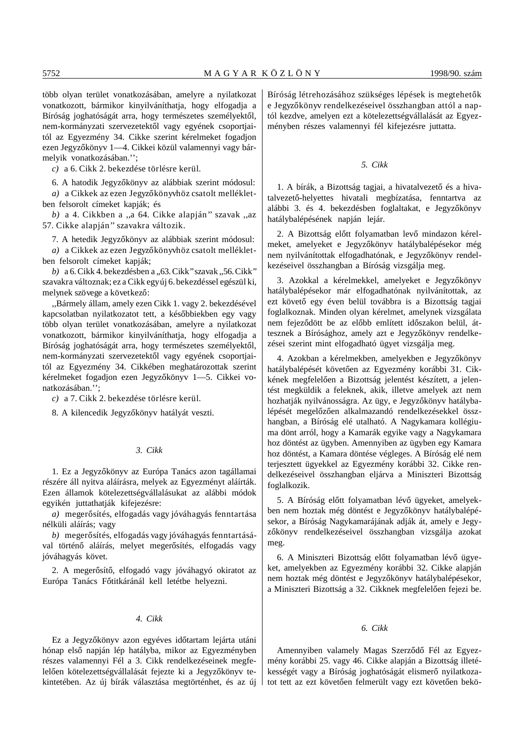több olyan terület vonatkozásában, amelyre a nyilatkozat vonatkozott, bármikor kinyilváníthatja, hogy elfogadja a Bíróság joghatóságát arra, hogy természetes személyektől, nem-kormányzati szervezetektől vagy egyének csoportjaitól az Egyezmény 34. Cikke szerint kérelmeket fogadjon ezen Jegyzőkönyv 1—4. Cikkei közül valamennyi vagy bármelyik vonatkozásában.'';

*c)* a 6. Cikk 2. bekezdése törlésre kerül.

6. A hatodik Jegyzőkönyv az alábbiak szerint módosul:

*a*) a Cikkek az ezen Jegyzőkönyvhöz csatolt mellékletben felsorolt címeket kapják; és

*b)* a 4. Cikkben a ,,a 64. Cikke alapján'' szavak ,,az 57. Cikke alapján'' szavakra változik.

7. A hetedik Jegyzőkönyv az alábbiak szerint módosul: *a*) a Cikkek az ezen Jegyzőkönyvhöz csatolt mellékletben felsorolt címeket kapják;

*b)* a 6. Cikk 4. bekezdésben a ,,63. Cikk'' szavak ,,56. Cikk'' szavakra változnak; ez a Cikk egy új 6. bekezdéssel egészül ki, melynek szövege a következő:

,,Bármely állam, amely ezen Cikk 1. vagy 2. bekezdésével kapcsolatban nyilatkozatot tett, a későbbiekben egy vagy több olyan terület vonatkozásában, amelyre a nyilatkozat vonatkozott, bármikor kinyilváníthatja, hogy elfogadja a Bíróság joghatóságát arra, hogy természetes személyektől, nem-kormányzati szervezetektől vagy egyének csoportjaitól az Egyezmény 34. Cikkében meghatározottak szerint kérelmeket fogadjon ezen Jegyzőkönyv 1-5. Cikkei vonatkozásában.'';

*c)* a 7. Cikk 2. bekezdése törlésre kerül.

8. A kilencedik Jegyzőkönyv hatályát veszti.

# *3. Cikk*

1. Ez a Jegyzőkönyv az Európa Tanács azon tagállamai részére áll nyitva aláírásra, melyek az Egyezményt aláírták. Ezen államok kötelezettségvállalásukat az alábbi módok egyikén juttathatják kifejezésre:

a) megerősítés, elfogadás vagy jóváhagyás fenntartása nélküli aláírás; vagy

*b*) megerősítés, elfogadás vagy jóváhagyás fenntartásával történő aláírás, melyet megerősítés, elfogadás vagy jóváhagyás követ.

2. A megerősítő, elfogadó vagy jóváhagyó okiratot az Európa Tanács Főtitkáránál kell letétbe helyezni.

#### *4. Cikk*

Ez a Jegyzőkönyv azon egyéves időtartam lejárta utáni hónap első napján lép hatályba, mikor az Egyezményben részes valamennyi Fél a 3. Cikk rendelkezéseinek megfelelően kötelezettségvállalását fejezte ki a Jegyzőkönyv tekintetében. Az új bírák választása megtörténhet, és az új Bíróság létrehozásához szükséges lépések is megtehetők e Jegyzőkönyv rendelkezéseivel összhangban attól a naptól kezdve, amelyen ezt a kötelezettségvállalását az Egyezményben részes valamennyi fél kifejezésre juttatta.

#### *5. Cikk*

1. A bírák, a Bizottság tagjai, a hivatalvezető és a hivatalvezető-helyettes hivatali megbízatása, fenntartva az alábbi 3. és 4. bekezdésben foglaltakat, e Jegyzőkönyv hatálybalépésének napján lejár.

2. A Bizottság előtt folyamatban levő mindazon kérelmeket, amelyeket e Jegyzőkönyv hatálybalépésekor még nem nyilvánítottak elfogadhatónak, e Jegyzőkönyv rendelkezéseivel összhangban a Bíróság vizsgálja meg.

3. Azokkal a kérelmekkel, amelyeket e Jegyzőkönyv hatálybalépésekor már elfogadhatónak nyilvánítottak, az ezt követő egy éven belül továbbra is a Bizottság tagjai foglalkoznak. Minden olyan kérelmet, amelynek vizsgálata nem fejeződött be az előbb említett időszakon belül, áttesznek a Bírósághoz, amely azt e Jegyzőkönyv rendelkezései szerint mint elfogadható ügyet vizsgálja meg.

4. Azokban a kérelmekben, amelyekben e Jegyzőkönyv hatálybalépését követően az Egyezmény korábbi 31. Cikkének megfelelően a Bizottság jelentést készített, a jelentést megküldik a feleknek, akik, illetve amelyek azt nem hozhatják nyilvánosságra. Az ügy, e Jegyzőkönyv hatálybalépését megelőzően alkalmazandó rendelkezésekkel összhangban, a Bíróság elé utalható. A Nagykamara kollégiuma dönt arról, hogy a Kamarák egyike vagy a Nagykamara hoz döntést az ügyben. Amennyiben az ügyben egy Kamara hoz döntést, a Kamara döntése végleges. A Bíróság elé nem terjesztett ügyekkel az Egyezmény korábbi 32. Cikke rendelkezéseivel összhangban eljárva a Miniszteri Bizottság foglalkozik.

5. A Bíróság előtt folyamatban lévő ügyeket, amelyekben nem hoztak még döntést e Jegyzőkönyv hatálybalépésekor, a Bíróság Nagykamarájának adják át, amely e Jegyzőkönyv rendelkezéseivel összhangban vizsgálja azokat meg.

6. A Miniszteri Bizottság előtt folyamatban lévő ügyeket, amelyekben az Egyezmény korábbi 32. Cikke alapján nem hoztak még döntést e Jegyzőkönyv hatálybalépésekor, a Miniszteri Bizottság a 32. Cikknek megfelelően fejezi be.

#### *6. Cikk*

Amennyiben valamely Magas Szerződő Fél az Egyezmény korábbi 25. vagy 46. Cikke alapján a Bizottság illetékességét vagy a Bíróság joghatóságát elismerő nyilatkozatot tett az ezt követően felmerült vagy ezt követően bekö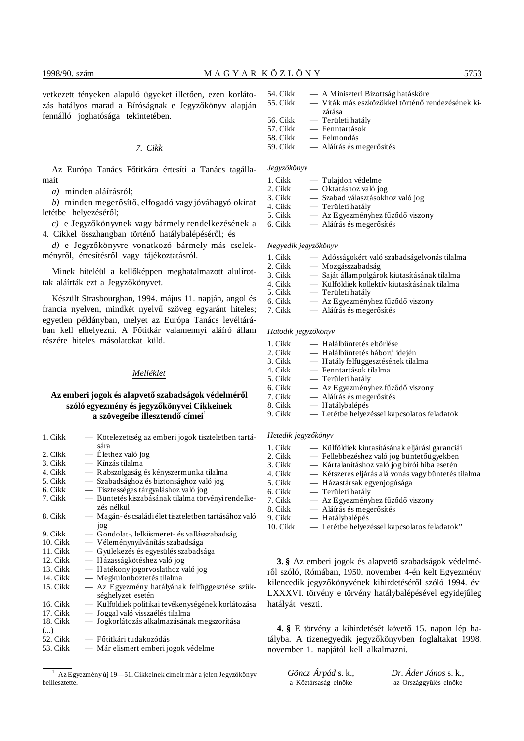vetkezett tényeken alapuló ügyeket illetően, ezen korlátozás hatályos marad a Bíróságnak e Jegyzőkönyv alapján fennálló joghatósága tekintetében.

#### *7. Cikk*

Az Európa Tanács Főtitkára értesíti a Tanács tagállamait

*a)* minden aláírásról;

*b*) minden megerősítő, elfogadó vagy jóváhagyó okirat letétbe helyezéséről;

*c*) e Jegyzőkönyvnek vagy bármely rendelkezésének a 4. Cikkel összhangban történő hatálybalépéséről; és

d) e Jegyzőkönyvre vonatkozó bármely más cselekményről, értesítésről vagy tájékoztatásról.

Minek hiteléül a kellőképpen meghatalmazott alulírottak aláírták ezt a Jegyzőkönyvet.

Készült Strasbourgban, 1994. május 11. napján, angol és francia nyelven, mindkét nyelvű szöveg egyaránt hiteles; egyetlen példányban, melyet az Európa Tanács levéltárában kell elhelyezni. A Főtitkár valamennyi aláíró állam részére hiteles másolatokat küld.

# *Melléklet*

# Az emberi jogok és alapvető szabadságok védelméről szóló egyezmény és jegyzőkönyvei Cikkeinek a szövegeibe illesztendő címei<sup>1</sup>

| 1. Cikk  | — Kötelezettség az emberi jogok tiszteletben tartá-<br>sára         |
|----------|---------------------------------------------------------------------|
|          |                                                                     |
| 2. Cikk  | — Élethez való jog                                                  |
| 3. Cikk  | — Kínzás tilalma                                                    |
| 4. Cikk  | - Rabszolgaság és kényszermunka tilalma                             |
| 5. Cikk  | - Szabadsághoz és biztonsághoz való jog                             |
| 6. Cikk  | — Tisztességes tárgyaláshoz való jog                                |
| 7. Cikk  | — Büntetés kiszabásának tilalma törvényi rendelke-<br>zés nélkül    |
| 8. Cikk  | - Magán- és családi élet tiszteletben tartásához való<br>jog        |
| 9. Cikk  | — Gondolat-, lelkiismeret- és vallásszabadság                       |
| 10. Cikk | — Véleménynyilvánítás szabadsága                                    |
| 11. Cikk | — Gyülekezés és egyesülés szabadsága                                |
| 12. Cikk | — Házasságkötéshez való jog                                         |
| 13. Cikk | — Hatékony jogorvoslathoz való jog                                  |
| 14. Cikk | — Megkülönböztetés tilalma                                          |
| 15. Cikk | — Az Egyezmény hatályának felfüggesztése szük-<br>séghelyzet esetén |
| 16. Cikk | — Külföldiek politikai tevékenységének korlátozása                  |
| 17. Cikk | — Joggal való visszaélés tilalma                                    |
| 18. Cikk | — Jogkorlátozás alkalmazásának megszorítása                         |
| ()       |                                                                     |
| 52. Cikk | — Főtitkári tudakozódás                                             |
| 53. Cikk | — Már elismert emberi jogok védelme                                 |
|          |                                                                     |

 $1$  Az Egyezmény új 19—51. Cikkeinek címeit már a jelen Jegyzőkönyv beillesztette.

| 54. Cikk | — A Miniszteri Bizottság hatásköre               |
|----------|--------------------------------------------------|
| 55. Cikk | — Viták más eszközökkel történő rendezésének ki- |

- zárása
- 56. Cikk Területi hatály<br>57 Cikk Fenntartások 57. Cikk — Fenntartások
- 58. Cikk Felmondás
- $59.$  Cikk Aláírás és megerősítés

#### $Jegyz$ őkönyv

| 1. Cikk | Tulajdon védelme    |
|---------|---------------------|
| 2. Cikk | Oktatáshoz való jog |

- 3. Cikk Szabad választásokhoz való jog
	-
- 4. Cikk Területi hatály<br>5. Cikk Az Egyezmény — Az Egyezményhez fűződő viszony
- 6. Cikk Aláírás és megerősítés

#### *Negyedik jegyz´´okönyv*

1. Cikk — Adósságokért való szabadságelvonás tilalma

| 2. Cikk | — Mozgásszabadság                             |  |
|---------|-----------------------------------------------|--|
| 3. Cikk | - Saját állampolgárok kiutasításának tilalma  |  |
| 4. Cikk | — Külföldiek kollektív kiutasításának tilalma |  |
| 5. Cikk | — Területi hatály                             |  |
| 6. Cikk | — Az Egyezményhez fűződő viszony              |  |

- 
- 7. Cikk  $-$  Aláírás és megerősítés

# Hatodik jegyzőkönyv

| 1. Cikk | — Halálbüntetés eltörlése                   |
|---------|---------------------------------------------|
| 2. Cikk | — Halálbüntetés háború idején               |
| 3. Cikk | — Hatály felfüggesztésének tilalma          |
| 4. Cikk | — Fenntartások tilalma                      |
| 5. Cikk | — Területi hatály                           |
| 6. Cikk | — Az Egyezményhez fűződő viszony            |
| 7. Cikk | — Aláírás és megerősítés                    |
| 8. Cikk | $-$ Hatálybalépés                           |
| 9. Cikk | — Letétbe helyezéssel kapcsolatos feladatok |
|         |                                             |

# *Hetedik jegyz´´okönyv*

| — Külföldiek kiutasításának eljárási garanciái      |
|-----------------------------------------------------|
| — Fellebbezéshez való jog büntetőügyekben           |
| — Kártalanításhoz való jog bírói hiba esetén        |
| — Kétszeres eljárás alá vonás vagy büntetés tilalma |
| — Házastársak egyenjogúsága                         |
| — Területi hatály                                   |
| — Az Egyezményhez fűződő viszony                    |
| — Aláírás és megerősítés                            |
| $-$ Hatálybalépés                                   |
| — Letétbe helyezéssel kapcsolatos feladatok"        |
|                                                     |

**3.** § Az emberi jogok és alapvető szabadságok védelméről szóló, Rómában, 1950. november 4-én kelt Egyezmény kilencedik jegyzőkönyvének kihirdetéséről szóló 1994. évi LXXXVI. törvény e törvény hatálybalépésével egyidejűleg hatályát veszti.

**4.** § E törvény a kihirdetését követő 15. napon lép hatályba. A tizenegyedik jegyzőkönyvben foglaltakat 1998. november 1. napjától kell alkalmazni.

| Göncz Árpád s. k.,   | Dr. Áder János s. k.,  |
|----------------------|------------------------|
| a Köztársaság elnöke | az Országgyűlés elnöke |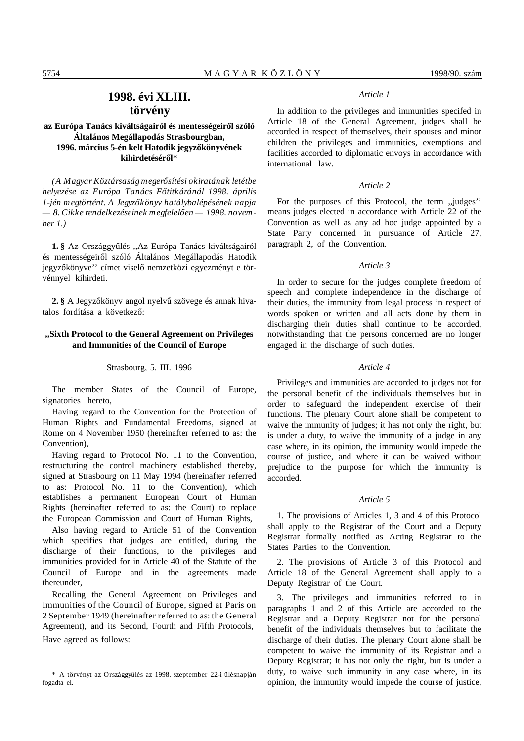# **1998. évi XLIII. törvény**

# az Európa Tanács kiváltságairól és mentességeiről szóló **Általános Megállapodás Strasbourgban,** 1996. március 5-én kelt Hatodik jegyzőkönyvének kihirdetéséről\*

*(A Magyar Köztársaság meger´´osítési okiratának letétbe helyezése az Európa Tanács F´´otitkáránál 1998. április 1-jén megtörtént. A Jegyz´´okönyv hatálybalépésének napja*  $-8$ . Cikke rendelkezéseinek megfelelően – 1998. novem*ber 1.)*

1. § Az Országgyűlés "Az Európa Tanács kiváltságairól és mentességeiről szóló Általános Megállapodás Hatodik jegyzőkönyve'' címet viselő nemzetközi egyezményt e törvénnyel kihirdeti.

**2.** § A Jegyzőkönyv angol nyelvű szövege és annak hivatalos fordítása a következő:

# **,,Sixth Protocol to the General Agreement on Privileges and Immunities of the Council of Europe**

#### Strasbourg, 5. III. 1996

The member States of the Council of Europe, signatories hereto.

Having regard to the Convention for the Protection of Human Rights and Fundamental Freedoms, signed at Rome on 4 November 1950 (hereinafter referred to as: the Convention),

Having regard to Protocol No. 11 to the Convention, restructuring the control machinery established thereby, signed at Strasbourg on 11 May 1994 (hereinafter referred to as: Protocol No. 11 to the Convention), which establishes a permanent European Court of Human Rights (hereinafter referred to as: the Court) to replace the European Commission and Court of Human Rights,

Also having regard to Article 51 of the Convention which specifies that judges are entitled, during the discharge of their functions, to the privileges and immunities provided for in Article 40 of the Statute of the Council of Europe and in the agreements made thereunder,

Recalling the General Agreement on Privileges and Immunities of the Council of Europe, signed at Paris on 2 September 1949 (hereinafter referred to as: the General Agreement), and its Second, Fourth and Fifth Protocols, Have agreed as follows:

# *Article 1*

In addition to the privileges and immunities specifed in Article 18 of the General Agreement, judges shall be accorded in respect of themselves, their spouses and minor children the privileges and immunities, exemptions and facilities accorded to diplomatic envoys in accordance with international law.

#### *Article 2*

For the purposes of this Protocol, the term ,,judges'' means judges elected in accordance with Article 22 of the Convention as well as any ad hoc judge appointed by a State Party concerned in pursuance of Article 27, paragraph 2, of the Convention.

# *Article 3*

In order to secure for the judges complete freedom of speech and complete independence in the discharge of their duties, the immunity from legal process in respect of words spoken or written and all acts done by them in discharging their duties shall continue to be accorded, notwithstanding that the persons concerned are no longer engaged in the discharge of such duties.

#### *Article 4*

Privileges and immunities are accorded to judges not for the personal benefit of the individuals themselves but in order to safeguard the independent exercise of their functions. The plenary Court alone shall be competent to waive the immunity of judges; it has not only the right, but is under a duty, to waive the immunity of a judge in any case where, in its opinion, the immunity would impede the course of justice, and where it can be waived without prejudice to the purpose for which the immunity is accorded.

#### *Article 5*

1. The provisions of Articles 1, 3 and 4 of this Protocol shall apply to the Registrar of the Court and a Deputy Registrar formally notified as Acting Registrar to the States Parties to the Convention.

2. The provisions of Article 3 of this Protocol and Article 18 of the General Agreement shall apply to a Deputy Registrar of the Court.

3. The privileges and immunities referred to in paragraphs 1 and 2 of this Article are accorded to the Registrar and a Deputy Registrar not for the personal benefit of the individuals themselves but to facilitate the discharge of their duties. The plenary Court alone shall be competent to waive the immunity of its Registrar and a Deputy Registrar; it has not only the right, but is under a duty, to waive such immunity in any case where, in its opinion, the immunity would impede the course of justice,

<sup>\*</sup> A törvényt az Országgyűlés az 1998. szeptember 22-i ülésnapján fogadta el.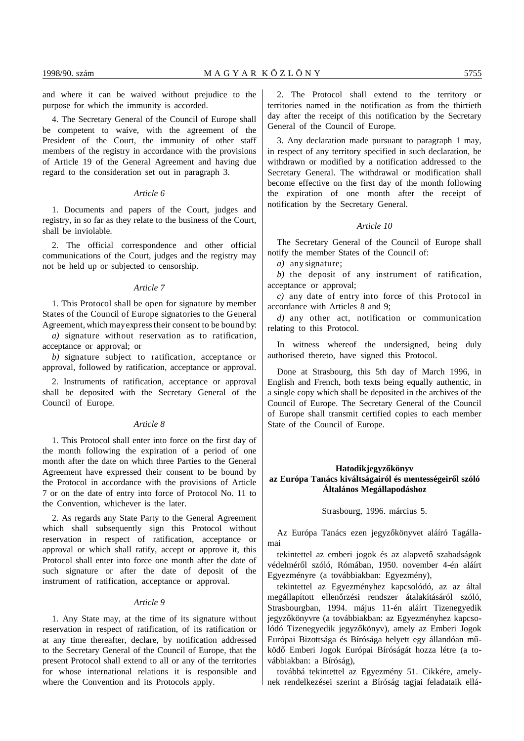and where it can be waived without prejudice to the purpose for which the immunity is accorded.

4. The Secretary General of the Council of Europe shall be competent to waive, with the agreement of the President of the Court, the immunity of other staff members of the registry in accordance with the provisions of Article 19 of the General Agreement and having due regard to the consideration set out in paragraph 3.

#### *Article 6*

1. Documents and papers of the Court, judges and registry, in so far as they relate to the business of the Court, shall be inviolable.

2. The official correspondence and other official communications of the Court, judges and the registry may not be held up or subjected to censorship.

## *Article 7*

1. This Protocol shall be open for signature by member States of the Council of Europe signatories to the General Agreement, which may express their consent to be bound by:

*a)* signature without reservation as to ratification, acceptance or approval; or

*b)* signature subject to ratification, acceptance or approval, followed by ratification, acceptance or approval.

2. Instruments of ratification, acceptance or approval shall be deposited with the Secretary General of the Council of Europe.

#### *Article 8*

1. This Protocol shall enter into force on the first day of the month following the expiration of a period of one month after the date on which three Parties to the General Agreement have expressed their consent to be bound by the Protocol in accordance with the provisions of Article 7 or on the date of entry into force of Protocol No. 11 to the Convention, whichever is the later.

2. As regards any State Party to the General Agreement which shall subsequently sign this Protocol without reservation in respect of ratification, acceptance or approval or which shall ratify, accept or approve it, this Protocol shall enter into force one month after the date of such signature or after the date of deposit of the instrument of ratification, acceptance or approval.

# *Article 9*

1. Any State may, at the time of its signature without reservation in respect of ratification, of its ratification or at any time thereafter, declare, by notification addressed to the Secretary General of the Council of Europe, that the present Protocol shall extend to all or any of the territories for whose international relations it is responsible and where the Convention and its Protocols apply.

2. The Protocol shall extend to the territory or territories named in the notification as from the thirtieth day after the receipt of this notification by the Secretary General of the Council of Europe.

3. Any declaration made pursuant to paragraph 1 may, in respect of any territory specified in such declaration, be withdrawn or modified by a notification addressed to the Secretary General. The withdrawal or modification shall become effective on the first day of the month following the expiration of one month after the receipt of notification by the Secretary General.

# *Article 10*

The Secretary General of the Council of Europe shall notify the member States of the Council of:

*a)* any signature;

*b)* the deposit of any instrument of ratification, acceptance or approval;

*c)* any date of entry into force of this Protocol in accordance with Articles 8 and 9;

*d)* any other act, notification or communication relating to this Protocol.

In witness whereof the undersigned, being duly authorised thereto, have signed this Protocol.

Done at Strasbourg, this 5th day of March 1996, in English and French, both texts being equally authentic, in a single copy which shall be deposited in the archives of the Council of Europe. The Secretary General of the Council of Europe shall transmit certified copies to each member State of the Council of Europe.

# **Hatodik jegyzőkönyv** az Európa Tanács kiváltságairól és mentességeiről szóló **Általános Megállapodáshoz**

Strasbourg, 1996. március 5.

Az Európa Tanács ezen jegyzőkönyvet aláíró Tagállamai

tekintettel az emberi jogok és az alapvető szabadságok védelméről szóló, Rómában, 1950. november 4-én aláírt Egyezményre (a továbbiakban: Egyezmény),

tekintettel az Egyezményhez kapcsolódó, az az által megállapított ellenőrzési rendszer átalakításáról szóló, Strasbourgban, 1994. május 11-én aláírt Tizenegyedik jegyzőkönyvre (a továbbiakban: az Egyezményhez kapcsolódó Tizenegyedik jegyzőkönyv), amely az Emberi Jogok Európai Bizottsága és Bírósága helyett egy állandóan működő Emberi Jogok Európai Bíróságát hozza létre (a továbbiakban: a Bíróság),

továbbá tekintettel az Egyezmény 51. Cikkére, amelynek rendelkezései szerint a Bíróság tagjai feladataik ellá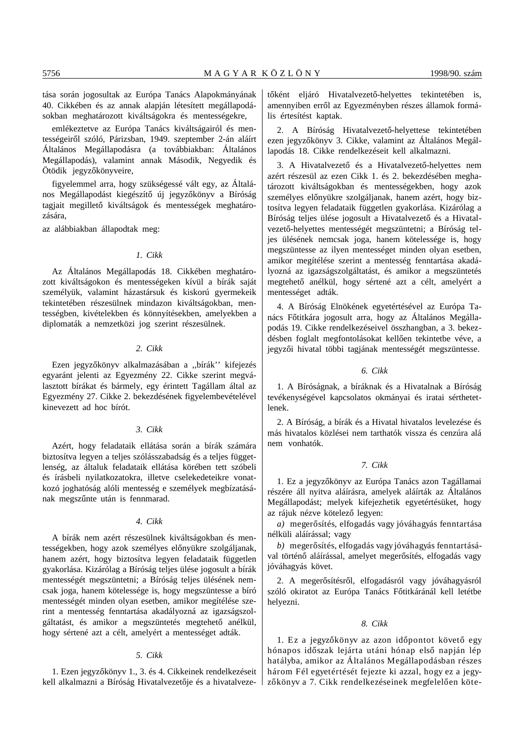tása során jogosultak az Európa Tanács Alapokmányának 40. Cikkében és az annak alapján létesített megállapodásokban meghatározott kiváltságokra és mentességekre,

emlékeztetve az Európa Tanács kiváltságairól és mentességeiről szóló, Párizsban, 1949. szeptember 2-án aláírt Általános Megállapodásra (a továbbiakban: Általános Megállapodás), valamint annak Második, Negyedik és Ötödik jegyzőkönyveire,

figyelemmel arra, hogy szükségessé vált egy, az Általános Megállapodást kiegészítő új jegyzőkönyv a Bíróság tagjait megillető kiváltságok és mentességek meghatározására,

az alábbiakban állapodtak meg:

## *1. Cikk*

Az Általános Megállapodás 18. Cikkében meghatározott kiváltságokon és mentességeken kívül a bírák saját személyük, valamint házastársuk és kiskorú gyermekeik tekintetében részesülnek mindazon kiváltságokban, mentességben, kivételekben és könnyítésekben, amelyekben a diplomaták a nemzetközi jog szerint részesülnek.

#### *2. Cikk*

Ezen jegyzőkönyv alkalmazásában a "bírák" kifejezés egyaránt jelenti az Egyezmény 22. Cikke szerint megválasztott bírákat és bármely, egy érintett Tagállam által az Egyezmény 27. Cikke 2. bekezdésének figyelembevételével kinevezett ad hoc bírót.

## *3. Cikk*

Azért, hogy feladataik ellátása során a bírák számára biztosítva legyen a teljes szólásszabadság és a teljes függetlenség, az általuk feladataik ellátása körében tett szóbeli és írásbeli nyilatkozatokra, illetve cselekedeteikre vonatkozó joghatóság alóli mentesség e személyek megbízatásának megszűnte után is fennmarad.

#### *4. Cikk*

A bírák nem azért részesülnek kiváltságokban és mentességekben, hogy azok személyes előnyükre szolgáljanak, hanem azért, hogy biztosítva legyen feladataik független gyakorlása. Kizárólag a Bíróság teljes ülése jogosult a bírák mentességét megszüntetni; a Bíróság teljes ülésének nemcsak joga, hanem kötelessége is, hogy megszüntesse a bíró mentességét minden olyan esetben, amikor megítélése szerint a mentesség fenntartása akadályozná az igazságszolgáltatást, és amikor a megszüntetés megtehető anélkül, hogy sértené azt a célt, amelyért a mentességet adták.

#### *5. Cikk*

1. Ezen jegyzőkönyv 1., 3. és 4. Cikkeinek rendelkezéseit kell alkalmazni a Bíróság Hivatalvezetője és a hivatalvezetőként eljáró Hivatalvezető-helyettes tekintetében is, amennyiben erről az Egyezményben részes államok formális értesítést kaptak.

2. A Bíróság Hivatalvezető-helyettese tekintetében ezen jegyzőkönyv 3. Cikke, valamint az Általános Megállapodás 18. Cikke rendelkezéseit kell alkalmazni.

3. A Hivatalvezető és a Hivatalvezető-helyettes nem azért részesül az ezen Cikk 1. és 2. bekezdésében meghatározott kiváltságokban és mentességekben, hogy azok személyes előnyükre szolgáljanak, hanem azért, hogy biztosítva legyen feladataik független gyakorlása. Kizárólag a Bíróság teljes ülése jogosult a Hivatalvezető és a Hivatalvezető-helyettes mentességét megszüntetni; a Bíróság teljes ülésének nemcsak joga, hanem kötelessége is, hogy megszüntesse az ilyen mentességet minden olyan esetben, amikor megítélése szerint a mentesség fenntartása akadályozná az igazságszolgáltatást, és amikor a megszüntetés megtehető anélkül, hogy sértené azt a célt, amelyért a mentességet adták.

4. A Bíróság Elnökének egyetértésével az Európa Tanács Főtitkára jogosult arra, hogy az Általános Megállapodás 19. Cikke rendelkezéseivel összhangban, a 3. bekezdésben foglalt megfontolásokat kellően tekintetbe véve, a jegyzői hivatal többi tagjának mentességét megszüntesse.

# *6. Cikk*

1. A Bíróságnak, a bíráknak és a Hivatalnak a Bíróság tevékenységével kapcsolatos okmányai és iratai sérthetetlenek.

2. A Bíróság, a bírák és a Hivatal hivatalos levelezése és más hivatalos közlései nem tarthatók vissza és cenzúra alá nem vonhatók.

#### *7. Cikk*

1. Ez a jegyzőkönyv az Európa Tanács azon Tagállamai részére áll nyitva aláírásra, amelyek aláírták az Általános Megállapodást; melyek kifejezhetik egyetértésüket, hogy az rájuk nézve kötelező legyen:

*a*) megerősítés, elfogadás vagy jóváhagyás fenntartása nélküli aláírással; vagy

*b*) megerősítés, elfogadás vagy jóváhagyás fenntartásával történő aláírással, amelyet megerősítés, elfogadás vagy jóváhagyás követ.

2. A megerősítésről, elfogadásról vagy jóváhagyásról szóló okiratot az Európa Tanács Főtitkáránál kell letétbe helyezni.

#### *8. Cikk*

1. Ez a jegyzőkönyv az azon időpontot követő egy hónapos időszak lejárta utáni hónap első napján lép hatályba, amikor az Általános Megállapodásban részes három Fél egyetértését fejezte ki azzal, hogy ez a jegyzőkönyv a 7. Cikk rendelkezéseinek megfelelően köte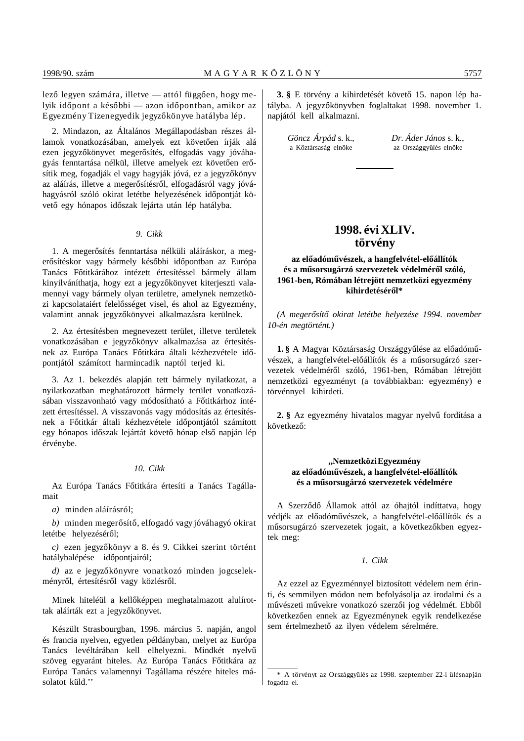lező legyen számára, illetve — attól függően, hogy melyik időpont a későbbi — azon időpontban, amikor az Egyezmény Tizenegyedik jegyzőkönyve hatályba lép.

2. Mindazon, az Általános Megállapodásban részes államok vonatkozásában, amelyek ezt követően írják alá ezen jegyzőkönyvet megerősítés, elfogadás vagy jóváhagyás fenntartása nélkül, illetve amelyek ezt követően erősítik meg, fogadják el vagy hagyják jóvá, ez a jegyzőkönyv az aláírás, illetve a megerősítésről, elfogadásról vagy jóváhagyásról szóló okirat letétbe helyezésének időpontját követő egy hónapos időszak lejárta után lép hatályba.

#### *9. Cikk*

1. A megerősítés fenntartása nélküli aláíráskor, a megerősítéskor vagy bármely későbbi időpontban az Európa Tanács Főtitkárához intézett értesítéssel bármely állam kinyilváníthatja, hogy ezt a jegyzőkönyvet kiterjeszti valamennyi vagy bármely olyan területre, amelynek nemzetközi kapcsolataiért felelősséget visel, és ahol az Egyezmény, valamint annak jegyzőkönyvei alkalmazásra kerülnek.

2. Az értesítésben megnevezett terület, illetve területek vonatkozásában e jegyzőkönyv alkalmazása az értesítésnek az Európa Tanács Főtitkára általi kézhezvétele időpontjától számított harmincadik naptól terjed ki.

3. Az 1. bekezdés alapján tett bármely nyilatkozat, a nyilatkozatban meghatározott bármely terület vonatkozásában visszavonható vagy módosítható a Főtitkárhoz intézett értesítéssel. A visszavonás vagy módosítás az értesítésnek a Főtitkár általi kézhezvétele időpontjától számított egy hónapos időszak lejártát követő hónap első napján lép érvénybe.

#### *10. Cikk*

Az Európa Tanács Főtitkára értesíti a Tanács Tagállamait

*a)* minden aláírásról;

*b*) minden megerősítő, elfogadó vagy jóváhagyó okirat letétbe helyezéséről;

*c*) ezen jegyzőkönyv a 8. és 9. Cikkei szerint történt hatálybalépése időpontiairól:

d) az e jegyzőkönyvre vonatkozó minden jogcselekményről, értesítésről vagy közlésről.

Minek hiteléül a kellőképpen meghatalmazott alulírottak aláírták ezt a jegyzőkönyvet.

Készült Strasbourgban, 1996. március 5. napján, angol és francia nyelven, egyetlen példányban, melyet az Európa Tanács levéltárában kell elhelyezni. Mindkét nyelvű szöveg egyaránt hiteles. Az Európa Tanács Főtitkára az Európa Tanács valamennyi Tagállama részére hiteles másolatot küld.''

**3.** § E törvény a kihirdetését követő 15. napon lép hatályba. A jegyzőkönyvben foglaltakat 1998. november 1. napjától kell alkalmazni.

*Göncz Árpád* s. k., *Dr. Áder János* s. k., a Köztársaság elnöke az Országgyűlés elnöke

# **1998. évi XLIV. törvény**

# az előadóművészek, a hangfelvétel-előállítók és a műsorsugárzó szervezetek védelméről szóló, **1961-ben, Rómában létrejött nemzetközi egyezmény** kihirdetéséről\*

*(A meger´´osít´´o okirat letétbe helyezése 1994. november 10-én megtörtént.)*

1. § A Magyar Köztársaság Országgyűlése az előadóművészek, a hangfelvétel-előállítók és a műsorsugárzó szervezetek védelméről szóló, 1961-ben, Rómában létrejött nemzetközi egyezményt (a továbbiakban: egyezmény) e törvénnyel kihirdeti.

2. § Az egyezmény hivatalos magyar nyelvű fordítása a következő:

# **,,Nemzetközi Egyezmény** az előadóművészek, a hangfelvétel-előállítók és a műsorsugárzó szervezetek védelmére

A Szerződő Államok attól az óhajtól indíttatva, hogy védjék az előadóművészek, a hangfelvétel-előállítók és a műsorsugárzó szervezetek jogait, a következőkben egyeztek meg:

#### *1. Cikk*

Az ezzel az Egyezménnyel biztosított védelem nem érinti, és semmilyen módon nem befolyásolja az irodalmi és a művészeti művekre vonatkozó szerzői jog védelmét. Ebből következően ennek az Egyezménynek egyik rendelkezése sem értelmezhető az ilyen védelem sérelmére.

<sup>\*</sup> A törvényt az Országgyűlés az 1998. szeptember 22-i ülésnapján fogadta el.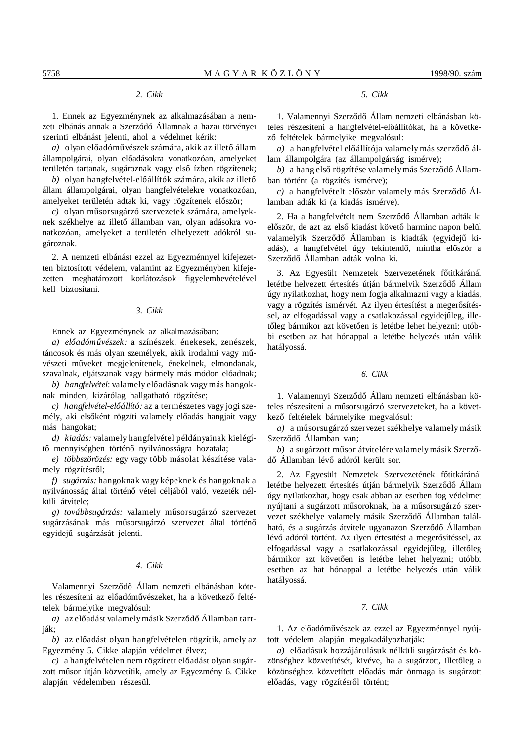# *2. Cikk*

1. Ennek az Egyezménynek az alkalmazásában a nemzeti elbánás annak a Szerződő Államnak a hazai törvényei szerinti elbánást jelenti, ahol a védelmet kérik:

*a*) olyan előadóművészek számára, akik az illető állam állampolgárai, olyan előadásokra vonatkozóan, amelyeket területén tartanak, sugároznak vagy első ízben rögzítenek;

*b*) olyan hangfelvétel-előállítók számára, akik az illető állam állampolgárai, olyan hangfelvételekre vonatkozóan, amelyeket területén adtak ki, vagy rögzítenek először;

 $c)$  olyan műsorsugárzó szervezetek számára, amelyeknek székhelye az illető államban van, olyan adásokra vonatkozóan, amelyeket a területén elhelyezett adókról sugároznak.

2. A nemzeti elbánást ezzel az Egyezménnyel kifejezetten biztosított védelem, valamint az Egyezményben kifejezetten meghatározott korlátozások figyelembevételével kell biztosítani.

#### *3. Cikk*

Ennek az Egyezménynek az alkalmazásában:

*a) el´´oadóm´´uvészek:* a színészek, énekesek, zenészek, táncosok és más olyan személyek, akik irodalmi vagy művészeti műveket megjelenítenek, énekelnek, elmondanak, szavalnak, eljátszanak vagy bármely más módon előadnak;

*b*) *hangfelvétel*: valamely előadásnak vagy más hangoknak minden, kizárólag hallgatható rögzítése;

*c)* hangfelvétel-előállító: az a természetes vagy jogi személy, aki elsőként rögzíti valamely előadás hangjait vagy más hangokat;

*d) kiadás:* valamely hangfelvétel példányainak kielégítő mennyiségben történő nyilvánosságra hozatala;

*e) többszörözés:* egy vagy több másolat készítése valamely rögzítésről;

*f) sugárzás:* hangoknak vagy képeknek és hangoknak a nyilvánosság által történő vétel céljából való, vezeték nélküli átvitele;

g) *továbbsugárzás:* valamely műsorsugárzó szervezet sugárzásának más műsorsugárzó szervezet által történő egyidejű sugárzását jelenti.

#### *4. Cikk*

Valamennyi Szerződő Állam nemzeti elbánásban köteles részesíteni az előadóművészeket, ha a következő feltételek bármelyike megvalósul:

*a*) az előadást valamely másik Szerződő Államban tartják;

*b*) az előadást olyan hangfelvételen rögzítik, amely az Egyezmény 5. Cikke alapján védelmet élvez;

 $c)$  a hangfelvételen nem rögzített előadást olyan sugárzott műsor útján közvetítik, amely az Egyezmény 6. Cikke alapján védelemben részesül.

# *5. Cikk*

1. Valamennyi Szerződő Állam nemzeti elbánásban köteles részesíteni a hangfelvétel-előállítókat, ha a következő feltételek bármelyike megvalósul:

*a*) a hangfelvétel előállítója valamely más szerződő állam állampolgára (az állampolgárság ismérve);

*b*) a hang első rögzítése valamely más Szerződő Államban történt (a rögzítés ismérve);

 $c)$  a hangfelvételt először valamely más Szerződő Államban adták ki (a kiadás ismérve).

2. Ha a hangfelvételt nem Szerződő Államban adták ki először, de azt az első kiadást követő harminc napon belül valamelyik Szerződő Államban is kiadták (egyidejű kiadás), a hangfelvétel úgy tekintendő, mintha először a Szerződő Államban adták volna ki.

3. Az Egyesült Nemzetek Szervezetének főtitkáránál letétbe helyezett értesítés útján bármelyik Szerződő Állam úgy nyilatkozhat, hogy nem fogja alkalmazni vagy a kiadás, vagy a rögzítés ismérvét. Az ilyen értesítést a megerősítéssel, az elfogadással vagy a csatlakozással egyidejűleg, illetőleg bármikor azt követően is letétbe lehet helyezni; utóbbi esetben az hat hónappal a letétbe helyezés után válik hatályossá.

# *6. Cikk*

1. Valamennyi Szerződő Állam nemzeti elbánásban köteles részesíteni a műsorsugárzó szervezeteket, ha a következő feltételek bármelyike megvalósul:

*a*) a műsorsugárzó szervezet székhelye valamely másik Szerződő Államban van;

*b*) a sugárzott műsor átvitelére valamely másik Szerződő Államban lévő adóról került sor.

2. Az Egyesült Nemzetek Szervezetének főtitkáránál letétbe helyezett értesítés útján bármelyik Szerződő Állam úgy nyilatkozhat, hogy csak abban az esetben fog védelmet nyújtani a sugárzott műsoroknak, ha a műsorsugárzó szervezet székhelye valamely másik Szerződő Államban található, és a sugárzás átvitele ugyanazon Szerződő Államban lévő adóról történt. Az ilyen értesítést a megerősítéssel, az elfogadással vagy a csatlakozással egyidejűleg, illetőleg bármikor azt követően is letétbe lehet helyezni; utóbbi esetben az hat hónappal a letétbe helyezés után válik hatályossá.

#### *7. Cikk*

1. Az előadóművészek az ezzel az Egyezménnyel nyújtott védelem alapján megakadályozhatják:

*a)* el´´oadásuk hozzájárulásuk nélküli sugárzását és közönséghez közvetítését, kivéve, ha a sugárzott, illetőleg a közönséghez közvetített előadás már önmaga is sugárzott előadás, vagy rögzítésről történt;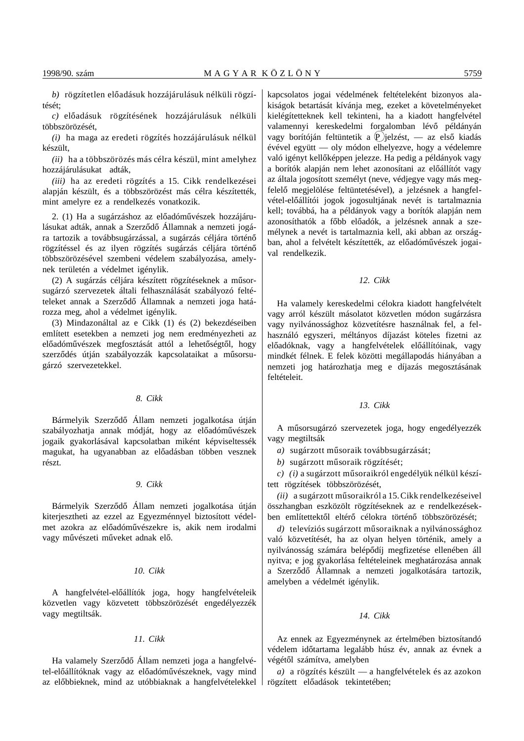*b*) rögzítetlen előadásuk hozzájárulásuk nélküli rögzítését;

*c)* el´´oadásuk rögzítésének hozzájárulásuk nélküli többszörözését,

*(i)* ha maga az eredeti rögzítés hozzájárulásuk nélkül készült,

*(ii)* ha a többszörözés más célra készül, mint amelyhez hozzájárulásukat adták,

*(iii)* ha az eredeti rögzítés a 15. Cikk rendelkezései alapján készült, és a többszörözést más célra készítették, mint amelyre ez a rendelkezés vonatkozik.

2. (1) Ha a sugárzáshoz az előadóművészek hozzájárulásukat adták, annak a Szerződő Államnak a nemzeti jogára tartozik a továbbsugárzással, a sugárzás céljára történő rögzítéssel és az ilyen rögzítés sugárzás céljára történő többszörözésével szembeni védelem szabályozása, amelynek területén a védelmet igénylik.

(2) A sugárzás céljára készített rögzítéseknek a műsorsugárzó szervezetek általi felhasználását szabályozó feltételeket annak a Szerződő Államnak a nemzeti joga határozza meg, ahol a védelmet igénylik.

(3) Mindazonáltal az e Cikk (1) és (2) bekezdéseiben említett esetekben a nemzeti jog nem eredményezheti az előadóművészek megfosztását attól a lehetőségtől, hogy szerződés útján szabályozzák kapcsolataikat a műsorsugárzó szervezetekkel.

# *8. Cikk*

Bármelyik Szerződő Állam nemzeti jogalkotása útján szabályozhatja annak módját, hogy az előadóművészek jogaik gyakorlásával kapcsolatban miként képviseltessék magukat, ha ugyanabban az előadásban többen vesznek részt.

#### *9. Cikk*

Bármelyik Szerződő Állam nemzeti jogalkotása útján kiterjesztheti az ezzel az Egyezménnyel biztosított védelmet azokra az előadóművészekre is, akik nem irodalmi vagy művészeti műveket adnak elő.

#### *10. Cikk*

A hangfelvétel-előállítók joga, hogy hangfelvételeik közvetlen vagy közvetett többszörözését engedélyezzék vagy megtiltsák.

#### *11. Cikk*

Ha valamely Szerződő Állam nemzeti joga a hangfelvétel-előállítóknak vagy az előadóművészeknek, vagy mind az előbbieknek, mind az utóbbiaknak a hangfelvételekkel kapcsolatos jogai védelmének feltételeként bizonyos alakiságok betartását kívánja meg, ezeket a követelményeket kielégítetteknek kell tekinteni, ha a kiadott hangfelvétel valamennyi kereskedelmi forgalomban lévő példányán vagy borítóján feltüntetik a  $\Phi$  jelzést, — az első kiadás évével együtt — oly módon elhelyezve, hogy a védelemre való igényt kellőképpen jelezze. Ha pedig a példányok vagy a borítók alapján nem lehet azonosítani az előállítót vagy az általa jogosított személyt (neve, védjegye vagy más megfelelő megjelölése feltüntetésével), a jelzésnek a hangfelvétel-előállítói jogok jogosultjának nevét is tartalmaznia kell; továbbá, ha a példányok vagy a borítók alapján nem azonosíthatók a főbb előadók, a jelzésnek annak a személynek a nevét is tartalmaznia kell, aki abban az országban, ahol a felvételt készítették, az előadóművészek jogaival rendelkezik.

## *12. Cikk*

Ha valamely kereskedelmi célokra kiadott hangfelvételt vagy arról készült másolatot közvetlen módon sugárzásra vagy nyilvánossághoz közvetítésre használnak fel, a felhasználó egyszeri, méltányos díjazást köteles fizetni az előadóknak, vagy a hangfelvételek előállítóinak, vagy mindkét félnek. E felek közötti megállapodás hiányában a nemzeti jog határozhatja meg e díjazás megosztásának feltételeit.

#### *13. Cikk*

A műsorsugárzó szervezetek joga, hogy engedélyezzék vagy megtiltsák

*a*) sugárzott műsoraik továbbsugárzását;

*b*) sugárzott műsoraik rögzítését;

*c*) *(i)* a sugárzott műsoraikról engedélyük nélkül készített rögzítések többszörözését,

*(ii)* a sugárzott műsoraikról a 15. Cikk rendelkezéseivel összhangban eszközölt rögzítéseknek az e rendelkezésekben említettektől eltérő célokra történő többszörözését;

*d*) televíziós sugárzott műsoraiknak a nyilvánossághoz való közvetítését, ha az olyan helyen történik, amely a nyilvánosság számára belépődíj megfizetése ellenében áll nyitva; e jog gyakorlása feltételeinek meghatározása annak a Szerződő Államnak a nemzeti jogalkotására tartozik, amelyben a védelmét igénylik.

## *14. Cikk*

Az ennek az Egyezménynek az értelmében biztosítandó védelem időtartama legalább húsz év, annak az évnek a végétől számítva, amelyben

*a)* a rögzítés készült — a hangfelvételek és az azokon rögzített előadások tekintetében;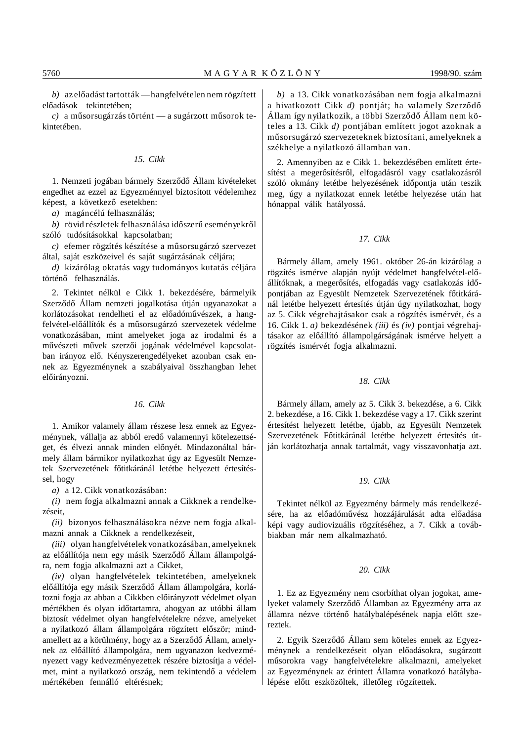*b*) az előadást tartották — hangfelvételen nem rögzített előadások tekintetében;

*c*) a műsorsugárzás történt — a sugárzott műsorok tekintetében.

# *15. Cikk*

1. Nemzeti jogában bármely Szerződő Állam kivételeket engedhet az ezzel az Egyezménnyel biztosított védelemhez képest, a következő esetekben:

*a)* magáncélú felhasználás;

*b*) rövid részletek felhasználása időszerű eseményekről szóló tudósításokkal kapcsolatban;

*c*) efemer rögzítés készítése a műsorsugárzó szervezet által, saját eszközeivel és saját sugárzásának céljára;

*d)* kizárólag oktatás vagy tudományos kutatás céljára történő felhasználás.

2. Tekintet nélkül e Cikk 1. bekezdésére, bármelyik Szerződő Állam nemzeti jogalkotása útján ugyanazokat a korlátozásokat rendelheti el az előadóművészek, a hangfelvétel-előállítók és a műsorsugárzó szervezetek védelme vonatkozásában, mint amelyeket joga az irodalmi és a művészeti művek szerzői jogának védelmével kapcsolatban irányoz elő. Kényszerengedélyeket azonban csak ennek az Egyezménynek a szabályaival összhangban lehet előirányozni.

# *16. Cikk*

1. Amikor valamely állam részese lesz ennek az Egyezménynek, vállalja az abból eredő valamennyi kötelezettséget, és élvezi annak minden előnyét. Mindazonáltal bármely állam bármikor nyilatkozhat úgy az Egyesült Nemzetek Szervezetének főtitkáránál letétbe helyezett értesítéssel, hogy

*a)* a 12. Cikk vonatkozásában:

*(i)* nem fogja alkalmazni annak a Cikknek a rendelkezéseit,

*(ii)* bizonyos felhasználásokra nézve nem fogja alkalmazni annak a Cikknek a rendelkezéseit,

*(iii)* olyan hangfelvételek vonatkozásában, amelyeknek az előállítója nem egy másik Szerződő Állam állampolgára, nem fogja alkalmazni azt a Cikket,

*(iv)* olyan hangfelvételek tekintetében, amelyeknek előállítója egy másik Szerződő Állam állampolgára, korlátozni fogja az abban a Cikkben előirányzott védelmet olyan mértékben és olyan időtartamra, ahogyan az utóbbi állam biztosít védelmet olyan hangfelvételekre nézve, amelyeket a nyilatkozó állam állampolgára rögzített először; mindamellett az a körülmény, hogy az a Szerződő Állam, amelynek az előállító állampolgára, nem ugyanazon kedvezményezett vagy kedvezményezettek részére biztosítja a védelmet, mint a nyilatkozó ország, nem tekintendő a védelem mértékében fennálló eltérésnek;

*b)* a 13. Cikk vonatkozásában nem fogja alkalmazni a hivatkozott Cikk *d*) pontját; ha valamely Szerződő Állam így nyilatkozik, a többi Szerződő Állam nem köteles a 13. Cikk *d)* pontjában említett jogot azoknak a műsorsugárzó szervezeteknek biztosítani, amelyeknek a székhelye a nyilatkozó államban van.

2. Amennyiben az e Cikk 1. bekezdésében említett értesítést a megerősítésről, elfogadásról vagy csatlakozásról szóló okmány letétbe helyezésének időpontja után teszik meg, úgy a nyilatkozat ennek letétbe helyezése után hat hónappal válik hatályossá.

#### *17. Cikk*

Bármely állam, amely 1961. október 26-án kizárólag a rögzítés ismérve alapján nyújt védelmet hangfelvétel-előállítóknak, a megerősítés, elfogadás vagy csatlakozás időpontjában az Egyesült Nemzetek Szervezetének főtitkáránál letétbe helyezett értesítés útján úgy nyilatkozhat, hogy az 5. Cikk végrehajtásakor csak a rögzítés ismérvét, és a 16. Cikk 1. *a)* bekezdésének *(iii)* és *(iv)* pontjai végrehajtásakor az előállító állampolgárságának ismérve helyett a rögzítés ismérvét fogja alkalmazni.

# *18. Cikk*

Bármely állam, amely az 5. Cikk 3. bekezdése, a 6. Cikk 2. bekezdése, a 16. Cikk 1. bekezdése vagy a 17. Cikk szerint értesítést helyezett letétbe, újabb, az Egyesült Nemzetek Szervezetének Főtitkáránál letétbe helyezett értesítés útján korlátozhatja annak tartalmát, vagy visszavonhatja azt.

#### *19. Cikk*

Tekintet nélkül az Egyezmény bármely más rendelkezésére, ha az előadóművész hozzájárulását adta előadása képi vagy audiovizuális rögzítéséhez, a 7. Cikk a továbbiakban már nem alkalmazható.

#### *20. Cikk*

1. Ez az Egyezmény nem csorbíthat olyan jogokat, amelyeket valamely Szerződő Államban az Egyezmény arra az államra nézve történő hatálybalépésének napja előtt szereztek.

2. Egyik Szerződő Állam sem köteles ennek az Egyezménynek a rendelkezéseit olyan előadásokra, sugárzott műsorokra vagy hangfelvételekre alkalmazni, amelyeket az Egyezménynek az érintett Államra vonatkozó hatálybalépése előtt eszközöltek, illetőleg rögzítettek.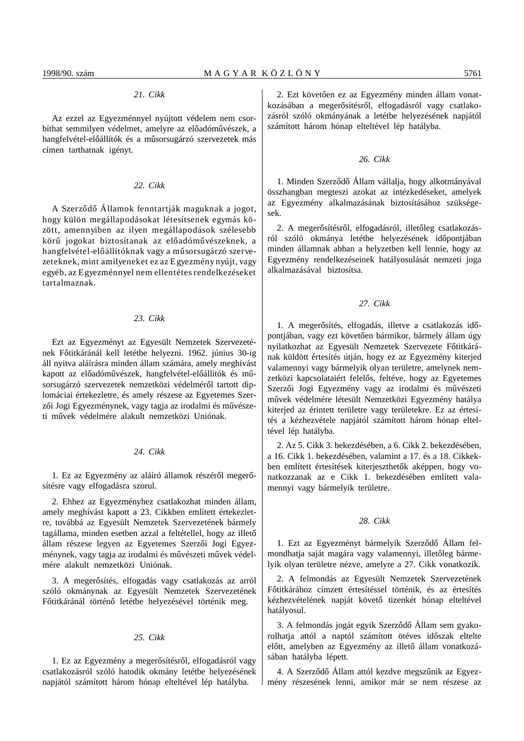# *21. Cikk*

Az ezzel az Egyezménnyel nyújtott védelem nem csorbíthat semmilyen védelmet, amelyre az előadóművészek, a hangfelvétel-előállítók és a műsorsugárzó szervezetek más címen tarthatnak igényt.

#### *22. Cikk*

A Szerződő Államok fenntartják maguknak a jogot, hogy külön megállapodásokat létesítsenek egymás között, amennyiben az ilyen megállapodások szélesebb körű jogokat biztosítanak az előadóművészeknek, a hangfelvétel-előállítóknak vagy a műsorsugárzó szervezeteknek, mint amilyeneket ez az Egyezmény nyújt, vagy egyéb, az Egyezménnyel nem ellentétes rendelkezéseket tartalmaznak.

## *23. Cikk*

Ezt az Egyezményt az Egyesült Nemzetek Szervezetének Főtitkáránál kell letétbe helyezni. 1962. június 30-ig áll nyitva aláírásra minden állam számára, amely meghívást kapott az előadóművészek, hangfelvétel-előállítók és műsorsugárzó szervezetek nemzetközi védelméről tartott diplomáciai értekezletre, és amely részese az Egyetemes Szerzői Jogi Egyezménynek, vagy tagja az irodalmi és művészeti művek védelmére alakult nemzetközi Uniónak.

#### *24. Cikk*

1. Ez az Egyezmény az aláíró államok részéről megerősítésre vagy elfogadásra szorul.

2. Ehhez az Egyezményhez csatlakozhat minden állam, amely meghívást kapott a 23. Cikkben említett értekezletre, továbbá az Egyesült Nemzetek Szervezetének bármely tagállama, minden esetben azzal a feltétellel, hogy az illető állam részese legyen az Egyetemes Szerzői Jogi Egyezménynek, vagy tagja az irodalmi és művészeti művek védelmére alakult nemzetközi Uniónak.

3. A megerősítés, elfogadás vagy csatlakozás az arról szóló okmánynak az Egyesült Nemzetek Szervezetének Főtitkáránál történő letétbe helyezésével történik meg.

#### *25. Cikk*

1. Ez az Egyezmény a megerősítésről, elfogadásról vagy csatlakozásról szóló hatodik okmány letétbe helyezésének napjától számított három hónap elteltével lép hatályba.

2. Ezt követően ez az Egyezmény minden állam vonatkozásában a megerősítésről, elfogadásról vagy csatlakozásról szóló okmányának a letétbe helyezésének napjától számított három hónap elteltével lép hatályba.

#### *26. Cikk*

1. Minden Szerződő Állam vállalja, hogy alkotmányával összhangban megteszi azokat az intézkedéseket, amelyek az Egyezmény alkalmazásának biztosításához szükségesek.

2. A megerősítésről, elfogadásról, illetőleg csatlakozásról szóló okmánya letétbe helyezésének időpontjában minden államnak abban a helyzetben kell lennie, hogy az Egyezmény rendelkezéseinek hatályosulását nemzeti joga alkalmazásával biztosítsa.

#### *27. Cikk*

1. A megerősítés, elfogadás, illetve a csatlakozás időpontjában, vagy ezt követően bármikor, bármely állam úgy nyilatkozhat az Egyesült Nemzetek Szervezete Főtitkárának küldött értesítés útján, hogy ez az Egyezmény kiterjed valamennyi vagy bármelyik olyan területre, amelynek nemzetközi kapcsolataiért felelős, feltéve, hogy az Egyetemes Szerzői Jogi Egyezmény vagy az irodalmi és művészeti művek védelmére létesült Nemzetközi Egyezmény hatálya kiterjed az érintett területre vagy területekre. Ez az értesítés a kézhezvétele napjától számított három hónap elteltével lép hatályba.

2. Az 5. Cikk 3. bekezdésében, a 6. Cikk 2. bekezdésében, a 16. Cikk 1. bekezdésében, valamint a 17. és a 18. Cikkekben említett értesítések kiterjeszthetők aképpen, hogy vonatkozzanak az e Cikk 1. bekezdésében említett valamennyi vagy bármelyik területre.

#### *28. Cikk*

1. Ezt az Egyezményt bármelyik Szerződő Állam felmondhatja saját magára vagy valamennyi, illetőleg bármelyik olyan területre nézve, amelyre a 27. Cikk vonatkozik.

2. A felmondás az Egyesült Nemzetek Szervezetének Főtitkárához címzett értesítéssel történik, és az értesítés kézhezvételének napját követő tizenkét hónap elteltével hatályosul.

3. A felmondás jogát egyik Szerződő Állam sem gyakorolhatja attól a naptól számított ötéves időszak eltelte előtt, amelyben az Egyezmény az illető állam vonatkozásában hatályba lépett.

4. A Szerződő Állam attól kezdve megszűnik az Egyezmény részesének lenni, amikor már se nem részese az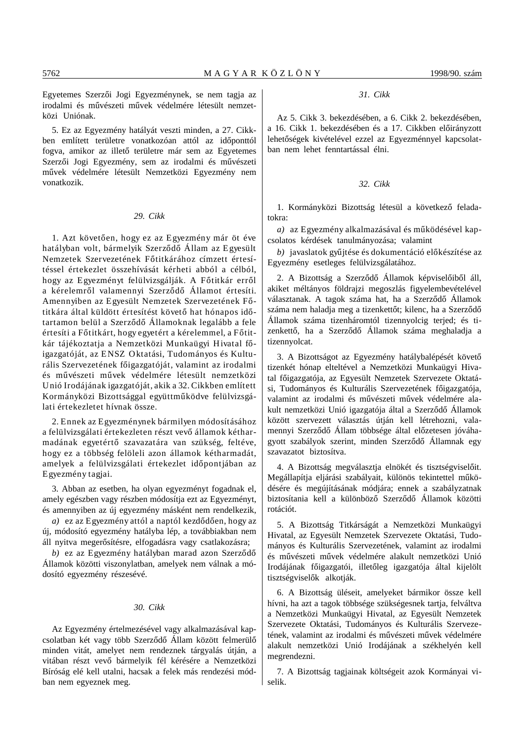Egyetemes Szerzői Jogi Egyezménynek, se nem tagja az irodalmi és művészeti művek védelmére létesült nemzetközi Uniónak.

5. Ez az Egyezmény hatályát veszti minden, a 27. Cikkben említett területre vonatkozóan attól az időponttól fogva, amikor az illető területre már sem az Egyetemes Szerzői Jogi Egyezmény, sem az irodalmi és művészeti művek védelmére létesült Nemzetközi Egyezmény nem vonatkozik.

#### *29. Cikk*

1. Azt követően, hogy ez az Egyezmény már öt éve hatályban volt, bármelyik Szerződő Állam az Egyesült Nemzetek Szervezetének Főtitkárához címzett értesítéssel értekezlet összehívását kérheti abból a célból, hogy az Egyezményt felülvizsgálják. A Főtitkár erről a kérelemről valamennyi Szerződő Államot értesíti. Amennyiben az Egyesült Nemzetek Szervezetének Főtitkára által küldött értesítést követő hat hónapos időtartamon belül a Szerződő Államoknak legalább a fele értesíti a Főtitkárt, hogy egyetért a kérelemmel, a Főtitkár tájékoztatja a Nemzetközi Munkaügyi Hivatal főigazgatóját, az ENSZ Oktatási, Tudományos és Kulturális Szervezetének főigazgatóját, valamint az irodalmi és művészeti művek védelmére létesült nemzetközi Unió Irodájának igazgatóját, akik a 32. Cikkben említett Kormányközi Bizottsággal együttműködve felülvizsgálati értekezletet hívnak össze.

2. Ennek az Egyezménynek bármilyen módosításához a felülvizsgálati értekezleten részt vevő államok kétharmadának egyetértő szavazatára van szükség, feltéve, hogy ez a többség felöleli azon államok kétharmadát, amelyek a felülvizsgálati értekezlet időpontjában az Egyezmény tagjai.

3. Abban az esetben, ha olyan egyezményt fogadnak el, amely egészben vagy részben módosítja ezt az Egyezményt, és amennyiben az új egyezmény másként nem rendelkezik,

*a*) ez az Egyezmény attól a naptól kezdődően, hogy az új, módosító egyezmény hatályba lép, a továbbiakban nem áll nyitva megerősítésre, elfogadásra vagy csatlakozásra;

*b*) ez az Egyezmény hatályban marad azon Szerződő Államok közötti viszonylatban, amelyek nem válnak a módosító egyezmény részesévé.

### *30. Cikk*

Az Egyezmény értelmezésével vagy alkalmazásával kapcsolatban két vagy több Szerződő Állam között felmerülő minden vitát, amelyet nem rendeznek tárgyalás útján, a vitában részt vevő bármelyik fél kérésére a Nemzetközi Bíróság elé kell utalni, hacsak a felek más rendezési módban nem egyeznek meg.

### *31. Cikk*

Az 5. Cikk 3. bekezdésében, a 6. Cikk 2. bekezdésében, a 16. Cikk 1. bekezdésében és a 17. Cikkben előirányzott lehetőségek kivételével ezzel az Egyezménnyel kapcsolatban nem lehet fenntartással élni.

#### *32. Cikk*

1. Kormányközi Bizottság létesül a következő feladatokra:

a) az Egyezmény alkalmazásával és működésével kapcsolatos kérdések tanulmányozása; valamint

*b*) javaslatok gyűjtése és dokumentáció előkészítése az Egyezmény esetleges felülvizsgálatához.

2. A Bizottság a Szerződő Államok képviselőiből áll, akiket méltányos földrajzi megoszlás figyelembevételével választanak. A tagok száma hat, ha a Szerződő Államok száma nem haladja meg a tizenkettőt; kilenc, ha a Szerződő Államok száma tizenháromtól tizennyolcig terjed; és tizenkettő, ha a Szerződő Államok száma meghaladja a tizennyolcat.

3. A Bizottságot az Egyezmény hatálybalépését követő tizenkét hónap elteltével a Nemzetközi Munkaügyi Hivatal főigazgatója, az Egyesült Nemzetek Szervezete Oktatási, Tudományos és Kulturális Szervezetének főigazgatója, valamint az irodalmi és művészeti művek védelmére alakult nemzetközi Unió igazgatója által a Szerződő Államok között szervezett választás útján kell létrehozni, valamennyi Szerződő Állam többsége által előzetesen jóváhagyott szabályok szerint, minden Szerződő Államnak egy szavazatot biztosítva.

4. A Bizottság megválasztja elnökét és tisztségviselőit. Megállapítja eljárási szabályait, különös tekintettel működésére és megújításának módjára; ennek a szabályzatnak biztosítania kell a különböző Szerződő Államok közötti rotációt.

5. A Bizottság Titkárságát a Nemzetközi Munkaügyi Hivatal, az Egyesült Nemzetek Szervezete Oktatási, Tudományos és Kulturális Szervezetének, valamint az irodalmi és művészeti művek védelmére alakult nemzetközi Unió Irodájának főigazgatói, illetőleg igazgatója által kijelölt tisztségviselők alkotják.

6. A Bizottság üléseit, amelyeket bármikor össze kell hívni, ha azt a tagok többsége szükségesnek tartja, felváltva a Nemzetközi Munkaügyi Hivatal, az Egyesült Nemzetek Szervezete Oktatási, Tudományos és Kulturális Szervezetének, valamint az irodalmi és művészeti művek védelmére alakult nemzetközi Unió Irodájának a székhelyén kell megrendezni.

7. A Bizottság tagjainak költségeit azok Kormányai viselik.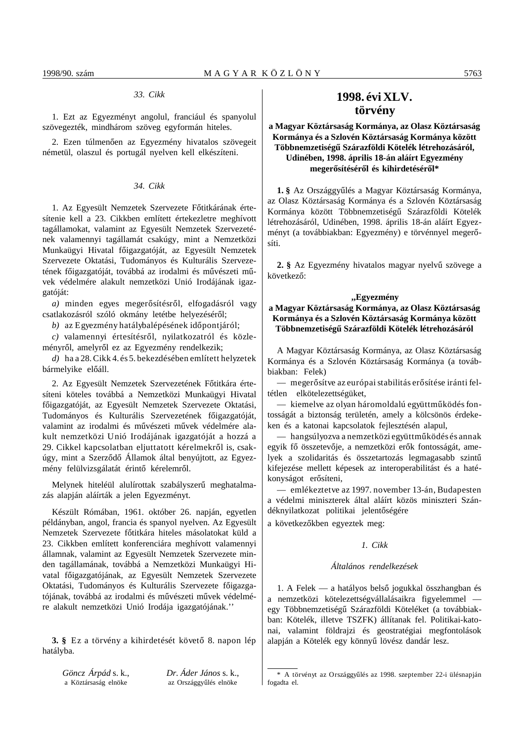#### *33. Cikk*

1. Ezt az Egyezményt angolul, franciául és spanyolul szövegezték, mindhárom szöveg egyformán hiteles.

2. Ezen túlmenően az Egyezmény hivatalos szövegeit németül, olaszul és portugál nyelven kell elkészíteni.

#### *34. Cikk*

1. Az Egyesült Nemzetek Szervezete Főtitkárának értesítenie kell a 23. Cikkben említett értekezletre meghívott tagállamokat, valamint az Egyesült Nemzetek Szervezetének valamennyi tagállamát csakúgy, mint a Nemzetközi Munkaügyi Hivatal főigazgatóját, az Egyesült Nemzetek Szervezete Oktatási, Tudományos és Kulturális Szervezetének főigazgatóját, továbbá az irodalmi és művészeti művek védelmére alakult nemzetközi Unió Irodájának igazgatóját:

a) minden egyes megerősítésről, elfogadásról vagy csatlakozásról szóló okmány letétbe helyezéséről;

*b*) az Egyezmény hatálybalépésének időpontjáról;

 $c)$  valamennyi értesítésről, nyilatkozatról és közleményről, amelyről ez az Egyezmény rendelkezik;

*d)* ha a 28. Cikk 4. és 5. bekezdésében említett helyzetek bármelyike előáll.

2. Az Egyesült Nemzetek Szervezetének Főtitkára értesíteni köteles továbbá a Nemzetközi Munkaügyi Hivatal főigazgatóját, az Egyesült Nemzetek Szervezete Oktatási, Tudományos és Kulturális Szervezetének főigazgatóját, valamint az irodalmi és művészeti művek védelmére alakult nemzetközi Unió Irodájának igazgatóját a hozzá a 29. Cikkel kapcsolatban eljuttatott kérelmekről is, csakúgy, mint a Szerződő Államok által benyújtott, az Egyezmény felülvizsgálatát érintő kérelemről.

Melynek hiteléül alulírottak szabályszerű meghatalmazás alapján aláírták a jelen Egyezményt.

Készült Rómában, 1961. október 26. napján, egyetlen példányban, angol, francia és spanyol nyelven. Az Egyesült Nemzetek Szervezete főtitkára hiteles másolatokat küld a 23. Cikkben említett konferenciára meghívott valamennyi államnak, valamint az Egyesült Nemzetek Szervezete minden tagállamának, továbbá a Nemzetközi Munkaügyi Hivatal főigazgatójának, az Egyesült Nemzetek Szervezete Oktatási, Tudományos és Kulturális Szervezete főigazgatójának, továbbá az irodalmi és művészeti művek védelmére alakult nemzetközi Unió Irodája igazgatójának.''

**3.** § Ez a törvény a kihirdetését követő 8. napon lép hatályba.

*Göncz Árpád* s. k., *Dr. Áder János* s. k.,

a Köztársaság elnöke az Országgyűlés elnöke

# **1998. évi XLV. törvény**

# **a Magyar Köztársaság Kormánya, az Olasz Köztársaság Kormánya és a Szlovén Köztársaság Kormánya között** Többnemzetiségű Szárazföldi Kötelék létrehozásáról, **Udinében, 1998. április 18-án aláírt Egyezmény** megerősítéséről és kihirdetéséről\*

1. § Az Országgyűlés a Magyar Köztársaság Kormánya, az Olasz Köztársaság Kormánya és a Szlovén Köztársaság Kormánya között Többnemzetiségű Szárazföldi Kötelék létrehozásáról, Udinében, 1998. április 18-án aláírt Egyezményt (a továbbiakban: Egyezmény) e törvénnyel megerősíti.

**2.** § Az Egyezmény hivatalos magyar nyelvű szövege a következő:

# **,,Egyezmény**

# **a Magyar Köztársaság Kormánya, az Olasz Köztársaság Kormánya és a Szlovén Köztársaság Kormánya között** Többnemzetiségű Szárazföldi Kötelék létrehozásáról

A Magyar Köztársaság Kormánya, az Olasz Köztársaság Kormánya és a Szlovén Köztársaság Kormánya (a továbbiakban: Felek)

— megerősítve az európai stabilitás erősítése iránti feltétlen elkötelezettségüket,

— kiemelve az olyan háromoldalú együttműködés fontosságát a biztonság területén, amely a kölcsönös érdekeken és a katonai kapcsolatok fejlesztésén alapul,

— hangsúlyozva a nemzetközi együttműködés és annak egyik fő összetevője, a nemzetközi erők fontosságát, amelyek a szolidaritás és összetartozás legmagasabb szintű kifejezése mellett képesek az interoperabilitást és a hatékonyságot erősíteni,

— emlékeztetve az 1997. november 13-án, Budapesten a védelmi miniszterek által aláírt közös miniszteri Szándéknyilatkozat politikai jelentőségére

a következőkben egyeztek meg:

## *1. Cikk*

#### *Általános rendelkezések*

1. A Felek — a hatályos belső jogukkal összhangban és a nemzetközi kötelezettségvállalásaikra figyelemmel egy Többnemzetiségű Szárazföldi Köteléket (a továbbiakban: Kötelék, illetve TSZFK) állítanak fel. Politikai-katonai, valamint földrajzi és geostratégiai megfontolások alapján a Kötelék egy könnyű lövész dandár lesz.

<sup>\*</sup> A törvényt az Országgyűlés az 1998. szeptember 22-i ülésnapján fogadta el.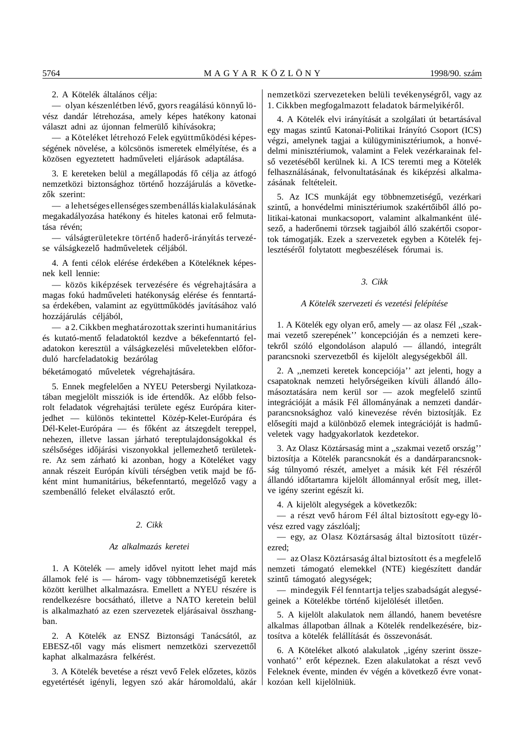2. A Kötelék általános célja:

— olyan készenlétben lévő, gyors reagálású könnyű lövész dandár létrehozása, amely képes hatékony katonai választ adni az újonnan felmerülő kihívásokra;

— a Köteléket létrehozó Felek együttműködési képességének növelése, a kölcsönös ismeretek elmélyítése, és a közösen egyeztetett hadműveleti eljárások adaptálása.

3. E kereteken belül a megállapodás fő célja az átfogó nemzetközi biztonsághoz történő hozzájárulás a következők szerint:

— a lehetséges ellenséges szembenállás kialakulásának megakadályozása hatékony és hiteles katonai erő felmutatása révén;

— válságterületekre történő haderő-irányítás tervezése válságkezelő hadműveletek céljából.

4. A fenti célok elérése érdekében a Köteléknek képesnek kell lennie:

— közös kiképzések tervezésére és végrehajtására a magas fokú hadműveleti hatékonyság elérése és fenntartása érdekében, valamint az együttműködés javításához való hozzájárulás céljából,

— a 2. Cikkben meghatározottak szerinti humanitárius és kutató-mentő feladatoktól kezdve a békefenntartó feladatokon keresztül a válságkezelési műveletekben előforduló harcfeladatokig bezárólag

béketámogató műveletek végrehajtására.

5. Ennek megfelelően a NYEU Petersbergi Nyilatkozatában megjelölt missziók is ide értendők. Az előbb felsorolt feladatok végrehajtási területe egész Európára kiterjedhet — különös tekintettel Közép-Kelet-Európára és Dél-Kelet-Európára — és főként az átszegdelt tereppel, nehezen, illetve lassan járható tereptulajdonságokkal és szélsőséges időjárási viszonyokkal jellemezhető területekre. Az sem zárható ki azonban, hogy a Köteléket vagy annak részeit Európán kívüli térségben vetik majd be főként mint humanitárius, békefenntartó, megelőző vagy a szembenálló feleket elválasztó erőt.

# *2. Cikk*

#### *Az alkalmazás keretei*

1. A Kötelék — amely idővel nyitott lehet majd más államok felé is — három- vagy többnemzetiségű keretek között kerülhet alkalmazásra. Emellett a NYEU részére is rendelkezésre bocsátható, illetve a NATO keretein belül is alkalmazható az ezen szervezetek eljárásaival összhangban.

2. A Kötelék az ENSZ Biztonsági Tanácsától, az EBESZ-től vagy más elismert nemzetközi szervezettől kaphat alkalmazásra felkérést.

3. A Kötelék bevetése a részt vevő Felek előzetes, közös egyetértését igényli, legyen szó akár háromoldalú, akár nemzetközi szervezeteken belüli tevékenységről, vagy az 1. Cikkben megfogalmazott feladatok bármelyikéről.

4. A Kötelék elvi irányítását a szolgálati út betartásával egy magas szintű Katonai-Politikai Irányító Csoport (ICS) végzi, amelynek tagjai a külügyminisztériumok, a honvédelmi minisztériumok, valamint a Felek vezérkarainak felső vezetéséből kerülnek ki. A ICS teremti meg a Kötelék felhasználásának, felvonultatásának és kiképzési alkalmazásának feltételeit.

5. Az ICS munkáját egy többnemzetiségű, vezérkari szintű, a honvédelmi minisztériumok szakértőiből álló politikai-katonai munkacsoport, valamint alkalmanként ülésező, a haderőnemi törzsek tagjaiból álló szakértői csoportok támogatják. Ezek a szervezetek egyben a Kötelék fejlesztéséről folytatott megbeszélések fórumai is.

### *3. Cikk*

#### *A Kötelék szervezeti és vezetési felépítése*

1. A Kötelék egy olyan erő, amely — az olasz Fél "szakmai vezető szerepének'' koncepcióján és a nemzeti keretekről szóló elgondoláson alapuló - állandó, integrált parancsnoki szervezetből és kijelölt alegységekből áll.

2. A ,,nemzeti keretek koncepciója'' azt jelenti, hogy a csapatoknak nemzeti helyőrségeiken kívüli állandó állomásoztatására nem kerül sor - azok megfelelő szintű integrációját a másik Fél állományának a nemzeti dandárparancsnoksághoz való kinevezése révén biztosítják. Ez elősegíti majd a különböző elemek integrációját is hadműveletek vagy hadgyakorlatok kezdetekor.

3. Az Olasz Köztársaság mint a "szakmai vezető ország" biztosítja a Kötelék parancsnokát és a dandárparancsnokság túlnyomó részét, amelyet a másik két Fél részéről állandó időtartamra kijelölt állománnyal erősít meg, illetve igény szerint egészít ki.

4. A kijelölt alegységek a következők:

— a részt vevő három Fél által biztosított egy-egy lövész ezred vagy zászlóalj;

— egy, az Olasz Köztársaság által biztosított tüzérezred;

— az Olasz Köztársaság által biztosított és a megfelel´´o nemzeti támogató elemekkel (NTE) kiegészített dandár szintű támogató alegységek;

— mindegyik Fél fenntartja teljes szabadságát alegységeinek a Kötelékbe történő kijelölését illetően.

5. A kijelölt alakulatok nem állandó, hanem bevetésre alkalmas állapotban állnak a Kötelék rendelkezésére, biztosítva a kötelék felállítását és összevonását.

6. A Köteléket alkotó alakulatok ,,igény szerint összevonható" erőt képeznek. Ezen alakulatokat a részt vevő Feleknek évente, minden év végén a következő évre vonatkozóan kell kijelölniük.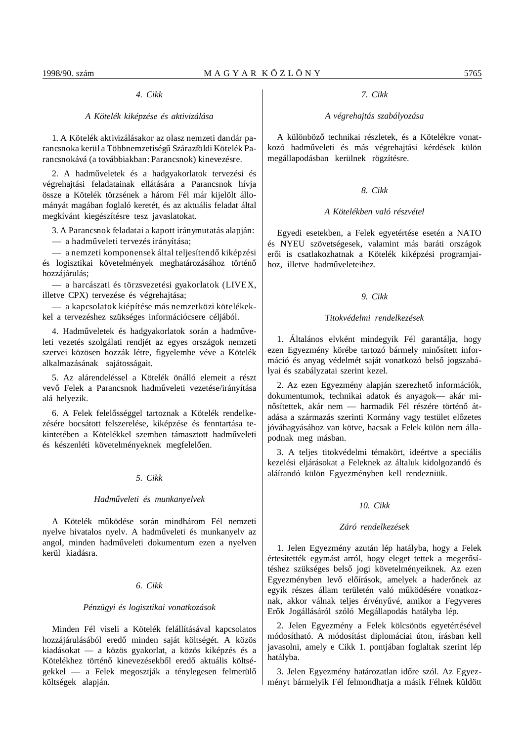# *4. Cikk*

## *A Kötelék kiképzése és aktivizálása*

1. A Kötelék aktivizálásakor az olasz nemzeti dandár parancsnoka kerül a Többnemzetiségű Szárazföldi Kötelék Parancsnokává (a továbbiakban: Parancsnok) kinevezésre.

2. A hadműveletek és a hadgyakorlatok tervezési és végrehajtási feladatainak ellátására a Parancsnok hívja össze a Kötelék törzsének a három Fél már kijelölt állományát magában foglaló keretét, és az aktuális feladat által megkívánt kiegészítésre tesz javaslatokat.

3. A Parancsnok feladatai a kapott iránymutatás alapján: — a hadműveleti tervezés irányítása;

— a nemzeti komponensek által teljesítendő kiképzési és logisztikai követelmények meghatározásához történő hozzájárulás;

— a harcászati és törzsvezetési gyakorlatok (LIVEX, illetve CPX) tervezése és végrehajtása;

— a kapcsolatok kiépítése más nemzetközi kötelékekkel a tervezéshez szükséges információcsere céljából.

4. Hadműveletek és hadgyakorlatok során a hadműveleti vezetés szolgálati rendjét az egyes országok nemzeti szervei közösen hozzák létre, figyelembe véve a Kötelék alkalmazásának sajátosságait.

5. Az alárendeléssel a Kötelék önálló elemeit a részt vevő Felek a Parancsnok hadműveleti vezetése/irányítása alá helyezik.

6. A Felek felelősséggel tartoznak a Kötelék rendelkezésére bocsátott felszerelése, kiképzése és fenntartása tekintetében a Kötelékkel szemben támasztott hadműveleti és készenléti követelményeknek megfelelően.

# *5. Cikk*

#### *Hadm´´uveleti és munkanyelvek*

A Kötelék működése során mindhárom Fél nemzeti nyelve hivatalos nyelv. A hadműveleti és munkanyelv az angol, minden hadműveleti dokumentum ezen a nyelven kerül kiadásra.

# *6. Cikk*

#### *Pénzügyi és logisztikai vonatkozások*

Minden Fél viseli a Kötelék felállításával kapcsolatos hozzájárulásából eredő minden saját költségét. A közös kiadásokat — a közös gyakorlat, a közös kiképzés és a Kötelékhez történő kinevezésekből eredő aktuális költségekkel — a Felek megosztják a ténylegesen felmerülő költségek alapján.

#### *7. Cikk*

#### *A végrehajtás szabályozása*

A különböző technikai részletek, és a Kötelékre vonatkozó hadműveleti és más végrehajtási kérdések külön megállapodásban kerülnek rögzítésre.

# *8. Cikk*

#### *A Kötelékben való részvétel*

Egyedi esetekben, a Felek egyetértése esetén a NATO és NYEU szövetségesek, valamint más baráti országok erői is csatlakozhatnak a Kötelék kiképzési programjaihoz, illetve hadműveleteihez.

# *9. Cikk*

#### *Titokvédelmi rendelkezések*

1. Általános elvként mindegyik Fél garantálja, hogy ezen Egyezmény körébe tartozó bármely minősített információ és anyag védelmét saját vonatkozó belső jogszabályai és szabályzatai szerint kezel.

2. Az ezen Egyezmény alapján szerezhető információk, dokumentumok, technikai adatok és anyagok— akár minősítettek, akár nem - harmadik Fél részére történő átadása a származás szerinti Kormány vagy testület előzetes jóváhagyásához van kötve, hacsak a Felek külön nem állapodnak meg másban.

3. A teljes titokvédelmi témakört, ideértve a speciális kezelési eljárásokat a Feleknek az általuk kidolgozandó és aláírandó külön Egyezményben kell rendezniük.

#### *10. Cikk*

#### *Záró rendelkezések*

1. Jelen Egyezmény azután lép hatályba, hogy a Felek értesítették egymást arról, hogy eleget tettek a megerősítéshez szükséges belső jogi követelményeiknek. Az ezen Egyezményben levő előírások, amelyek a haderőnek az egyik részes állam területén való működésére vonatkoznak, akkor válnak teljes érvényűvé, amikor a Fegyveres Erők Jogállásáról szóló Megállapodás hatályba lép.

2. Jelen Egyezmény a Felek kölcsönös egyetértésével módosítható. A módosítást diplomáciai úton, írásban kell javasolni, amely e Cikk 1. pontjában foglaltak szerint lép hatályba.

3. Jelen Egyezmény határozatlan időre szól. Az Egyezményt bármelyik Fél felmondhatja a másik Félnek küldött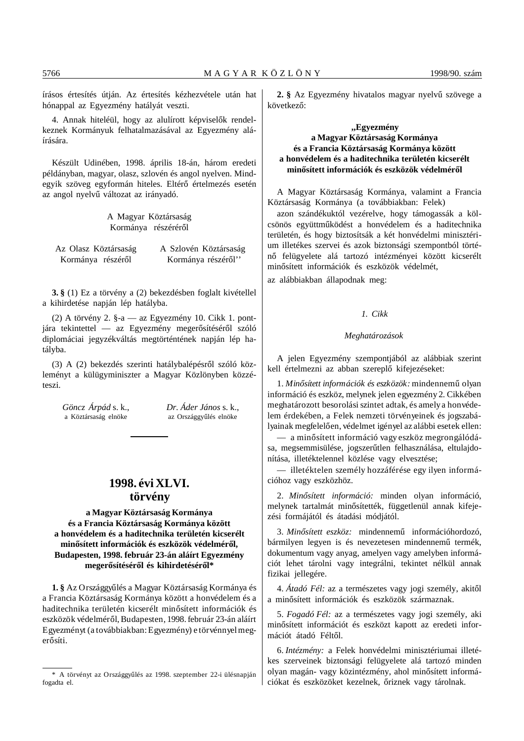írásos értesítés útján. Az értesítés kézhezvétele után hat hónappal az Egyezmény hatályát veszti.

4. Annak hiteléül, hogy az alulírott képviselők rendelkeznek Kormányuk felhatalmazásával az Egyezmény aláírására.

Készült Udinében, 1998. április 18-án, három eredeti példányban, magyar, olasz, szlovén és angol nyelven. Mindegyik szöveg egyformán hiteles. Eltérő értelmezés esetén az angol nyelvű változat az irányadó.

> A Magyar Köztársaság Kormánya részéréről

Az Olasz Köztársaság A Szlovén Köztársaság Kormánya részéről Kormánya részéről''

**3. §** (1) Ez a törvény a (2) bekezdésben foglalt kivétellel a kihirdetése napján lép hatályba.

(2) A törvény 2. §-a — az Egyezmény 10. Cikk 1. pontjára tekintettel — az Egyezmény megerősítéséről szóló diplomáciai jegyzékváltás megtörténtének napján lép hatályba.

(3) A (2) bekezdés szerinti hatálybalépésről szóló közleményt a külügyminiszter a Magyar Közlönyben közzéteszi.

*Göncz Árpád* s. k., *Dr. Áder János* s. k., a Köztársaság elnöke az Országgyűlés elnöke

# **1998. évi XLVI. törvény**

**a Magyar Köztársaság Kormánya és a Francia Köztársaság Kormánya között a honvédelem és a haditechnika területén kicserélt** minősített információk és eszközök védelméről, **Budapesten, 1998. február 23-án aláírt Egyezmény** megerősítéséről és kihirdetéséről\*

**1. §** Az Országgyűlés a Magyar Köztársaság Kormánya és a Francia Köztársaság Kormánya között a honvédelem és a haditechnika területén kicserélt minősített információk és eszközök védelméről, Budapesten, 1998. február 23-án aláírt Egyezményt (a továbbiakban: Egyezmény) e törvénnyel megerősíti.

2. § Az Egyezmény hivatalos magyar nyelvű szövege a következő:

# **,,Egyezmény a Magyar Köztársaság Kormánya és a Francia Köztársaság Kormánya között a honvédelem és a haditechnika területén kicserélt** minősített információk és eszközök védelméről

A Magyar Köztársaság Kormánya, valamint a Francia Köztársaság Kormánya (a továbbiakban: Felek)

azon szándékuktól vezérelve, hogy támogassák a kölcsönös együttműködést a honvédelem és a haditechnika területén, és hogy biztosítsák a két honvédelmi minisztérium illetékes szervei és azok biztonsági szempontból történő felügyelete alá tartozó intézményei között kicserélt minősített információk és eszközök védelmét,

az alábbiakban állapodnak meg:

# *1. Cikk*

### *Meghatározások*

A jelen Egyezmény szempontjából az alábbiak szerint kell értelmezni az abban szereplő kifejezéseket:

1. Minősített információk és eszközök: mindennemű olyan információ és eszköz, melynek jelen egyezmény 2. Cikkében meghatározott besorolási szintet adtak, és amely a honvédelem érdekében, a Felek nemzeti törvényeinek és jogszabályainak megfelelően, védelmet igényel az alábbi esetek ellen:

 $-$  a minősített információ vagy eszköz megrongálódása, megsemmisülése, jogszerűtlen felhasználása, eltulajdonítása, illetéktelennel közlése vagy elvesztése;

— illetéktelen személy hozzáférése egy ilyen információhoz vagy eszközhöz.

2. Minősített információ: minden olyan információ, melynek tartalmát minősítették, függetlenül annak kifejezési formájától és átadási módjától.

3. Minősített eszköz: mindennemű információhordozó, bármilyen legyen is és nevezetesen mindennemű termék, dokumentum vagy anyag, amelyen vagy amelyben információt lehet tárolni vagy integrálni, tekintet nélkül annak fizikai jellegére.

4. Átadó Fél: az a természetes vagy jogi személy, akitől a minősített információk és eszközök származnak.

5. *Fogadó Fél:* az a természetes vagy jogi személy, aki minősített információt és eszközt kapott az eredeti információt átadó Féltől.

6. *Intézmény:* a Felek honvédelmi minisztériumai illetékes szerveinek biztonsági felügyelete alá tartozó minden olyan magán- vagy közintézmény, ahol minősített információkat és eszközöket kezelnek, őriznek vagy tárolnak.

<sup>\*</sup> A törvényt az Országgyűlés az 1998. szeptember 22-i ülésnapján fogadta el.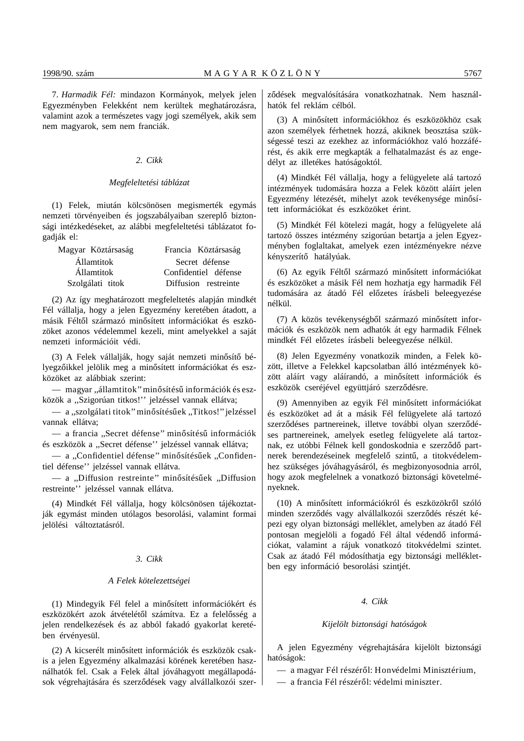7. *Harmadik Fél:* mindazon Kormányok, melyek jelen Egyezményben Felekként nem kerültek meghatározásra, valamint azok a természetes vagy jogi személyek, akik sem nem magyarok, sem nem franciák.

#### *2. Cikk*

#### *Megfeleltetési táblázat*

(1) Felek, miután kölcsönösen megismerték egymás nemzeti törvényeiben és jogszabályaiban szereplő biztonsági intézkedéseket, az alábbi megfeleltetési táblázatot fogadják el:

| Magyar Köztársaság | Francia Köztársaság  |  |
|--------------------|----------------------|--|
| Államtitok         | Secret défense       |  |
| <b>Államtitok</b>  | Confidentiel défense |  |
| Szolgálati titok   | Diffusion restreinte |  |

(2) Az így meghatározott megfeleltetés alapján mindkét Fél vállalja, hogy a jelen Egyezmény keretében átadott, a másik Féltől származó minősített információkat és eszközöket azonos védelemmel kezeli, mint amelyekkel a saját nemzeti információit védi.

(3) A Felek vállalják, hogy saját nemzeti minősítő bélyegzőikkel jelölik meg a minősített információkat és eszközöket az alábbiak szerint:

— magyar "államtitok" minősítésű információk és eszközök a ,,Szigorúan titkos!'' jelzéssel vannak ellátva;

— a "szolgálati titok" minősítésűek "Titkos!" jelzéssel vannak ellátva;

— a francia "Secret défense" minősítésű információk és eszközök a ,,Secret défense'' jelzéssel vannak ellátva;

- a "Confidentiel défense" minősítésűek "Confidentiel défense'' jelzéssel vannak ellátva.

— a "Diffusion restreinte" minősítésűek "Diffusion restreinte'' jelzéssel vannak ellátva.

(4) Mindkét Fél vállalja, hogy kölcsönösen tájékoztatják egymást minden utólagos besorolási, valamint formai jelölési változtatásról.

# *3. Cikk*

# *A Felek kötelezettségei*

(1) Mindegyik Fél felel a minősített információkért és eszközökért azok átvételétől számítva. Ez a felelősség a jelen rendelkezések és az abból fakadó gyakorlat keretében érvényesül.

(2) A kicserélt minősített információk és eszközök csakis a jelen Egyezmény alkalmazási körének keretében használhatók fel. Csak a Felek által jóváhagyott megállapodások végrehajtására és szerződések vagy alvállalkozói szerződések megvalósítására vonatkozhatnak. Nem használhatók fel reklám célból.

(3) A minősített információkhoz és eszközökhöz csak azon személyek férhetnek hozzá, akiknek beosztása szükségessé teszi az ezekhez az információkhoz való hozzáférést, és akik erre megkapták a felhatalmazást és az engedélyt az illetékes hatóságoktól.

(4) Mindkét Fél vállalja, hogy a felügyelete alá tartozó intézmények tudomására hozza a Felek között aláírt jelen Egyezmény létezését, mihelyt azok tevékenysége minősített információkat és eszközöket érint.

(5) Mindkét Fél kötelezi magát, hogy a felügyelete alá tartozó összes intézmény szigorúan betartja a jelen Egyezményben foglaltakat, amelyek ezen intézményekre nézve kényszerítő hatályúak.

(6) Az egyik Féltől származó minősített információkat és eszközöket a másik Fél nem hozhatja egy harmadik Fél tudomására az átadó Fél előzetes írásbeli beleegyezése nélkül.

(7) A közös tevékenységből származó minősített információk és eszközök nem adhatók át egy harmadik Félnek mindkét Fél előzetes írásbeli beleegyezése nélkül.

(8) Jelen Egyezmény vonatkozik minden, a Felek között, illetve a Felekkel kapcsolatban álló intézmények között aláírt vagy aláírandó, a minősített információk és eszközök cseréjével együttjáró szerződésre.

(9) Amennyiben az egyik Fél minősített információkat és eszközöket ad át a másik Fél felügyelete alá tartozó szerződéses partnereinek, illetve további olyan szerződéses partnereinek, amelyek esetleg felügyelete alá tartoznak, ez utóbbi Félnek kell gondoskodnia e szerződő partnerek berendezéseinek megfelelő szintű, a titokvédelemhez szükséges jóváhagyásáról, és megbizonyosodnia arról, hogy azok megfelelnek a vonatkozó biztonsági követelményeknek.

(10) A minősített információkról és eszközökről szóló minden szerződés vagy alvállalkozói szerződés részét képezi egy olyan biztonsági melléklet, amelyben az átadó Fél pontosan megjelöli a fogadó Fél által védendő információkat, valamint a rájuk vonatkozó titokvédelmi szintet. Csak az átadó Fél módosíthatja egy biztonsági mellékletben egy információ besorolási szintjét.

# *4. Cikk*

#### *Kijelölt biztonsági hatóságok*

A jelen Egyezmény végrehajtására kijelölt biztonsági hatóságok:

- a magyar Fél részéről: Honvédelmi Minisztérium,
- a francia Fél részéről: védelmi miniszter.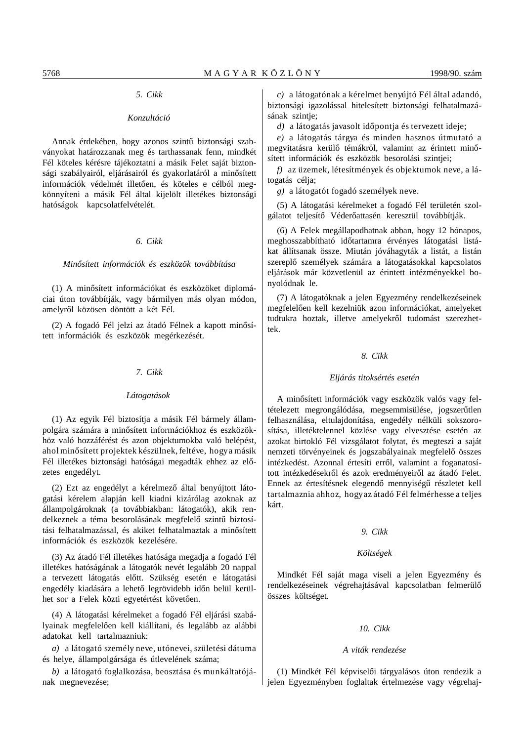# *5. Cikk*

#### *Konzultáció*

Annak érdekében, hogy azonos szintű biztonsági szabványokat határozzanak meg és tarthassanak fenn, mindkét Fél köteles kérésre tájékoztatni a másik Felet saját biztonsági szabályairól, eljárásairól és gyakorlatáról a minősített információk védelmét illetően, és köteles e célból megkönnyíteni a másik Fél által kijelölt illetékes biztonsági hatóságok kapcsolatfelvételét.

#### *6. Cikk*

#### *Min´´osített információk és eszközök továbbítása*

(1) A minősített információkat és eszközöket diplomáciai úton továbbítják, vagy bármilyen más olyan módon, amelyről közösen döntött a két Fél.

 $(2)$  A fogadó Fél jelzi az átadó Félnek a kapott minősített információk és eszközök megérkezését.

#### *7. Cikk*

#### *Látogatások*

(1) Az egyik Fél biztosítja a másik Fél bármely állampolgára számára a minősített információkhoz és eszközökhöz való hozzáférést és azon objektumokba való belépést, ahol minősített projektek készülnek, feltéve, hogy a másik Fél illetékes biztonsági hatóságai megadták ehhez az előzetes engedélyt.

(2) Ezt az engedélyt a kérelmező által benyújtott látogatási kérelem alapján kell kiadni kizárólag azoknak az állampolgároknak (a továbbiakban: látogatók), akik rendelkeznek a téma besorolásának megfelelő szintű biztosítási felhatalmazással, és akiket felhatalmaztak a minősített információk és eszközök kezelésére.

(3) Az átadó Fél illetékes hatósága megadja a fogadó Fél illetékes hatóságának a látogatók nevét legalább 20 nappal a tervezett látogatás előtt. Szükség esetén e látogatási engedély kiadására a lehető legrövidebb időn belül kerülhet sor a Felek közti egyetértést követően.

(4) A látogatási kérelmeket a fogadó Fél eljárási szabályainak megfelelően kell kiállítani, és legalább az alábbi adatokat kell tartalmazniuk:

*a)* a látogató személy neve, utónevei, születési dátuma és helye, állampolgársága és útlevelének száma;

*b)* a látogató foglalkozása, beosztása és munkáltatójának megnevezése;

*c)* a látogatónak a kérelmet benyújtó Fél által adandó, biztonsági igazolással hitelesített biztonsági felhatalmazásának szintje;

*d*) a látogatás javasolt időpontja és tervezett ideje;

*e)* a látogatás tárgya és minden hasznos útmutató a megvitatásra kerülő témákról, valamint az érintett minősített információk és eszközök besorolási szintjei;

*f)* az üzemek, létesítmények és objektumok neve, a látogatás célja;

*g)* a látogatót fogadó személyek neve.

(5) A látogatási kérelmeket a fogadó Fél területén szolgálatot teljesítő Véderőattasén keresztül továbbítják.

(6) A Felek megállapodhatnak abban, hogy 12 hónapos, meghosszabbítható időtartamra érvényes látogatási listákat állítsanak össze. Miután jóváhagyták a listát, a listán szereplő személyek számára a látogatásokkal kapcsolatos eljárások már közvetlenül az érintett intézményekkel bonyolódnak le.

(7) A látogatóknak a jelen Egyezmény rendelkezéseinek megfelelően kell kezelniük azon információkat, amelyeket tudtukra hoztak, illetve amelyekről tudomást szerezhettek.

#### *8. Cikk*

#### *Eljárás titoksértés esetén*

A minősített információk vagy eszközök valós vagy feltételezett megrongálódása, megsemmisülése, jogszerűtlen felhasználása, eltulajdonítása, engedély nélküli sokszorosítása, illetéktelennel közlése vagy elvesztése esetén az azokat birtokló Fél vizsgálatot folytat, és megteszi a saját nemzeti törvényeinek és jogszabályainak megfelelő összes intézkedést. Azonnal értesíti erről, valamint a foganatosított intézkedésekről és azok eredményeiről az átadó Felet. Ennek az értesítésnek elegendő mennyiségű részletet kell tartalmaznia ahhoz, hogy az átadó Fél felmérhesse a teljes kárt.

#### *9. Cikk*

# *Költségek*

Mindkét Fél saját maga viseli a jelen Egyezmény és rendelkezéseinek végrehajtásával kapcsolatban felmerülő összes költséget.

#### *10. Cikk*

#### *A viták rendezése*

(1) Mindkét Fél képviselői tárgyalásos úton rendezik a jelen Egyezményben foglaltak értelmezése vagy végrehaj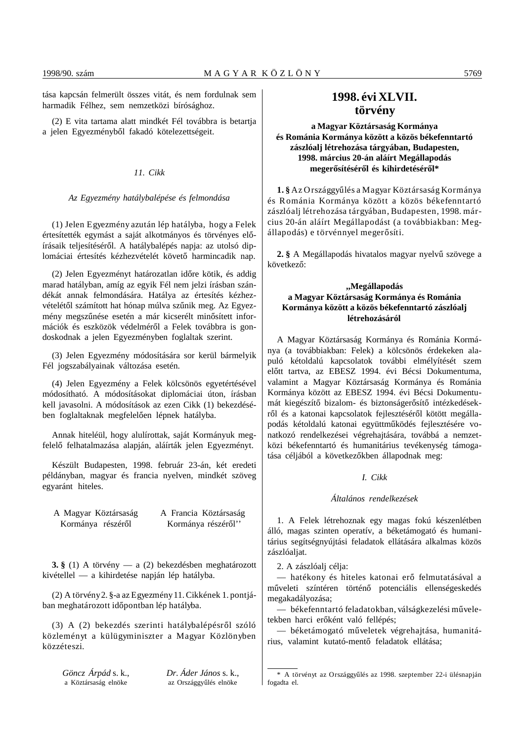tása kapcsán felmerült összes vitát, és nem fordulnak sem harmadik Félhez, sem nemzetközi bírósághoz.

(2) E vita tartama alatt mindkét Fél továbbra is betartja a jelen Egyezményből fakadó kötelezettségeit.

# *11. Cikk*

#### *Az Egyezmény hatálybalépése és felmondása*

(1) Jelen Egyezmény azután lép hatályba, hogy a Felek értesítették egymást a saját alkotmányos és törvényes előírásaik teljesítéséről. A hatálybalépés napja: az utolsó diplomáciai értesítés kézhezvételét követő harmincadik nap.

(2) Jelen Egyezményt határozatlan időre kötik, és addig marad hatályban, amíg az egyik Fél nem jelzi írásban szándékát annak felmondására. Hatálya az értesítés kézhezvételétől számított hat hónap múlva szűnik meg. Az Egyezmény megszűnése esetén a már kicserélt minősített információk és eszközök védelméről a Felek továbbra is gondoskodnak a jelen Egyezményben foglaltak szerint.

(3) Jelen Egyezmény módosítására sor kerül bármelyik Fél jogszabályainak változása esetén.

(4) Jelen Egyezmény a Felek kölcsönös egyetértésével módosítható. A módosításokat diplomáciai úton, írásban kell javasolni. A módosítások az ezen Cikk (1) bekezdésében foglaltaknak megfelelően lépnek hatályba.

Annak hiteléül, hogy alulírottak, saját Kormányuk megfelelő felhatalmazása alapján, aláírták jelen Egyezményt.

Készült Budapesten, 1998. február 23-án, két eredeti példányban, magyar és francia nyelven, mindkét szöveg egyaránt hiteles.

A Magyar Köztársaság A Francia Köztársaság Kormánya részéről Kormánya részéről'

**3. §** (1) A törvény — a (2) bekezdésben meghatározott kivétellel — a kihirdetése napján lép hatályba.

(2) A törvény 2. §-a az Egyezmény 11. Cikkének 1. pontjában meghatározott időpontban lép hatályba.

 $(3)$  A  $(2)$  bekezdés szerinti hatálybalépésről szóló közleményt a külügyminiszter a Magyar Közlönyben közzéteszi.

*Göncz Árpád* s. k., *Dr. Áder János* s. k., a Köztársaság elnöke **az Országgyűlés elnöke** 

az Országgyűlés elnöke

# **1998. évi XLVII. törvény**

# **a Magyar Köztársaság Kormánya és Románia Kormánya között a közös békefenntartó zászlóalj létrehozása tárgyában, Budapesten, 1998. március 20-án aláírt Megállapodás** megerősítéséről és kihirdetéséről\*

1. § Az Országgyűlés a Magyar Köztársaság Kormánya és R ománia Kormánya között a közös békefenntartó zászlóalj létrehozása tárgyában, Budapesten, 1998. március 20-án aláírt Megállapodást (a továbbiakban: Megállapodás) e törvénnyel megerősíti.

2. § A Megállapodás hivatalos magyar nyelvű szövege a következő:

# **,,Megállapodás a Magyar Köztársaság Kormánya és Románia Kormánya között a közös békefenntartó zászlóalj létrehozásáról**

A Magyar Köztársaság Kormánya és Románia Kormánya (a továbbiakban: Felek) a kölcsönös érdekeken alapuló kétoldalú kapcsolatok további elmélyítését szem előtt tartva, az EBESZ 1994. évi Bécsi Dokumentuma, valamint a Magyar Köztársaság Kormánya és Románia Kormánya között az EBESZ 1994. évi Bécsi Dokumentumát kiegészítő bizalom- és biztonságerősítő intézkedésekről és a katonai kapcsolatok fejlesztéséről kötött megállapodás kétoldalú katonai együttműködés fejlesztésére vonatkozó rendelkezései végrehajtására, továbbá a nemzetközi békefenntartó és humanitárius tevékenység támogatása céljából a következőkben állapodnak meg:

# *I. Cikk*

#### *Általános rendelkezések*

1. A Felek létrehoznak egy magas fokú készenlétben álló, magas szinten operatív, a béketámogató és humanitárius segítségnyújtási feladatok ellátására alkalmas közös zászlóaljat.

2. A zászlóalj célja:

— hatékony és hiteles katonai erő felmutatásával a műveleti színtéren történő potenciális ellenségeskedés megakadályozása;

— békefenntartó feladatokban, válságkezelési műveletekben harci erőként való fellépés;

– béketámogató műveletek végrehajtása, humanitárius, valamint kutató-mentő feladatok ellátása;

<sup>\*</sup> A törvényt az Országgyűlés az 1998. szeptember 22-i ülésnapján fogadta el.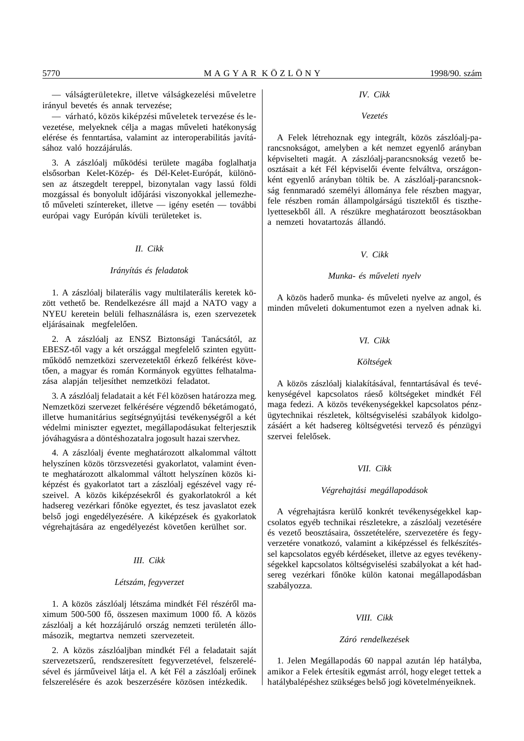— válságterületekre, illetve válságkezelési műveletre irányul bevetés és annak tervezése;

— várható, közös kiképzési műveletek tervezése és levezetése, melyeknek célja a magas műveleti hatékonyság elérése és fenntartása, valamint az interoperabilitás javításához való hozzájárulás.

3. A zászlóalj működési területe magába foglalhatja elsősorban Kelet-Közép- és Dél-Kelet-Európát, különösen az átszegdelt tereppel, bizonytalan vagy lassú földi mozgással és bonyolult időjárási viszonyokkal jellemezhető műveleti színtereket, illetve — igény esetén — további európai vagy Európán kívüli területeket is.

#### *II. Cikk*

#### *Irányítás és feladatok*

1. A zászlóalj bilaterális vagy multilaterális keretek között vethető be. Rendelkezésre áll majd a NATO vagy a NYEU keretein belüli felhasználásra is, ezen szervezetek eljárásainak megfelelően.

2. A zászlóalj az ENSZ Biztonsági Tanácsától, az EBESZ-től vagy a két országgal megfelelő szinten együttműködő nemzetközi szervezetektől érkező felkérést követően, a magyar és román Kormányok együttes felhatalmazása alapján teljesíthet nemzetközi feladatot.

3. A zászlóalj feladatait a két Fél közösen határozza meg. Nemzetközi szervezet felkérésére végzendő béketámogató, illetve humanitárius segítségnyújtási tevékenységről a két védelmi miniszter egyeztet, megállapodásukat felterjesztik jóváhagyásra a döntéshozatalra jogosult hazai szervhez.

4. A zászlóalj évente meghatározott alkalommal váltott helyszínen közös törzsvezetési gyakorlatot, valamint évente meghatározott alkalommal váltott helyszínen közös kiképzést és gyakorlatot tart a zászlóalj egészével vagy részeivel. A közös kiképzésekről és gyakorlatokról a két hadsereg vezérkari főnöke egyeztet, és tesz javaslatot ezek belső jogi engedélyezésére. A kiképzések és gyakorlatok végrehajtására az engedélyezést követően kerülhet sor.

#### *III. Cikk*

# *Létszám, fegyverzet*

1. A közös zászlóalj létszáma mindkét Fél részéről maximum 500-500 fő, összesen maximum 1000 fő. A közös zászlóalj a két hozzájáruló ország nemzeti területén állomásozik, megtartva nemzeti szervezeteit.

2. A közös zászlóaljban mindkét Fél a feladatait saját szervezetszerű, rendszeresített fegyverzetével, felszerelésével és járműveivel látja el. A két Fél a zászlóalj erőinek felszerelésére és azok beszerzésére közösen intézkedik.

#### *IV. Cikk*

#### *Vezetés*

A Felek létrehoznak egy integrált, közös zászlóalj-parancsnokságot, amelyben a két nemzet egyenlő arányban képviselteti magát. A zászlóalj-parancsnokság vezető beosztásait a két Fél képviselői évente felváltva, országonként egyenlő arányban töltik be. A zászlóalj-parancsnokság fennmaradó személyi állománya fele részben magyar, fele részben román állampolgárságú tisztektől és tiszthelyettesekből áll. A részükre meghatározott beosztásokban a nemzeti hovatartozás állandó.

# *V. Cikk*

#### *Munka- és m´´uveleti nyelv*

A közös haderő munka- és műveleti nyelve az angol, és minden műveleti dokumentumot ezen a nyelven adnak ki.

### *VI. Cikk*

#### *Költségek*

A közös zászlóalj kialakításával, fenntartásával és tevékenységével kapcsolatos ráeső költségeket mindkét Fél maga fedezi. A közös tevékenységekkel kapcsolatos pénzügytechnikai részletek, költségviselési szabályok kidolgozásáért a két hadsereg költségvetési tervező és pénzügyi szervei felelősek.

#### *VII. Cikk*

#### *Végrehajtási megállapodások*

A végrehajtásra kerülő konkrét tevékenységekkel kapcsolatos egyéb technikai részletekre, a zászlóalj vezetésére és vezető beosztásaira, összetételére, szervezetére és fegyverzetére vonatkozó, valamint a kiképzéssel és felkészítéssel kapcsolatos egyéb kérdéseket, illetve az egyes tevékenységekkel kapcsolatos költségviselési szabályokat a két hadsereg vezérkari főnöke külön katonai megállapodásban szabályozza.

#### *VIII. Cikk*

# *Záró rendelkezések*

1. Jelen Megállapodás 60 nappal azután lép hatályba, amikor a Felek értesítik egymást arról, hogy eleget tettek a hatálybalépéshez szükséges belső jogi követelményeiknek.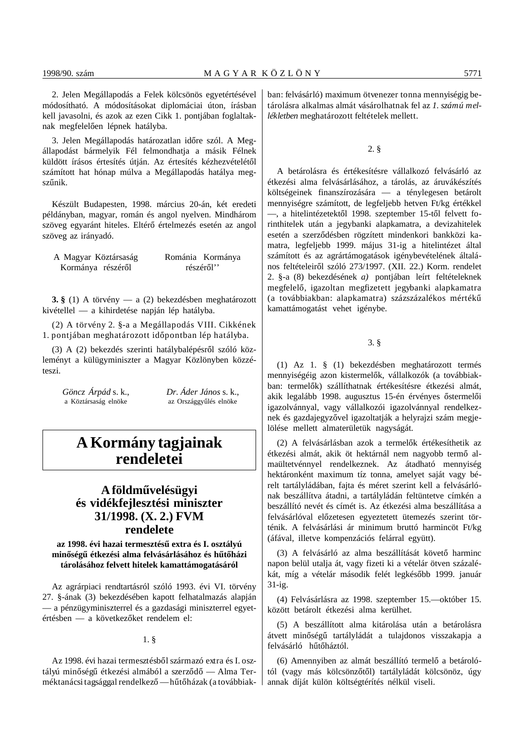2. Jelen Megállapodás a Felek kölcsönös egyetértésével módosítható. A módosításokat diplomáciai úton, írásban kell javasolni, és azok az ezen Cikk 1. pontjában foglaltaknak megfelelően lépnek hatályba.

3. Jelen Megállapodás határozatlan időre szól. A Megállapodást bármelyik Fél felmondhatja a másik Félnek küldött írásos értesítés útján. Az értesítés kézhezvételétől számított hat hónap múlva a Megállapodás hatálya megszűnik.

Készült Budapesten, 1998. március 20-án, két eredeti példányban, magyar, román és angol nyelven. Mindhárom szöveg egyaránt hiteles. Eltérő értelmezés esetén az angol szöveg az irányadó.

| A Magyar Köztársaság | Románia Kormánya |
|----------------------|------------------|
| Kormánya részéről    | részéről''       |

**3. §** (1) A törvény — a (2) bekezdésben meghatározott kivétellel — a kihirdetése napján lép hatályba.

(2) A törvény 2. §-a a Megállapodás VIII. Cikkének 1. pontjában meghatározott időpontban lép hatályba.

(3) A (2) bekezdés szerinti hatálybalépésről szóló közleményt a külügyminiszter a Magyar Közlönyben közzéteszi.

a Köztársaság elnöke az Országgyűlés elnöke

*Göncz Árpád* s. k., *Dr. Áder János* s. k.,

# **A Kormány tagjainak rendeletei**

# **A földm´´uvelésügyi és vidékfejlesztési miniszter 31/1998. (X. 2.) FVM rendelete**

az 1998. évi hazai termesztésű extra és I. osztályú minőségű étkezési alma felvásárlásához és hűtőházi **tárolásához felvett hitelek kamattámogatásáról**

Az agrárpiaci rendtartásról szóló 1993. évi VI. törvény 27. §-ának (3) bekezdésében kapott felhatalmazás alapján — a pénzügyminiszterrel és a gazdasági miniszterrel egyetértésben — a következőket rendelem el:

1. §

Az 1998. évi hazai termesztésből származó extra és I. osztályú minőségű étkezési almából a szerződő — Alma Terméktanácsi tagsággal rendelkező - hűtőházak (a továbbiakban: felvásárló) maximum ötvenezer tonna mennyiségig betárolásra alkalmas almát vásárolhatnak fel az *1. számú mellékletben* meghatározott feltételek mellett.

# 2. §

A betárolásra és értékesítésre vállalkozó felvásárló az étkezési alma felvásárlásához, a tárolás, az áruvákészítés költségeinek finanszírozására — a ténylegesen betárolt mennyiségre számított, de legfeljebb hetven Ft/kg értékkel —, a hitelintézetektől 1998. szeptember 15-től felvett forinthitelek után a jegybanki alapkamatra, a devizahitelek esetén a szerződésben rögzített mindenkori bankközi kamatra, legfeljebb 1999. május 31-ig a hitelintézet által számított és az agrártámogatások igénybevételének általános feltételeiről szóló 273/1997. (XII. 22.) Korm. rendelet 2. §-a (8) bekezdésének *a)* pontjában leírt feltételeknek megfelelő, igazoltan megfizetett jegybanki alapkamatra (a továbbiakban: alapkamatra) százszázalékos mértékű kamattámogatást vehet igénybe.

3. §

(1) Az 1. § (1) bekezdésben meghatározott termés mennyiségéig azon kistermelők, vállalkozók (a továbbiakban: termelők) szállíthatnak értékesítésre étkezési almát, akik legalább 1998. augusztus 15-én érvényes őstermelői igazolvánnyal, vagy vállalkozói igazolvánnyal rendelkeznek és gazdajegyzővel igazoltatják a helyrajzi szám megjelölése mellett almaterületük nagyságát.

(2) A felvásárlásban azok a termelők értékesíthetik az étkezési almát, akik öt hektárnál nem nagyobb termő almaültetvénnyel rendelkeznek. Az átadható mennyiség hektáronként maximum tíz tonna, amelyet saját vagy bérelt tartályládában, fajta és méret szerint kell a felvásárlónak beszállítva átadni, a tartályládán feltüntetve címkén a beszállító nevét és címét is. Az étkezési alma beszállítása a felvásárlóval előzetesen egyeztetett ütemezés szerint történik. A felvásárlási ár minimum bruttó harmincöt Ft/kg (áfával, illetve kompenzációs felárral együtt).

(3) A felvásárló az alma beszállítását követő harminc napon belül utalja át, vagy fizeti ki a vételár ötven százalékát, míg a vételár második felét legkésőbb 1999. január 31-ig.

(4) Felvásárlásra az 1998. szeptember 15.—október 15. között betárolt étkezési alma kerülhet.

(5) A beszállított alma kitárolása után a betárolásra átvett minőségű tartályládát a tulajdonos visszakapja a felvásárló hűtőháztól.

(6) Amennyiben az almát beszállító termelő a betárolótól (vagy más kölcsönzőtől) tartályládát kölcsönöz, úgy annak díját külön költségtérítés nélkül viseli.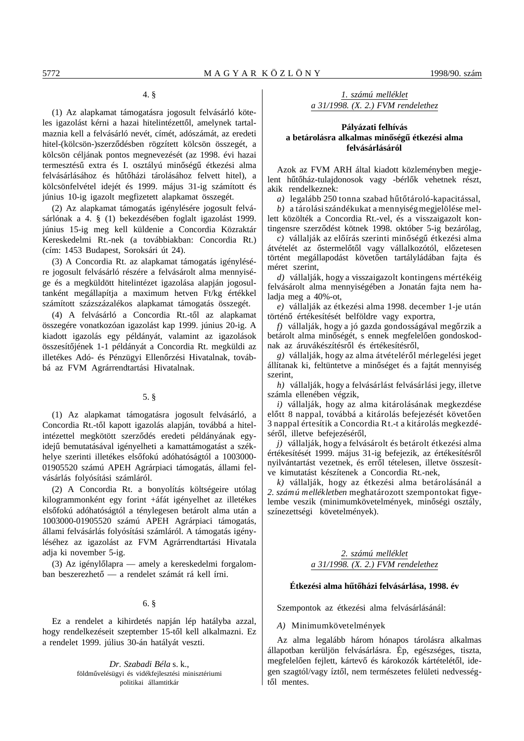# 4. §

(1) Az alapkamat támogatásra jogosult felvásárló köteles igazolást kérni a hazai hitelintézettől, amelynek tartalmaznia kell a felvásárló nevét, címét, adószámát, az eredeti hitel-(kölcsön-)szerződésben rögzített kölcsön összegét, a kölcsön céljának pontos megnevezését (az 1998. évi hazai termesztésű extra és I. osztályú minőségű étkezési alma felvásárlásához és hűtőházi tárolásához felvett hitel), a kölcsönfelvétel idejét és 1999. május 31-ig számított és június 10-ig igazolt megfizetett alapkamat összegét.

(2) Az alapkamat támogatás igénylésére jogosult felvásárlónak a 4. § (1) bekezdésében foglalt igazolást 1999. június 15-ig meg kell küldenie a Concordia Közraktár Kereskedelmi Rt.-nek (a továbbiakban: Concordia Rt.) (cím: 1453 Budapest, Soroksári út 24).

(3) A Concordia Rt. az alapkamat támogatás igénylésére jogosult felvásárló részére a felvásárolt alma mennyisége és a megküldött hitelintézet igazolása alapján jogosultanként megállapítja a maximum hetven Ft/kg értékkel számított százszázalékos alapkamat támogatás összegét.

(4) A felvásárló a Concordia Rt.-től az alapkamat összegére vonatkozóan igazolást kap 1999. június 20-ig. A kiadott igazolás egy példányát, valamint az igazolások összesítőjének 1-1 példányát a Concordia Rt. megküldi az illetékes Adó- és Pénzügyi Ellenőrzési Hivatalnak, továbbá az FVM Agrárrendtartási Hivatalnak.

#### 5. §

(1) Az alapkamat támogatásra jogosult felvásárló, a Concordia Rt.-től kapott igazolás alapján, továbbá a hitelintézettel megkötött szerződés eredeti példányának egyidejű bemutatásával igényelheti a kamattámogatást a székhelye szerinti illetékes elsőfokú adóhatóságtól a 1003000-01905520 számú APEH Agrárpiaci támogatás, állami felvásárlás folyósítási számláról.

(2) A Concordia Rt. a bonyolítás költségeire utólag kilogrammonként egy forint +áfát igényelhet az illetékes elsőfokú adóhatóságtól a ténylegesen betárolt alma után a 1003000-01905520 számú APEH Agrárpiaci támogatás, állami felvásárlás folyósítási számláról. A támogatás igényléséhez az igazolást az FVM Agrárrendtartási Hivatala adja ki november 5-ig.

(3) Az igénylőlapra — amely a kereskedelmi forgalomban beszerezhető — a rendelet számát rá kell írni.

6. §

Ez a rendelet a kihirdetés napján lép hatályba azzal, hogy rendelkezéseit szeptember 15-től kell alkalmazni. Ez a rendelet 1999. július 30-án hatályát veszti.

> *Dr. Szabadi Béla* s. k., földművelésügyi és vidékfejlesztési minisztériumi politikai államtitkár

*1. számú melléklet a 31/1998. (X. 2.) FVM rendelethez*

# **Pályázati felhívás** a betárolásra alkalmas minőségű étkezési alma **felvásárlásáról**

Azok az FVM ARH által kiadott közleményben megjelent hűtőház-tulajdonosok vagy -bérlők vehetnek részt, akik rendelkeznek:

*a*) legalább 250 tonna szabad hűtőtároló-kapacitással,

*b)* a tárolási szándékukat a mennyiség megjelölése mellett közölték a Concordia Rt.-vel, és a visszaigazolt kontingensre szerződést kötnek 1998. október 5-ig bezárólag,

*c*) vállalják az előírás szerinti minőségű étkezési alma átvételét az őstermelőtől vagy vállalkozótól, előzetesen történt megállapodást követően tartályládában fajta és méret szerint,

*d)* vállalják, hogy a visszaigazolt kontingens mértékéig felvásárolt alma mennyiségében a Jonatán fajta nem haladja meg a 40%-ot,

*e)* vállalják az étkezési alma 1998. december 1-je után történő értékesítését belföldre vagy exportra,

*f*) vállalják, hogy a jó gazda gondosságával megőrzik a betárolt alma minőségét, s ennek megfelelően gondoskodnak az áruvákészítésről és értékesítésről,

*g*) vállalják, hogy az alma átvételéről mérlegelési jeget állítanak ki, feltüntetve a minőséget és a fajtát mennyiség szerint,

*h)* vállalják, hogy a felvásárlást felvásárlási jegy, illetve számla ellenében végzik,

*i)* vállalják, hogy az alma kitárolásának megkezdése előtt 8 nappal, továbbá a kitárolás befejezését követően 3 nappal értesítik a Concordia Rt.-t a kitárolás megkezdéséről, illetve befejezéséről,

*j)* vállalják, hogy a felvásárolt és betárolt étkezési alma értékesítését 1999. május 31-ig befejezik, az értékesítésről nyilvántartást vezetnek, és erről tételesen, illetve összesítve kimutatást készítenek a Concordia Rt.-nek,

*k)* vállalják, hogy az étkezési alma betárolásánál a *2. számú mellékletben* meghatározott szempontokat figyelembe veszik (minimumkövetelmények, minőségi osztály, színezettségi követelmények).

# *2. számú melléklet a 31/1998. (X. 2.) FVM rendelethez*

#### Étkezési alma hűtőházi felvásárlása, 1998. év

Szempontok az étkezési alma felvásárlásánál:

*A)* Minimumkövetelmények

Az alma legalább három hónapos tárolásra alkalmas állapotban kerüljön felvásárlásra. Ép, egészséges, tiszta, megfelelően fejlett, kártevő és károkozók kártételétől, idegen szagtól/vagy íztől, nem természetes felületi nedvességtől mentes.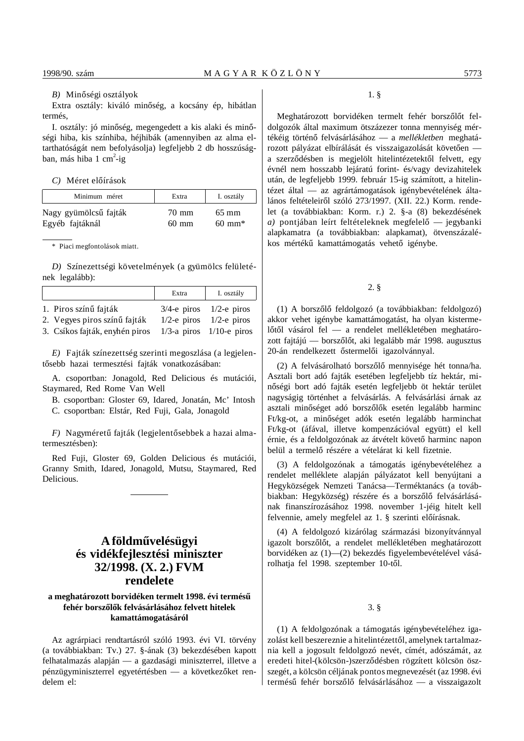# *B*) Minőségi osztályok

Extra osztály: kiváló minőség, a kocsány ép, hibátlan termés,

I. osztály: jó minőség, megengedett a kis alaki és minőségi hiba, kis színhiba, héjhibák (amennyiben az alma eltarthatóságát nem befolyásolja) legfeljebb 2 db hosszúságban, más hiba 1 cm<sup>2</sup>-ig

#### *C*) Méret előírások

| Minimum méret         | Extra           | I. osztály           |
|-----------------------|-----------------|----------------------|
| Nagy gyümölcsű fajták | 70 mm           | $65 \text{ mm}$      |
| Egyéb fajtáknál       | $60 \text{ mm}$ | $60 \; \mathrm{mm*}$ |

#### \* Piaci megfontolások miatt.

*D)* Színezettségi követelmények (a gyümölcs felületének legalább):

|                                | Extra          | I. osztály                     |
|--------------------------------|----------------|--------------------------------|
| 1. Piros színű fajták          |                | $3/4$ -e piros $1/2$ -e piros  |
| 2. Vegyes piros színű fajták   | $1/2$ -e piros | $1/2$ -e piros                 |
| 3. Csíkos fajták, enyhén piros |                | $1/3$ -a piros $1/10$ -e piros |

*E)* Fajták színezettség szerinti megoszlása (a legjelentősebb hazai termesztési fajták vonatkozásában:

A. csoportban: Jonagold, Red Delicious és mutációi, Staymared, Red Rome Van Well

B. csoportban: Gloster 69, Idared, Jonatán, Mc' Intosh

C. csoportban: Elstár, Red Fuji, Gala, Jonagold

*F*) Nagyméretű fajták (legjelentősebbek a hazai almatermesztésben):

Red Fuji, Gloster 69, Golden Delicious és mutációi, Granny Smith, Idared, Jonagold, Mutsu, Staymared, Red Delicious.

# **A földm´´uvelésügyi és vidékfejlesztési miniszter 32/1998. (X. 2.) FVM rendelete**

# a meghatározott borvidéken termelt 1998. évi termésű fehér borszőlők felvásárlásához felvett hitelek **kamattámogatásáról**

Az agrárpiaci rendtartásról szóló 1993. évi VI. törvény (a továbbiakban: Tv.) 27. §-ának (3) bekezdésében kapott felhatalmazás alapján — a gazdasági miniszterrel, illetve a pénzügyminiszterrel egyetértésben — a következőket rendelem el:

# 1. §

Meghatározott borvidéken termelt fehér borszőlőt feldolgozók által maximum ötszázezer tonna mennyiség mértékéig történ´´o felvásárlásához — a *mellékletben* meghatározott pályázat elbírálását és visszaigazolását követően a szerződésben is megjelölt hitelintézetektől felvett, egy évnél nem hosszabb lejáratú forint- és/vagy devizahitelek után, de legfeljebb 1999. február 15-ig számított, a hitelintézet által — az agrártámogatások igénybevételének általános feltételeiről szóló 273/1997. (XII. 22.) Korm. rendelet (a továbbiakban: Korm. r.) 2. §-a (8) bekezdésének *a*) pontjában leírt feltételeknek megfelelő — jegybanki alapkamatra (a továbbiakban: alapkamat), ötvenszázalékos mértékű kamattámogatás vehető igénybe.

# 2. §

(1) A borszőlő feldolgozó (a továbbiakban: feldolgozó) akkor vehet igénybe kamattámogatást, ha olyan kistermelőtől vásárol fel — a rendelet mellékletében meghatározott fajtájú — borszőlőt, aki legalább már 1998. augusztus 20-án rendelkezett őstermelői igazolvánnyal.

(2) A felvásárolható borszőlő mennyisége hét tonna/ha. Asztali bort adó fajták esetében legfeljebb tíz hektár, minőségi bort adó fajták esetén legfeljebb öt hektár terület nagyságig történhet a felvásárlás. A felvásárlási árnak az asztali minőséget adó borszőlők esetén legalább harminc Ft/kg-ot, a minőséget adók esetén legalább harminchat Ft/kg-ot (áfával, illetve kompenzációval együtt) el kell érnie, és a feldolgozónak az átvételt követő harminc napon belül a termelő részére a vételárat ki kell fizetnie.

(3) A feldolgozónak a támogatás igénybevételéhez a rendelet melléklete alapján pályázatot kell benyújtani a Hegyközségek Nemzeti Tanácsa—Terméktanács (a továbbiakban: Hegyközség) részére és a borszőlő felvásárlásának finanszírozásához 1998. november 1-jéig hitelt kell felvennie, amely megfelel az 1. § szerinti előírásnak.

(4) A feldolgozó kizárólag származási bizonyítvánnyal igazolt borszőlőt, a rendelet mellékletében meghatározott borvidéken az (1)—(2) bekezdés figyelembevételével vásárolhatja fel 1998. szeptember 10-től.

3. §

(1) A feldolgozónak a támogatás igénybevételéhez igazolást kell beszereznie a hitelintézettől, amelynek tartalmaznia kell a jogosult feldolgozó nevét, címét, adószámát, az eredeti hitel-(kölcsön-)szerződésben rögzített kölcsön öszszegét, a kölcsön céljának pontos megnevezését (az 1998. évi termésű fehér borszőlő felvásárlásához — a visszaigazolt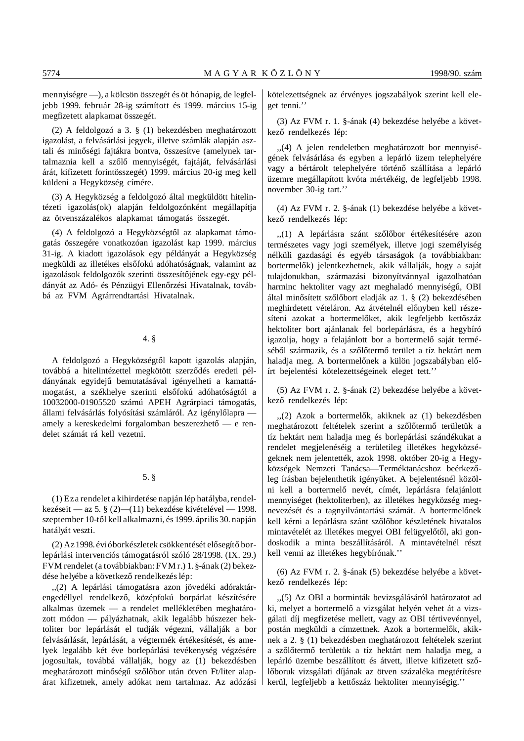mennyiségre —), a kölcsön összegét és öt hónapig, de legfeljebb 1999. február 28-ig számított és 1999. március 15-ig megfizetett alapkamat összegét.

(2) A feldolgozó a 3. § (1) bekezdésben meghatározott igazolást, a felvásárlási jegyek, illetve számlák alapján asztali és minőségi fajtákra bontva, összesítve (amelynek tartalmaznia kell a szőlő mennyiségét, fajtáját, felvásárlási árát, kifizetett forintösszegét) 1999. március 20-ig meg kell küldeni a Hegyközség címére.

(3) A Hegyközség a feldolgozó által megküldött hitelintézeti igazolás(ok) alapján feldolgozónként megállapítja az ötvenszázalékos alapkamat támogatás összegét.

(4) A feldolgozó a Hegyközségtől az alapkamat támogatás összegére vonatkozóan igazolást kap 1999. március 31-ig. A kiadott igazolások egy példányát a Hegyközség megküldi az illetékes elsőfokú adóhatóságnak, valamint az igazolások feldolgozók szerinti összesítőjének egy-egy példányát az Adó- és Pénzügyi Ellenőrzési Hivatalnak, továbbá az FVM Agrárrendtartási Hivatalnak.

## 4. §

A feldolgozó a Hegyközségtől kapott igazolás alapján, továbbá a hitelintézettel megkötött szerződés eredeti példányának egyidejű bemutatásával igényelheti a kamattámogatást, a székhelye szerinti elsőfokú adóhatóságtól a 10032000-01905520 számú APEH Agrárpiaci támogatás, állami felvásárlás folyósítási számláról. Az igénylőlapra amely a kereskedelmi forgalomban beszerezhető — e rendelet számát rá kell vezetni.

# 5. §

(1) Ez a rendelet a kihirdetése napján lép hatályba, rendelkezéseit — az 5. § (2)—(11) bekezdése kivételével — 1998. szeptember 10-től kell alkalmazni, és 1999. április 30. napján hatályát veszti.

(2) Az 1998. évi óborkészletek csökkentését elősegítő borlepárlási intervenciós támogatásról szóló 28/1998. (IX. 29.) FVM rendelet (a továbbiakban: FVM r.) 1. §-ának (2) bekezdése helyébe a következő rendelkezés lép:

,,(2) A lepárlási támogatásra azon jövedéki adóraktárengedéllyel rendelkező, középfokú borpárlat készítésére alkalmas üzemek — a rendelet mellékletében meghatározott módon — pályázhatnak, akik legalább húszezer hektoliter bor lepárlását el tudják végezni, vállalják a bor felvásárlását, lepárlását, a végtermék értékesítését, és amelyek legalább két éve borlepárlási tevékenység végzésére jogosultak, továbbá vállalják, hogy az (1) bekezdésben meghatározott minőségű szőlőbor után ötven Ft/liter alapárat kifizetnek, amely adókat nem tartalmaz. Az adózási kötelezettségnek az érvényes jogszabályok szerint kell eleget tenni.''

(3) Az FVM r. 1. §-ának (4) bekezdése helyébe a következő rendelkezés lép:

,,(4) A jelen rendeletben meghatározott bor mennyiségének felvásárlása és egyben a lepárló üzem telephelyére vagy a bértárolt telephelyére történő szállítása a lepárló üzemre megállapított kvóta mértékéig, de legfeljebb 1998. november 30-ig tart.''

(4) Az FVM r. 2. §-ának (1) bekezdése helyébe a következő rendelkezés lép:

"(1) A lepárlásra szánt szőlőbor értékesítésére azon természetes vagy jogi személyek, illetve jogi személyiség nélküli gazdasági és egyéb társaságok (a továbbiakban: bortermelők) jelentkezhetnek, akik vállalják, hogy a saját tulajdonukban, származási bizonyítvánnyal igazolhatóan harminc hektoliter vagy azt meghaladó mennyiségű, OBI által minősített szőlőbort eladják az 1.  $\S$  (2) bekezdésében meghirdetett vételáron. Az átvételnél előnyben kell részesíteni azokat a bortermelőket, akik legfeljebb kettőszáz hektoliter bort ajánlanak fel borlepárlásra, és a hegybíró igazolja, hogy a felajánlott bor a bortermelő saját terméséből származik, és a szőlőtermő terület a tíz hektárt nem haladja meg. A bortermelőnek a külön jogszabályban előírt bejelentési kötelezettségeinek eleget tett.''

(5) Az FVM r. 2. §-ának (2) bekezdése helyébe a következő rendelkezés lép:

"(2) Azok a bortermelők, akiknek az (1) bekezdésben meghatározott feltételek szerint a szőlőtermő területük a tíz hektárt nem haladja meg és borlepárlási szándékukat a rendelet megjelenéséig a területileg illetékes hegyközségeknek nem jelentették, azok 1998. október 20-ig a Hegyközségek Nemzeti Tanácsa-Terméktanácshoz beérkezőleg írásban bejelenthetik igényüket. A bejelentésnél közölni kell a bortermelő nevét, címét, lepárlásra felajánlott mennyiséget (hektoliterben), az illetékes hegyközség megnevezését és a tagnyilvántartási számát. A bortermelőnek kell kérni a lepárlásra szánt szőlőbor készletének hivatalos mintavételét az illetékes megyei OBI felügyelőtől, aki gondoskodik a minta beszállításáról. A mintavételnél részt kell venni az illetékes hegybírónak.''

(6) Az FVM r. 2. §-ának (5) bekezdése helyébe a következő rendelkezés lép:

,,(5) Az OBI a borminták bevizsgálásáról határozatot ad ki, melyet a bortermelő a vizsgálat helyén vehet át a vizsgálati díj megfizetése mellett, vagy az OBI tértivevénnyel, postán megküldi a címzettnek. Azok a bortermelők, akiknek a 2. § (1) bekezdésben meghatározott feltételek szerint a szőlőtermő területük a tíz hektárt nem haladja meg, a lepárló üzembe beszállított és átvett, illetve kifizetett szőlőboruk vizsgálati díjának az ötven százaléka megtérítésre kerül, legfeljebb a kettőszáz hektoliter mennyiségig."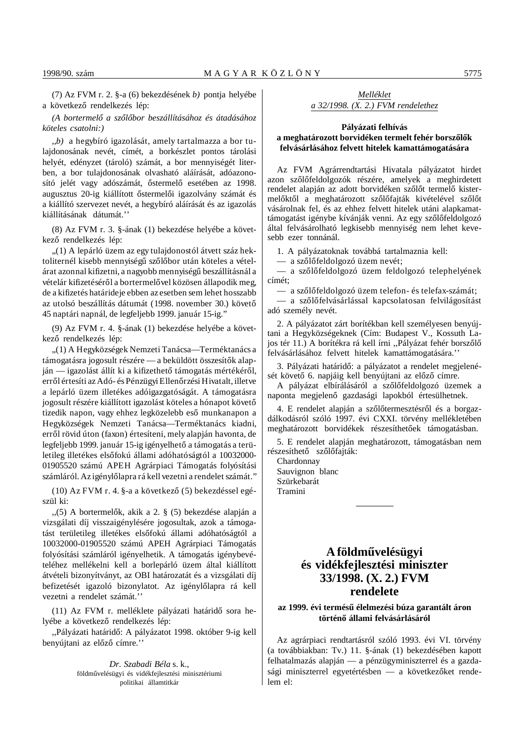(7) Az FVM r. 2. §-a (6) bekezdésének *b)* pontja helyébe a következő rendelkezés lép:

*(A bortermel´´o a sz´´ol´´obor beszállításához és átadásához köteles csatolni:)*

,,*b)* a hegybíró igazolását, amely tartalmazza a bor tulajdonosának nevét, címét, a borkészlet pontos tárolási helyét, edényzet (tároló) számát, a bor mennyiségét literben, a bor tulajdonosának olvasható aláírását, adóazonosító jelét vagy adószámát, őstermelő esetében az 1998. augusztus 20-ig kiállított őstermelői igazolvány számát és a kiállító szervezet nevét, a hegybíró aláírását és az igazolás kiállításának dátumát.''

(8) Az FVM r. 3. §-ának (1) bekezdése helyébe a következő rendelkezés lép:

,,(1) A lepárló üzem az egy tulajdonostól átvett száz hektoliternél kisebb mennyiségű szőlőbor után köteles a vételárat azonnal kifizetni, a nagyobb mennyiségű beszállításnál a vételár kifizetéséről a bortermelővel közösen állapodik meg, de a kifizetés határideje ebben az esetben sem lehet hosszabb az utolsó beszállítás dátumát (1998. november 30.) követő 45 naptári napnál, de legfeljebb 1999. január 15-ig.''

(9) Az FVM r. 4. §-ának (1) bekezdése helyébe a következő rendelkezés lép:

,,(1) A Hegyközségek Nemzeti Tanácsa—Terméktanács a támogatásra jogosult részére — a beküldött összesítők alapján — igazolást állít ki a kifizethető támogatás mértékéről, erről értesíti az Adó- és Pénzügyi Ellenőrzési Hivatalt, illetve a lepárló üzem illetékes adóigazgatóságát. A támogatásra jogosult részére kiállított igazolást köteles a hónapot követő tizedik napon, vagy ehhez legközelebb eső munkanapon a Hegyközségek Nemzeti Tanácsa—Terméktanács kiadni, erről rövid úton (faxon) értesíteni, mely alapján havonta, de legfeljebb 1999. január 15-ig igényelhető a támogatás a területileg illetékes elsőfokú állami adóhatóságtól a 10032000-01905520 számú APEH Agrárpiaci Támogatás folyósítási számláról. Az igénylőlapra rá kell vezetni a rendelet számát."

 $(10)$  Az FVM r. 4. §-a a következő $(5)$  bekezdéssel egészül ki:

"(5) A bortermelők, akik a 2. § (5) bekezdése alapján a vizsgálati díj visszaigénylésére jogosultak, azok a támogatást területileg illetékes elsőfokú állami adóhatóságtól a 10032000-01905520 számú APEH Agrárpiaci Támogatás folyósítási számláról igényelhetik. A támogatás igénybevételéhez mellékelni kell a borlepárló üzem által kiállított átvételi bizonyítványt, az OBI határozatát és a vizsgálati díj befizetését igazoló bizonylatot. Az igénylőlapra rá kell vezetni a rendelet számát.''

(11) Az FVM r. melléklete pályázati határidő sora helyébe a következő rendelkezés lép:

"Pályázati határidő: A pályázatot 1998. október 9-ig kell benyújtani az előző címre."

> *Dr. Szabadi Béla* s. k., földművelésügyi és vidékfejlesztési minisztériumi politikai államtitkár

*Melléklet a 32/1998. (X. 2.) FVM rendelethez*

# **Pályázati felhívás** a meghatározott borvidéken termelt fehér borszőlők **felvásárlásához felvett hitelek kamattámogatására**

Az FVM Agrárrendtartási Hivatala pályázatot hirdet azon szőlőfeldolgozók részére, amelyek a meghirdetett rendelet alapján az adott borvidéken szőlőt termelő kistermelőktől a meghatározott szőlőfajták kivételével szőlőt vásárolnak fel, és az ehhez felvett hitelek utáni alapkamattámogatást igénybe kívánják venni. Az egy szőlőfeldolgozó által felvásárolható legkisebb mennyiség nem lehet kevesebb ezer tonnánál.

1. A pályázatoknak továbbá tartalmaznia kell:

 $-$  a szőlőfeldolgozó üzem nevét;

— a szőlőfeldolgozó üzem feldolgozó telephelyének címét;

— a szőlőfeldolgozó üzem telefon- és telefax-számát;

— a szőlőfelvásárlással kapcsolatosan felvilágosítást adó személy nevét.

2. A pályázatot zárt borítékban kell személyesen benyújtani a Hegyközségeknek (Cím: Budapest V., Kossuth Lajos tér 11.) A borítékra rá kell írni "Pálvázat fehér borszőlő felvásárlásához felvett hitelek kamattámogatására.''

3. Pályázati határidő: a pályázatot a rendelet megjelenését követő 6. napjáig kell benyújtani az előző címre.

A pályázat elbírálásáról a szőlőfeldolgozó üzemek a naponta megjelenő gazdasági lapokból értesülhetnek.

4. E rendelet alapján a szőlőtermesztésről és a borgazdálkodásról szóló 1997. évi CXXI. törvény mellékletében meghatározott borvidékek részesíthetőek támogatásban.

5. E rendelet alapján meghatározott, támogatásban nem részesíthető szőlőfajták:

Chardonnay Sauvignon blanc Szürkebarát Tramini

# **A földm´´uvelésügyi és vidékfejlesztési miniszter 33/1998. (X. 2.) FVM rendelete**

# az 1999. évi termésű élelmezési búza garantált áron **történ´´o állami felvásárlásáról**

Az agrárpiaci rendtartásról szóló 1993. évi VI. törvény (a továbbiakban: Tv.) 11. §-ának (1) bekezdésében kapott felhatalmazás alapján — a pénzügyminiszterrel és a gazdasági miniszterrel egyetértésben — a következőket rendelem el: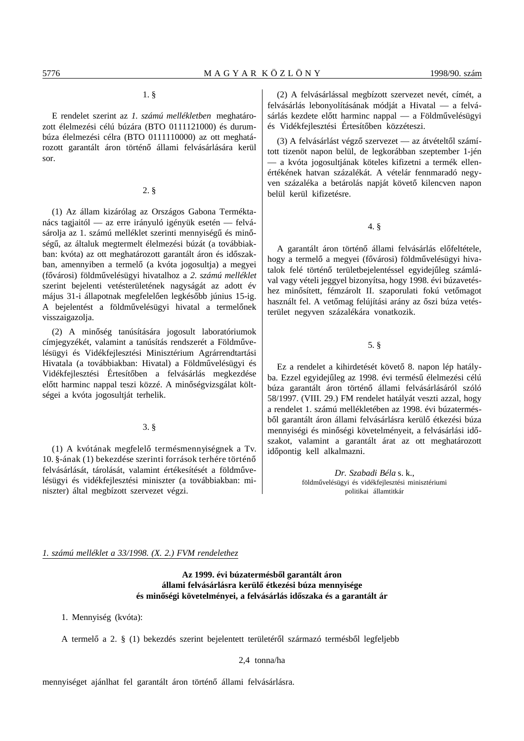# 1. §

E rendelet szerint az *1. számú mellékletben* meghatározott élelmezési célú búzára (BTO 0111121000) és durumbúza élelmezési célra (BTO 0111110000) az ott meghatározott garantált áron történő állami felvásárlására kerül sor.

2. §

(1) Az állam kizárólag az Országos Gabona Terméktanács tagjaitól — az erre irányuló igényük esetén — felvásárolja az 1. számú melléklet szerinti mennyiségű és minőségű, az általuk megtermelt élelmezési búzát (a továbbiakban: kvóta) az ott meghatározott garantált áron és időszakban, amennyiben a termelő (a kvóta jogosultja) a megyei (fővárosi) földművelésügyi hivatalhoz a 2. számú melléklet szerint bejelenti vetésterületének nagyságát az adott év május 31-i állapotnak megfelelően legkésőbb június 15-ig. A bejelentést a földművelésügyi hivatal a termelőnek visszaigazolja.

(2) A minőség tanúsítására jogosult laboratóriumok címjegyzékét, valamint a tanúsítás rendszerét a Földművelésügyi és Vidékfejlesztési Minisztérium Agrárrendtartási Hivatala (a továbbiakban: Hivatal) a Földművelésügyi és Vidékfejlesztési Értesítőben a felvásárlás megkezdése előtt harminc nappal teszi közzé. A minőségvizsgálat költségei a kvóta jogosultját terhelik.

# 3. §

(1) A kvótának megfelelő termésmennyiségnek a Tv. 10. §-ának (1) bekezdése szerinti források terhére történő felvásárlását, tárolását, valamint értékesítését a földművelésügyi és vidékfejlesztési miniszter (a továbbiakban: miniszter) által megbízott szervezet végzi.

(2) A felvásárlással megbízott szervezet nevét, címét, a felvásárlás lebonyolításának módját a Hivatal — a felvásárlás kezdete előtt harminc nappal — a Földművelésügyi és Vidékfejlesztési Értesítőben közzéteszi.

(3) A felvásárlást végző szervezet — az átvételtől számított tizenöt napon belül, de legkorábban szeptember 1-jén — a kvóta jogosultjának köteles kifizetni a termék ellenértékének hatvan százalékát. A vételár fennmaradó negyven százaléka a betárolás napját követő kilencven napon belül kerül kifizetésre.

4. §

A garantált áron történő állami felvásárlás előfeltétele, hogy a termelő a megyei (fővárosi) földművelésügyi hivatalok felé történő területbejelentéssel egyidejűleg számlával vagy vételi jeggyel bizonyítsa, hogy 1998. évi búzavetéshez minősített, fémzárolt II. szaporulati fokú vetőmagot használt fel. A vetőmag felújítási arány az őszi búza vetésterület negyven százalékára vonatkozik.

# 5. §

Ez a rendelet a kihirdetését követő 8. napon lép hatályba. Ezzel egyidejűleg az 1998. évi termésű élelmezési célú búza garantált áron történő állami felvásárlásáról szóló 58/1997. (VIII. 29.) FM rendelet hatályát veszti azzal, hogy a rendelet 1. számú mellékletében az 1998. évi búzatermésből garantált áron állami felvásárlásra kerülő étkezési búza mennyiségi és minőségi követelményeit, a felvásárlási időszakot, valamint a garantált árat az ott meghatározott időpontig kell alkalmazni.

> *Dr. Szabadi Béla* s. k., földm´´uvelésügyi és vidékfejlesztési minisztériumi politikai államtitkár

*1. számú melléklet a 33/1998. (X. 2.) FVM rendelethez*

Az 1999. évi búzatermésből garantált áron állami felvásárlásra kerülő étkezési búza mennyisége és minőségi követelményei, a felvásárlás időszaka és a garantált ár

1. Mennyiség (kvóta):

A termelő a 2. § (1) bekezdés szerint bejelentett területéről származó termésből legfeljebb

2,4 tonna/ha

mennyiséget ajánlhat fel garantált áron történő állami felvásárlásra.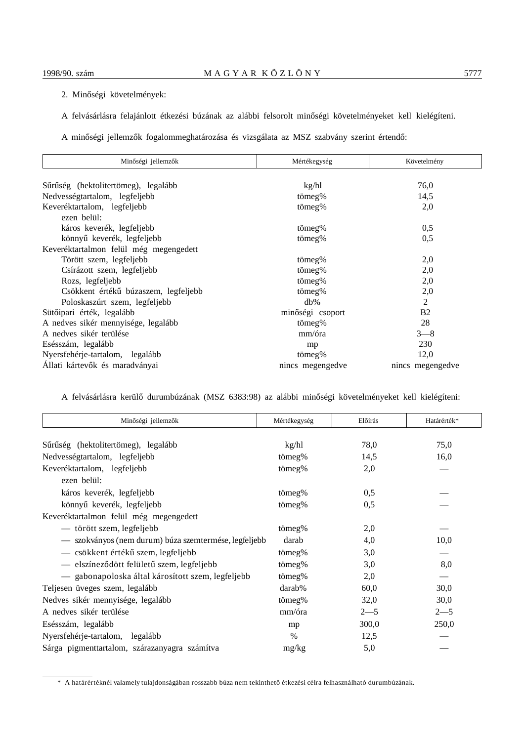- 2. Minőségi követelmények:
- A felvásárlásra felajánlott étkezési búzának az alábbi felsorolt minőségi követelményeket kell kielégíteni.
- A minőségi jellemzők fogalommeghatározása és vizsgálata az MSZ szabvány szerint értendő:

| Minőségi jellemzők                         | Mértékegység     | Követelmény      |
|--------------------------------------------|------------------|------------------|
|                                            |                  |                  |
| Sűrűség (hektolitertömeg), legalább        | kg/hl            | 76,0             |
| Nedvességtartalom, legfeljebb              | tömeg%           | 14,5             |
| Keveréktartalom, legfeljebb<br>ezen belül: | tömeg%           | 2,0              |
| káros keverék, legfeljebb                  | tömeg%           | 0,5              |
| könnyű keverék, legfeljebb                 | tömeg%           | 0,5              |
| Keveréktartalmon felül még megengedett     |                  |                  |
| Törött szem, legfeljebb                    | tömeg%           | 2,0              |
| Csírázott szem, legfeljebb                 | tömeg%           | 2,0              |
| Rozs, legfeljebb                           | tömeg%           | 2,0              |
| Csökkent értékű búzaszem, legfeljebb       | tömeg%           | 2,0              |
| Poloskaszúrt szem, legfeljebb              | $db\%$           | 2                |
| Sütőipari érték, legalább                  | minőségi csoport | <b>B2</b>        |
| A nedves sikér mennyisége, legalább        | tömeg%           | 28               |
| A nedves sikér terülése                    | mm/óra           | $3 - 8$          |
| Esésszám, legalább                         | mp               | 230              |
| Nyersfehérje-tartalom, legalább            | tömeg%           | 12,0             |
| Állati kártevők és maradványai             | nincs megengedve | nincs megengedve |

A felvásárlásra kerülő durumbúzának (MSZ 6383:98) az alábbi minőségi követelményeket kell kielégíteni:

| Minőségi jellemzők                                    | Mértékegység | Előírás | Határérték* |
|-------------------------------------------------------|--------------|---------|-------------|
| Sűrűség (hektolitertömeg), legalább                   | kg/hl        | 78,0    | 75,0        |
| Nedvességtartalom, legfeljebb                         | tömeg%       | 14,5    | 16,0        |
| Keveréktartalom, legfeljebb<br>ezen belül:            | tömeg%       | 2,0     |             |
| káros keverék, legfeljebb                             | tömeg%       | 0,5     |             |
| könnyű keverék, legfeljebb                            | tömeg%       | 0,5     |             |
| Keveréktartalmon felül még megengedett                |              |         |             |
| — törött szem, legfeljebb                             | tömeg%       | 2,0     |             |
| - szokványos (nem durum) búza szemtermése, legfeljebb | darab        | 4,0     | 10,0        |
| — csökkent értékű szem, legfeljebb                    | tömeg%       | 3,0     |             |
| - elszíneződött felületű szem, legfeljebb             | tömeg%       | 3,0     | 8,0         |
| — gabonapoloska által károsított szem, legfeljebb     | tömeg%       | 2,0     |             |
| Teljesen üveges szem, legalább                        | darab%       | 60,0    | 30,0        |
| Nedves sikér mennyisége, legalább                     | tömeg%       | 32,0    | 30,0        |
| A nedves sikér terülése                               | mm/óra       | $2 - 5$ | $2 - 5$     |
| Esésszám, legalább                                    | mp           | 300,0   | 250,0       |
| Nyersfehérje-tartalom, legalább                       | $\%$         | 12,5    |             |
| Sárga pigmenttartalom, szárazanyagra számítva         | mg/kg        | 5,0     |             |

<sup>\*</sup> A határértéknél valamely tulajdonságában rosszabb búza nem tekinthető étkezési célra felhasználható durumbúzának.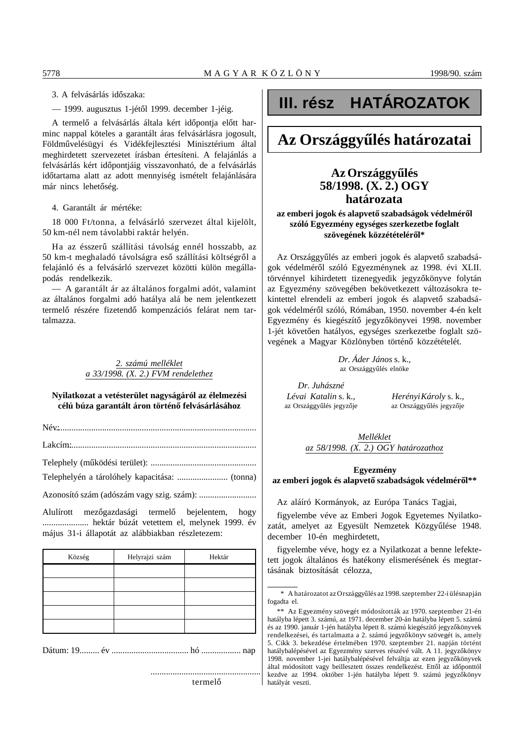3. A felvásárlás időszaka:

— 1999. augusztus 1-jétől 1999. december 1-jéig.

A termelő a felvásárlás általa kért időpontja előtt harminc nappal köteles a garantált áras felvásárlásra jogosult, Földművelésügyi és Vidékfejlesztési Minisztérium által meghirdetett szervezetet írásban értesíteni. A felajánlás a felvásárlás kért időpontjáig visszavonható, de a felvásárlás időtartama alatt az adott mennyiség ismételt felajánlására már nincs lehetőség.

4. Garantált ár mértéke:

18 000 Ft/tonna, a felvásárló szervezet által kijelölt, 50 km-nél nem távolabbi raktár helyén.

Ha az ésszerű szállítási távolság ennél hosszabb, az 50 km-t meghaladó távolságra eső szállítási költségről a felajánló és a felvásárló szervezet közötti külön megállapodás rendelkezik.

— A garantált ár az általános forgalmi adót, valamint az általános forgalmi adó hatálya alá be nem jelentkezett termelő részére fizetendő kompenzációs felárat nem tartalmazza.

# *2. számú melléklet a 33/1998. (X. 2.) FVM rendelethez*

# **Nyilatkozat a vetésterület nagyságáról az élelmezési** célú búza garantált áron történő felvásárlásához

Név: ............................................................................................

Lakcím: ......................................................................................

Telephely (m´´uködési terület): ................................................

Telephelyén a tárolóhely kapacitása: ....................... (tonna)

Azonosító szám (adószám vagy szig. szám): ..........................

Alulírott mezőgazdasági termelő bejelentem, hogy ..................... hektár búzát vetettem el, melynek 1999. év május 31-i állapotát az alábbiakban részletezem:

| Község | Helyrajzi szám | Hektár |
|--------|----------------|--------|
|        |                |        |
|        |                |        |
|        |                |        |
|        |                |        |
|        |                |        |
|        |                |        |

Dátum: 19......... év ................................... hó .................. nap

# termelő

# **III. rész HATÁROZATOK**

# **Az Országgyűlés határozatai**

# **Az Országgyűlés 58/1998. (X. 2.) OGY határozata**

# az emberi jogok és alapvető szabadságok védelméről **szóló Egyezmény egységes szerkezetbe foglalt** szövegének közzétételéről\*

Az Országgyűlés az emberi jogok és alapvető szabadságok védelméről szóló Egyezménynek az 1998. évi XLII. törvénnyel kihirdetett tizenegyedik jegyzőkönyve folytán az Egyezmény szövegében bekövetkezett változásokra tekintettel elrendeli az emberi jogok és alapvető szabadságok védelméről szóló, Rómában, 1950. november 4-én kelt Egyezmény és kiegészítő jegyzőkönyvei 1998. november 1-jét követően hatályos, egységes szerkezetbe foglalt szövegének a Magyar Közlönyben történő közzétételét.

> *Dr. Áder János* s. k., az Országgyűlés elnöke

*Dr. Juhászné* az Országgyűlés jegyzője az Országgyűlés jegyzője

*Lévai Katalin* s. k., *Herényi Károly* s. k.,

*Melléklet az 58/1998. (X. 2.) OGY határozathoz*

# **Egyezmény** az emberi jogok és alapvető szabadságok védelméről\*\*

Az aláíró Kormányok, az Európa Tanács Tagjai,

figyelembe véve az Emberi Jogok Egyetemes Nyilatkozatát, amelyet az Egyesült Nemzetek Közgyűlése 1948. december 10-én meghirdetett,

figyelembe véve, hogy ez a Nyilatkozat a benne lefektetett jogok általános és hatékony elismerésének és megtartásának biztosítását célozza,

<sup>\*</sup> A határozatot az Országgyűlés az 1998. szeptember 22-i ülésnapján fogadta el.

<sup>\*\*</sup> Az Egyezmény szövegét módosították az 1970. szeptember 21-én hatályba lépett 3. számú, az 1971. december 20-án hatályba lépett 5. számú és az 1990. január 1-jén hatályba lépett 8. számú kiegészítő jegyzőkönyvek rendelkezései, és tartalmazta a 2. számú jegyzőkönyv szövegét is, amely 5. Cikk 3. bekezdése értelmében 1970. szeptember 21. napján történt hatálybalépésével az Egyezmény szerves részévé vált. A 11. jegyzőkönyv 1998. november 1-jei hatálybalépésével felváltja az ezen jegyzőkönyvek által módosított vagy beillesztett összes rendelkezést. Ettől az időponttól kezdve az 1994. október 1-jén hatályba lépett 9. számú jegyzőkönyv hatályát veszti.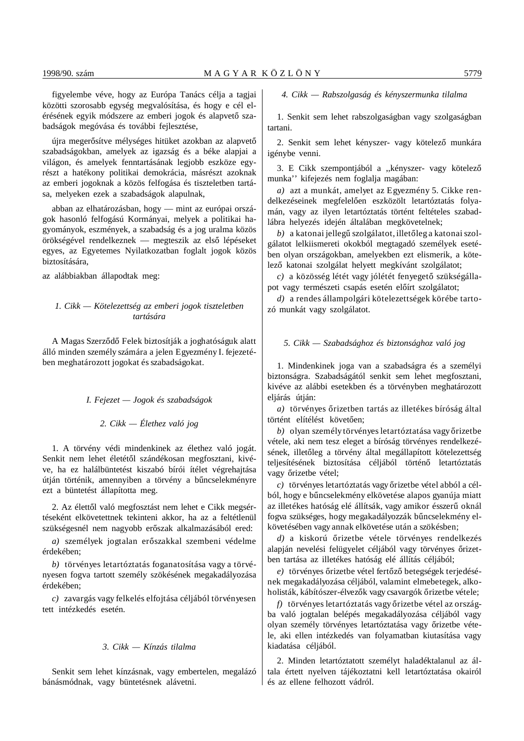figyelembe véve, hogy az Európa Tanács célja a tagjai közötti szorosabb egység megvalósítása, és hogy e cél elérésének egyik módszere az emberi jogok és alapvető szabadságok megóvása és további fejlesztése,

újra megerősítve mélységes hitüket azokban az alapvető szabadságokban, amelyek az igazság és a béke alapjai a világon, és amelyek fenntartásának legjobb eszköze egyrészt a hatékony politikai demokrácia, másrészt azoknak az emberi jogoknak a közös felfogása és tiszteletben tartása, melyeken ezek a szabadságok alapulnak,

abban az elhatározásban, hogy — mint az európai országok hasonló felfogású Kormányai, melyek a politikai hagyományok, eszmények, a szabadság és a jog uralma közös örökségével rendelkeznek — megteszik az első lépéseket egyes, az Egyetemes Nyilatkozatban foglalt jogok közös biztosítására,

az alábbiakban állapodtak meg:

# *1. Cikk — Kötelezettség az emberi jogok tiszteletben tartására*

A Magas Szerződő Felek biztosítják a joghatóságuk alatt álló minden személy számára a jelen Egyezmény I. fejezetében meghatározott jogokat és szabadságokat.

# *I. Fejezet — Jogok és szabadságok*

# *2. Cikk — Élethez való jog*

1. A törvény védi mindenkinek az élethez való jogát. Senkit nem lehet életétől szándékosan megfosztani, kivéve, ha ez halálbüntetést kiszabó bírói ítélet végrehajtása útján történik, amennyiben a törvény a bűncselekményre ezt a büntetést állapította meg.

2. Az élettől való megfosztást nem lehet e Cikk megsértéseként elkövetettnek tekinteni akkor, ha az a feltétlenül szükségesnél nem nagyobb erőszak alkalmazásából ered:

*a*) személyek jogtalan erőszakkal szembeni védelme érdekében;

*b)* törvényes letartóztatás foganatosítása vagy a törvényesen fogva tartott személy szökésének megakadályozása érdekében;

*c)* zavargás vagy felkelés elfojtása céljából törvényesen tett intézkedés esetén.

# *3. Cikk — Kínzás tilalma*

Senkit sem lehet kínzásnak, vagy embertelen, megalázó bánásmódnak, vagy büntetésnek alávetni.

# *4. Cikk — Rabszolgaság és kényszermunka tilalma*

1. Senkit sem lehet rabszolgaságban vagy szolgaságban tartani.

2. Senkit sem lehet kényszer- vagy kötelező munkára igénybe venni.

3. E Cikk szempontjából a "kényszer- vagy kötelező munka'' kifejezés nem foglalja magában:

*a)* azt a munkát, amelyet az Egyezmény 5. Cikke rendelkezéseinek megfelelően eszközölt letartóztatás folyamán, vagy az ilyen letartóztatás történt feltételes szabadlábra helyezés idején általában megkövetelnek;

*b*) a katonai jellegű szolgálatot, illetőleg a katonai szolgálatot lelkiismereti okokból megtagadó személyek esetében olyan országokban, amelyekben ezt elismerik, a kötelező katonai szolgálat helyett megkívánt szolgálatot;

*c*) a közösség létét vagy jólétét fenyegető szükségállapot vagy természeti csapás esetén előírt szolgálatot;

*d)* a rendes állampolgári kötelezettségek körébe tartozó munkát vagy szolgálatot.

# *5. Cikk — Szabadsághoz és biztonsághoz való jog*

1. Mindenkinek joga van a szabadságra és a személyi biztonságra. Szabadságától senkit sem lehet megfosztani, kivéve az alábbi esetekben és a törvényben meghatározott eljárás útján:

a) törvényes őrizetben tartás az illetékes bíróság által történt elítélést követően:

*b*) olyan személy törvényes letartóztatása vagy őrizetbe vétele, aki nem tesz eleget a bíróság törvényes rendelkezésének, illetőleg a törvény által megállapított kötelezettség teljesítésének biztosítása céljából történő letartóztatás vagy őrizetbe vétel;

*c*) törvényes letartóztatás vagy őrizetbe vétel abból a célból, hogy e bűncselekmény elkövetése alapos gyanúja miatt az illetékes hatóság elé állítsák, vagy amikor ésszerű oknál fogva szükséges, hogy megakadályozzák bűncselekmény elkövetésében vagy annak elkövetése után a szökésben;

d) a kiskorú őrizetbe vétele törvényes rendelkezés alapján nevelési felügyelet céljából vagy törvényes őrizetben tartása az illetékes hatóság elé állítás céljából;

 $e$ ) törvényes őrizetbe vétel fertőző betegségek terjedésének megakadályozása céljából, valamint elmebetegek, alkoholisták, kábítószer-élvezők vagy csavargók őrizetbe vétele;

*f*) törvényes letartóztatás vagy őrizetbe vétel az országba való jogtalan belépés megakadályozása céljából vagy olyan személy törvényes letartóztatása vagy őrizetbe vétele, aki ellen intézkedés van folyamatban kiutasítása vagy kiadatása céljából.

2. Minden letartóztatott személyt haladéktalanul az általa értett nyelven tájékoztatni kell letartóztatása okairól és az ellene felhozott vádról.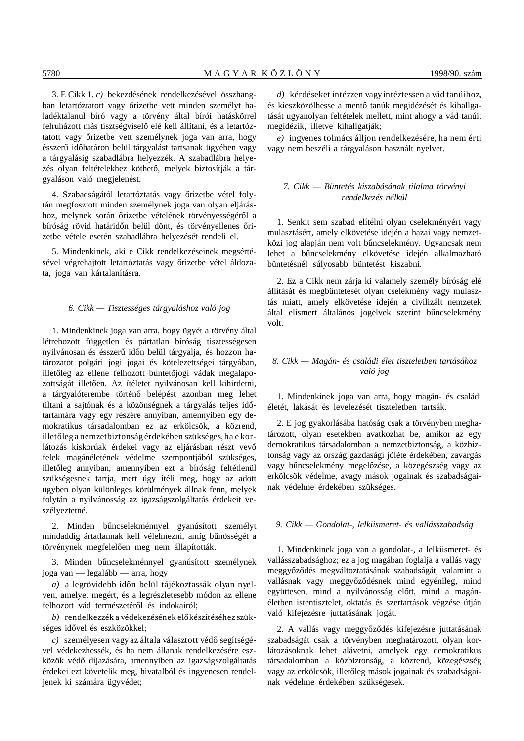3. E Cikk 1. *c)* bekezdésének rendelkezésével összhangban letartóztatott vagy őrizetbe vett minden személyt haladéktalanul bíró vagy a törvény által bírói hatáskörrel felruházott más tisztségviselő elé kell állítani, és a letartóztatott vagy őrizetbe vett személynek joga van arra, hogy ésszerű időhatáron belül tárgyalást tartsanak ügyében vagy a tárgyalásig szabadlábra helyezzék. A szabadlábra helyezés olyan feltételekhez köthető, melyek biztosítják a tárgyaláson való megjelenést.

4. Szabadságától letartóztatás vagy őrizetbe vétel folytán megfosztott minden személynek joga van olyan eljáráshoz, melynek során őrizetbe vételének törvényességéről a bíróság rövid határidőn belül dönt, és törvényellenes őrizetbe vétele esetén szabadlábra helyezését rendeli el.

5. Mindenkinek, aki e Cikk rendelkezéseinek megsértésével végrehajtott letartóztatás vagy őrizetbe vétel áldozata, joga van kártalanításra.

#### *6. Cikk — Tisztességes tárgyaláshoz való jog*

1. Mindenkinek joga van arra, hogy ügyét a törvény által létrehozott független és pártatlan bíróság tisztességesen nyilvánosan és ésszerű időn belül tárgyalja, és hozzon határozatot polgári jogi jogai és kötelezettségei tárgyában, illetőleg az ellene felhozott büntetőjogi vádak megalapozottságát illetően. Az ítéletet nyilvánosan kell kihirdetni, a tárgyalóterembe történő belépést azonban meg lehet tiltani a sajtónak és a közönségnek a tárgyalás teljes időtartamára vagy egy részére annyiban, amennyiben egy demokratikus társadalomban ez az erkölcsök, a közrend, illetőleg a nemzetbiztonság érdekében szükséges, ha e korlátozás kiskorúak érdekei vagy az eljárásban részt vevő felek magánéletének védelme szempontjából szükséges, illetőleg annyiban, amennyiben ezt a bíróság feltétlenül szükségesnek tartja, mert úgy ítéli meg, hogy az adott ügyben olyan különleges körülmények állnak fenn, melyek folytán a nyilvánosság az igazságszolgáltatás érdekeit veszélyeztetné.

2. Minden bűncselekménnyel gyanúsított személyt mindaddig ártatlannak kell vélelmezni, amíg bűnösségét a törvénynek megfelelően meg nem állapították.

3. Minden bűncselekménnyel gyanúsított személynek joga van — legalább — arra, hogy

*a*) a legrövidebb időn belül tájékoztassák olyan nyelven, amelyet megért, és a legrészletesebb módon az ellene felhozott vád természetéről és indokairól:

*b*) rendelkezzék a védekezésének előkészítéséhez szükséges idővel és eszközökkel;

*c*) személyesen vagy az általa választott védő segítségével védekezhessék, és ha nem állanak rendelkezésére eszközök védő díjazására, amennyiben az igazságszolgáltatás érdekei ezt követelik meg, hivatalból és ingyenesen rendeljenek ki számára ügyvédet;

*d)* kérdéseket intézzen vagy intéztessen a vád tanúihoz, és kieszközölhesse a mentő tanúk megidézését és kihallgatását ugyanolyan feltételek mellett, mint ahogy a vád tanúit megidézik, illetve kihallgatják;

*e)* ingyenes tolmács álljon rendelkezésére, ha nem érti vagy nem beszéli a tárgyaláson használt nyelvet.

# *7. Cikk — Büntetés kiszabásának tilalma törvényi rendelkezés nélkül*

1. Senkit sem szabad elítélni olyan cselekményért vagy mulasztásért, amely elkövetése idején a hazai vagy nemzetközi jog alapján nem volt bűncselekmény. Ugyancsak nem lehet a bűncselekmény elkövetése idején alkalmazható büntetésnél súlyosabb büntetést kiszabni.

2. Ez a Cikk nem zárja ki valamely személy bíróság elé állítását és megbüntetését olyan cselekmény vagy mulasztás miatt, amely elkövetése idején a civilizált nemzetek által elismert általános jogelvek szerint bűncselekmény volt.

# *8. Cikk — Magán- és családi élet tiszteletben tartásához való jog*

1. Mindenkinek joga van arra, hogy magán- és családi életét, lakását és levelezését tiszteletben tartsák.

2. E jog gyakorlásába hatóság csak a törvényben meghatározott, olyan esetekben avatkozhat be, amikor az egy demokratikus társadalomban a nemzetbiztonság, a közbiztonság vagy az ország gazdasági jóléte érdekében, zavargás vagy bűncselekmény megelőzése, a közegészség vagy az erkölcsök védelme, avagy mások jogainak és szabadságainak védelme érdekében szükséges.

# *9. Cikk — Gondolat-, lelkiismeret- és vallásszabadság*

1. Mindenkinek joga van a gondolat-, a lelkiismeret- és vallásszabadsághoz; ez a jog magában foglalja a vallás vagy meggyőződés megváltoztatásának szabadságát, valamint a vallásnak vagy meggyőződésnek mind egyénileg, mind együttesen, mind a nyilvánosság előtt, mind a magánéletben istentisztelet, oktatás és szertartások végzése útján való kifejezésre juttatásának jogát.

2. A vallás vagy meggyőződés kifejezésre juttatásának szabadságát csak a törvényben meghatározott, olyan korlátozásoknak lehet alávetni, amelyek egy demokratikus társadalomban a közbiztonság, a közrend, közegészség vagy az erkölcsök, illetőleg mások jogainak és szabadságainak védelme érdekében szükségesek.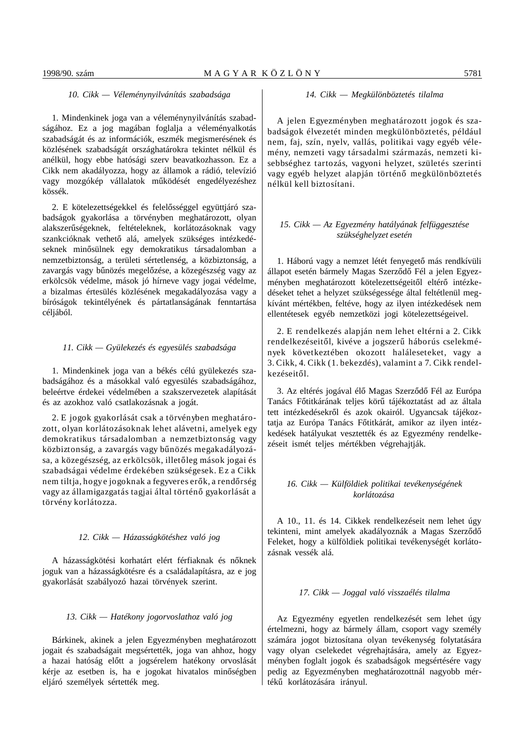1. Mindenkinek joga van a véleménynyilvánítás szabadságához. Ez a jog magában foglalja a véleményalkotás szabadságát és az információk, eszmék megismerésének és közlésének szabadságát országhatárokra tekintet nélkül és anélkül, hogy ebbe hatósági szerv beavatkozhasson. Ez a Cikk nem akadályozza, hogy az államok a rádió, televízió vagy mozgókép vállalatok működését engedélyezéshez kössék.

2. E kötelezettségekkel és felelősséggel együttjáró szabadságok gyakorlása a törvényben meghatározott, olyan alakszerűségeknek, feltételeknek, korlátozásoknak vagy szankcióknak vethető alá, amelyek szükséges intézkedéseknek minősülnek egy demokratikus társadalomban a nemzetbiztonság, a területi sértetlenség, a közbiztonság, a zavargás vagy bűnözés megelőzése, a közegészség vagy az erkölcsök védelme, mások jó hírneve vagy jogai védelme, a bizalmas értesülés közlésének megakadályozása vagy a bíróságok tekintélyének és pártatlanságának fenntartása céljából.

#### *11. Cikk — Gyülekezés és egyesülés szabadsága*

1. Mindenkinek joga van a békés célú gyülekezés szabadságához és a másokkal való egyesülés szabadságához, beleértve érdekei védelmében a szakszervezetek alapítását és az azokhoz való csatlakozásnak a jogát.

2. E jogok gyakorlását csak a törvényben meghatározott, olyan korlátozásoknak lehet alávetni, amelyek egy demokratikus társadalomban a nemzetbiztonság vagy közbiztonság, a zavargás vagy bűnözés megakadályozása, a közegészség, az erkölcsök, illetőleg mások jogai és szabadságai védelme érdekében szükségesek. Ez a Cikk nem tiltja, hogy e jogoknak a fegyveres erők, a rendőrség vagy az államigazgatás tagjai által történő gyakorlását a törvény korlátozza.

#### *12. Cikk — Házasságkötéshez való jog*

A házasságkötési korhatárt elért férfiaknak és nőknek joguk van a házasságkötésre és a családalapításra, az e jog gyakorlását szabályozó hazai törvények szerint.

#### *13. Cikk — Hatékony jogorvoslathoz való jog*

Bárkinek, akinek a jelen Egyezményben meghatározott jogait és szabadságait megsértették, joga van ahhoz, hogy a hazai hatóság előtt a jogsérelem hatékony orvoslását kérje az esetben is, ha e jogokat hivatalos minőségben eljáró személyek sértették meg.

### *14. Cikk — Megkülönböztetés tilalma*

A jelen Egyezményben meghatározott jogok és szabadságok élvezetét minden megkülönböztetés, például nem, faj, szín, nyelv, vallás, politikai vagy egyéb vélemény, nemzeti vagy társadalmi származás, nemzeti kisebbséghez tartozás, vagyoni helyzet, születés szerinti vagy egyéb helyzet alapján történő megkülönböztetés nélkül kell biztosítani.

# *15. Cikk — Az Egyezmény hatályának felfüggesztése szükséghelyzet esetén*

1. Háború vagy a nemzet létét fenyegető más rendkívüli állapot esetén bármely Magas Szerződő Fél a jelen Egyezményben meghatározott kötelezettségeitől eltérő intézkedéseket tehet a helyzet szükségessége által feltétlenül megkívánt mértékben, feltéve, hogy az ilyen intézkedések nem ellentétesek egyéb nemzetközi jogi kötelezettségeivel.

2. E rendelkezés alapján nem lehet eltérni a 2. Cikk rendelkezéseitől, kivéve a jogszerű háborús cselekmények következtében okozott haláleseteket, vagy a 3. Cikk, 4. Cikk (1. bekezdés), valamint a 7. Cikk rendelkezéseitől.

3. Az eltérés jogával élő Magas Szerződő Fél az Európa Tanács Főtitkárának teljes körű tájékoztatást ad az általa tett intézkedésekről és azok okairól. Ugyancsak tájékoztatja az Európa Tanács Főtitkárát, amikor az ilyen intézkedések hatályukat vesztették és az Egyezmény rendelkezéseit ismét teljes mértékben végrehajtják.

# *16. Cikk — Külföldiek politikai tevékenységének korlátozása*

A 10., 11. és 14. Cikkek rendelkezéseit nem lehet úgy tekinteni, mint amelyek akadályoznák a Magas Szerződő Feleket, hogy a külföldiek politikai tevékenységét korlátozásnak vessék alá.

#### *17. Cikk — Joggal való visszaélés tilalma*

Az Egyezmény egyetlen rendelkezését sem lehet úgy értelmezni, hogy az bármely állam, csoport vagy személy számára jogot biztosítana olyan tevékenység folytatására vagy olyan cselekedet végrehajtására, amely az Egyezményben foglalt jogok és szabadságok megsértésére vagy pedig az Egyezményben meghatározottnál nagyobb mértékű korlátozására irányul.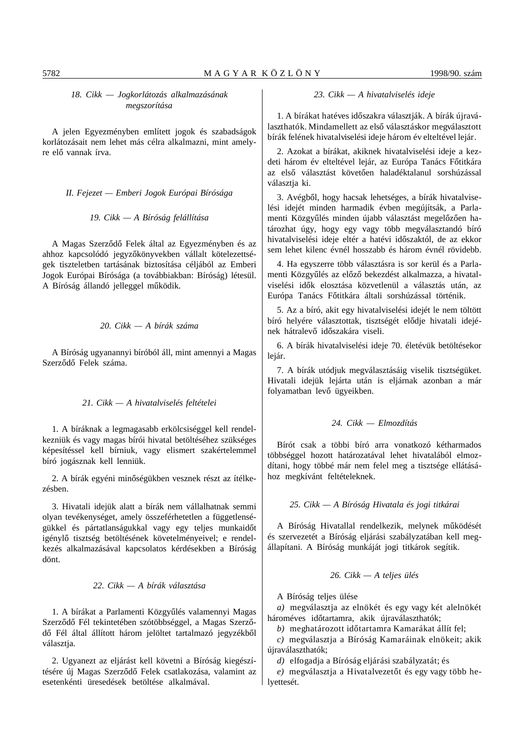# *18. Cikk — Jogkorlátozás alkalmazásának megszorítása*

A jelen Egyezményben említett jogok és szabadságok korlátozásait nem lehet más célra alkalmazni, mint amelyre elő vannak írva.

*II. Fejezet — Emberi Jogok Európai Bírósága*

# *19. Cikk — A Bíróság felállítása*

A Magas Szerződő Felek által az Egyezményben és az ahhoz kapcsolódó jegyzőkönyvekben vállalt kötelezettségek tiszteletben tartásának biztosítása céljából az Emberi Jogok Európai Bírósága (a továbbiakban: Bíróság) létesül. A Bíróság állandó jelleggel működik.

#### *20. Cikk — A bírák száma*

A Bíróság ugyanannyi bíróból áll, mint amennyi a Magas Szerződő Felek száma.

#### *21. Cikk — A hivatalviselés feltételei*

1. A bíráknak a legmagasabb erkölcsiséggel kell rendelkezniük és vagy magas bírói hivatal betöltéséhez szükséges képesítéssel kell bírniuk, vagy elismert szakértelemmel bíró jogásznak kell lenniük.

2. A bírák egyéni minőségükben vesznek részt az ítélkezésben.

3. Hivatali idejük alatt a bírák nem vállalhatnak semmi olyan tevékenységet, amely összeférhetetlen a függetlenségükkel és pártatlanságukkal vagy egy teljes munkaidőt igénylő tisztség betöltésének követelményeivel; e rendelkezés alkalmazásával kapcsolatos kérdésekben a Bíróság dönt.

# *22. Cikk — A bírák választása*

1. A bírákat a Parlamenti Közgyűlés valamennyi Magas Szerződő Fél tekintetében szótöbbséggel, a Magas Szerződő Fél által állított három jelöltet tartalmazó jegyzékből választja.

2. Ugyanezt az eljárást kell követni a Bíróság kiegészítésére új Magas Szerződő Felek csatlakozása, valamint az esetenkénti üresedések betöltése alkalmával.

# *23. Cikk — A hivatalviselés ideje*

1. A bírákat hatéves időszakra választiák. A bírák újraválaszthatók. Mindamellett az első választáskor megválasztott bírák felének hivatalviselési ideje három év elteltével lejár.

2. Azokat a bírákat, akiknek hivatalviselési ideje a kezdeti három év elteltével lejár, az Európa Tanács Főtitkára az első választást követően haladéktalanul sorshúzással választja ki.

3. Avégből, hogy hacsak lehetséges, a bírák hivatalviselési idejét minden harmadik évben megújítsák, a Parlamenti Közgyűlés minden újabb választást megelőzően határozhat úgy, hogy egy vagy több megválasztandó bíró hivatalviselési ideje eltér a hatévi időszaktól, de az ekkor sem lehet kilenc évnél hosszabb és három évnél rövidebb.

4. Ha egyszerre több választásra is sor kerül és a Parlamenti Közgyűlés az előző bekezdést alkalmazza, a hivatalviselési idők elosztása közvetlenül a választás után, az Európa Tanács Főtitkára általi sorshúzással történik.

5. Az a bíró, akit egy hivatalviselési idejét le nem töltött bíró helyére választottak, tisztségét elődje hivatali idejének hátralevő időszakára viseli.

6. A bírák hivatalviselési ideje 70. életévük betöltésekor lejár.

7. A bírák utódjuk megválasztásáig viselik tisztségüket. Hivatali idejük lejárta után is eljárnak azonban a már folyamatban levő ügyeikben.

# *24. Cikk — Elmozdítás*

Bírót csak a többi bíró arra vonatkozó kétharmados többséggel hozott határozatával lehet hivatalából elmozdítani, hogy többé már nem felel meg a tisztsége ellátásához megkívánt feltételeknek.

# *25. Cikk — A Bíróság Hivatala és jogi titkárai*

A Bíróság Hivatallal rendelkezik, melynek működését és szervezetét a Bíróság eljárási szabályzatában kell megállapítani. A Bíróság munkáját jogi titkárok segítik.

# *26. Cikk — A teljes ülés*

A Bíróság teljes ülése

*a)* megválasztja az elnökét és egy vagy két alelnökét hároméves időtartamra, akik újraválaszthatók;

*b*) meghatározott időtartamra Kamarákat állít fel;

*c)* megválasztja a Bíróság Kamaráinak elnökeit; akik újraválaszthatók;

*d)* elfogadja a Bíróság eljárási szabályzatát; és

*e*) megválasztja a Hivatalvezetőt és egy vagy több helyettesét.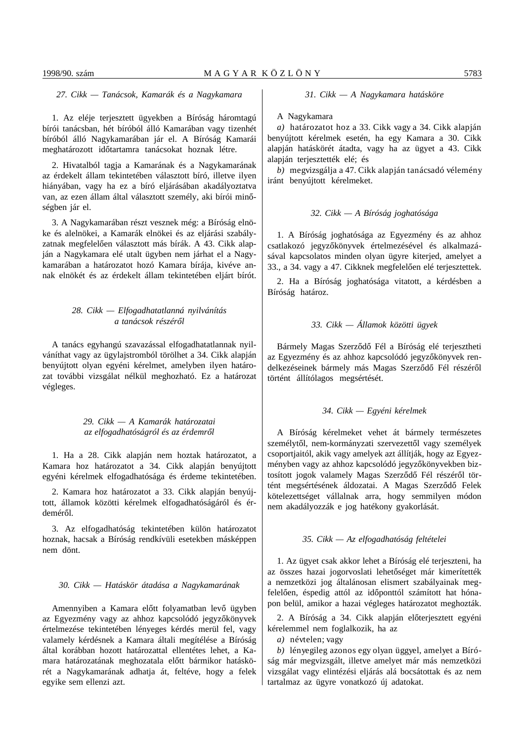### *27. Cikk — Tanácsok, Kamarák és a Nagykamara*

1. Az eléje terjesztett ügyekben a Bíróság háromtagú bírói tanácsban, hét bíróból álló Kamarában vagy tizenhét bíróból álló Nagykamarában jár el. A Bíróság Kamarái meghatározott időtartamra tanácsokat hoznak létre.

2. Hivatalból tagja a Kamarának és a Nagykamarának az érdekelt állam tekintetében választott bíró, illetve ilyen hiányában, vagy ha ez a bíró eljárásában akadályoztatva van, az ezen állam által választott személy, aki bírói minőségben jár el.

3. A Nagykamarában részt vesznek még: a Bíróság elnöke és alelnökei, a Kamarák elnökei és az eljárási szabályzatnak megfelelően választott más bírák. A 43. Cikk alapján a Nagykamara elé utalt ügyben nem járhat el a Nagykamarában a határozatot hozó Kamara bírája, kivéve annak elnökét és az érdekelt állam tekintetében eljárt bírót.

# *28. Cikk — Elfogadhatatlanná nyilvánítás a tanácsok részér´´ol*

A tanács egyhangú szavazással elfogadhatatlannak nyilváníthat vagy az ügylajstromból törölhet a 34. Cikk alapján benyújtott olyan egyéni kérelmet, amelyben ilyen határozat további vizsgálat nélkül meghozható. Ez a határozat végleges.

# *29. Cikk — A Kamarák határozatai az elfogadhatóságról és az érdemr´´ol*

1. Ha a 28. Cikk alapján nem hoztak határozatot, a Kamara hoz határozatot a 34. Cikk alapján benyújtott egyéni kérelmek elfogadhatósága és érdeme tekintetében.

2. Kamara hoz határozatot a 33. Cikk alapján benyújtott, államok közötti kérelmek elfogadhatóságáról és érdeméről.

3. Az elfogadhatóság tekintetében külön határozatot hoznak, hacsak a Bíróság rendkívüli esetekben másképpen nem dönt.

#### *30. Cikk — Hatáskör átadása a Nagykamarának*

Amennyiben a Kamara előtt folyamatban levő ügyben az Egyezmény vagy az ahhoz kapcsolódó jegyzőkönyvek értelmezése tekintetében lényeges kérdés merül fel, vagy valamely kérdésnek a Kamara általi megítélése a Bíróság által korábban hozott határozattal ellentétes lehet, a Kamara határozatának meghozatala előtt bármikor hatáskörét a Nagykamarának adhatja át, feltéve, hogy a felek egyike sem ellenzi azt.

#### *31. Cikk — A Nagykamara hatásköre*

#### A Nagykamara

*a)* határozatot hoz a 33. Cikk vagy a 34. Cikk alapján benyújtott kérelmek esetén, ha egy Kamara a 30. Cikk alapján hatáskörét átadta, vagy ha az ügyet a 43. Cikk alapján terjesztették elé; és

*b)* megvizsgálja a 47. Cikk alapján tanácsadó vélemény iránt benyújtott kérelmeket.

#### *32. Cikk — A Bíróság joghatósága*

1. A Bíróság joghatósága az Egyezmény és az ahhoz csatlakozó jegyzőkönyvek értelmezésével és alkalmazásával kapcsolatos minden olyan ügyre kiterjed, amelyet a 33., a 34. vagy a 47. Cikknek megfelelően elé terjesztettek.

2. Ha a Bíróság joghatósága vitatott, a kérdésben a Bíróság határoz.

# *33. Cikk — Államok közötti ügyek*

Bármely Magas Szerződő Fél a Bíróság elé terjesztheti az Egyezmény és az ahhoz kapcsolódó jegyzőkönyvek rendelkezéseinek bármely más Magas Szerződő Fél részéről történt állítólagos megsértését.

# *34. Cikk — Egyéni kérelmek*

A Bíróság kérelmeket vehet át bármely természetes személytől, nem-kormányzati szervezettől vagy személyek csoportjaitól, akik vagy amelyek azt állítják, hogy az Egyezményben vagy az ahhoz kapcsolódó jegyzőkönyvekben biztosított jogok valamely Magas Szerződő Fél részéről történt megsértésének áldozatai. A Magas Szerződő Felek kötelezettséget vállalnak arra, hogy semmilyen módon nem akadályozzák e jog hatékony gyakorlását.

#### *35. Cikk — Az elfogadhatóság feltételei*

1. Az ügyet csak akkor lehet a Bíróság elé terjeszteni, ha az összes hazai jogorvoslati lehetőséget már kimerítették a nemzetközi jog általánosan elismert szabályainak megfelelően, éspedig attól az időponttól számított hat hónapon belül, amikor a hazai végleges határozatot meghozták.

2. A Bíróság a 34. Cikk alapján előterjesztett egyéni kérelemmel nem foglalkozik, ha az

*a)* névtelen; vagy

*b)* lényegileg azonos egy olyan üggyel, amelyet a Bíróság már megvizsgált, illetve amelyet már más nemzetközi vizsgálat vagy elintézési eljárás alá bocsátottak és az nem tartalmaz az ügyre vonatkozó új adatokat.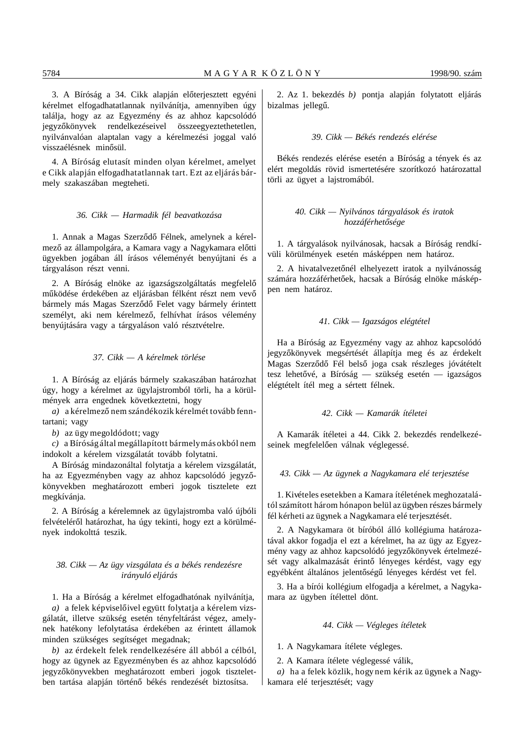3. A Bíróság a 34. Cikk alapján előterjesztett egyéni kérelmet elfogadhatatlannak nyilvánítja, amennyiben úgy találja, hogy az az Egyezmény és az ahhoz kapcsolódó jegyzőkönyvek rendelkezéseivel összeegyeztethetetlen, nyilvánvalóan alaptalan vagy a kérelmezési joggal való visszaélésnek minősül.

4. A Bíróság elutasít minden olyan kérelmet, amelyet e Cikk alapján elfogadhatatlannak tart. Ezt az eljárás bármely szakaszában megteheti.

# *36. Cikk — Harmadik fél beavatkozása*

1. Annak a Magas Szerződő Félnek, amelynek a kérelmező az állampolgára, a Kamara vagy a Nagykamara előtti ügyekben jogában áll írásos véleményét benyújtani és a tárgyaláson részt venni.

2. A Bíróság elnöke az igazságszolgáltatás megfelelő működése érdekében az eljárásban félként részt nem vevő bármely más Magas Szerződő Felet vagy bármely érintett személyt, aki nem kérelmező, felhívhat írásos vélemény benyújtására vagy a tárgyaláson való résztvételre.

#### *37. Cikk — A kérelmek törlése*

1. A Bíróság az eljárás bármely szakaszában határozhat úgy, hogy a kérelmet az ügylajstromból törli, ha a körülmények arra engednek következtetni, hogy

a) a kérelmező nem szándékozik kérelmét tovább fenntartani; vagy

*b)* az ügy megoldódott; vagy

*c)* a Bíróság által megállapított bármely más okból nem indokolt a kérelem vizsgálatát tovább folytatni.

A Bíróság mindazonáltal folytatja a kérelem vizsgálatát, ha az Egyezményben vagy az ahhoz kapcsolódó jegyzőkönyvekben meghatározott emberi jogok tisztelete ezt megkívánja.

2. A Bíróság a kérelemnek az ügylajstromba való újbóli felvételéről határozhat, ha úgy tekinti, hogy ezt a körülmények indokolttá teszik.

# *38. Cikk — Az ügy vizsgálata és a békés rendezésre irányuló eljárás*

1. Ha a Bíróság a kérelmet elfogadhatónak nyilvánítja, *a*) a felek képviselőivel együtt folytatja a kérelem vizsgálatát, illetve szükség esetén tényfeltárást végez, amelynek hatékony lefolytatása érdekében az érintett államok minden szükséges segítséget megadnak;

*b)* az érdekelt felek rendelkezésére áll abból a célból, hogy az ügynek az Egyezményben és az ahhoz kapcsolódó jegyzőkönyvekben meghatározott emberi jogok tiszteletben tartása alapján történő békés rendezését biztosítsa.

2. Az 1. bekezdés *b)* pontja alapján folytatott eljárás bizalmas jellegű.

#### *39. Cikk — Békés rendezés elérése*

Békés rendezés elérése esetén a Bíróság a tények és az elért megoldás rövid ismertetésére szorítkozó határozattal törli az ügyet a lajstromából.

# *40. Cikk — Nyilvános tárgyalások és iratok hozzáférhet´´osége*

1. A tárgyalások nyilvánosak, hacsak a Bíróság rendkívüli körülmények esetén másképpen nem határoz.

2. A hivatalvezetőnél elhelyezett iratok a nyilvánosság számára hozzáférhetőek, hacsak a Bíróság elnöke másképpen nem határoz.

# *41. Cikk — Igazságos elégtétel*

Ha a Bíróság az Egyezmény vagy az ahhoz kapcsolódó jegyzőkönyvek megsértését állapítja meg és az érdekelt Magas Szerződő Fél belső joga csak részleges jóvátételt tesz lehetővé, a Bíróság — szükség esetén — igazságos elégtételt ítél meg a sértett félnek.

# *42. Cikk — Kamarák ítéletei*

A Kamarák ítéletei a 44. Cikk 2. bekezdés rendelkezéseinek megfelelően válnak véglegessé.

# *43. Cikk — Az ügynek a Nagykamara elé terjesztése*

1. Kivételes esetekben a Kamara ítéletének meghozatalától számított három hónapon belül az ügyben részes bármely fél kérheti az ügynek a Nagykamara elé terjesztését.

2. A Nagykamara öt bíróból álló kollégiuma határozatával akkor fogadja el ezt a kérelmet, ha az ügy az Egyezmény vagy az ahhoz kapcsolódó jegyzőkönyvek értelmezését vagy alkalmazását érintő lényeges kérdést, vagy egy egyébként általános jelentőségű lényeges kérdést vet fel.

3. Ha a bírói kollégium elfogadja a kérelmet, a Nagykamara az ügyben ítélettel dönt.

# *44. Cikk — Végleges ítéletek*

1. A Nagykamara ítélete végleges.

2. A Kamara ítélete véglegessé válik,

*a)* ha a felek közlik, hogy nem kérik az ügynek a Nagykamara elé terjesztését; vagy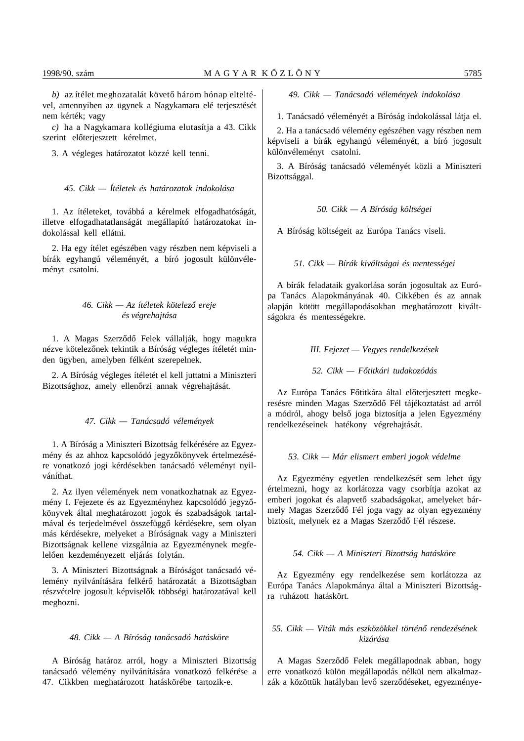*b*) az ítélet meghozatalát követő három hónap elteltével, amennyiben az ügynek a Nagykamara elé terjesztését nem kérték; vagy

*c)* ha a Nagykamara kollégiuma elutasítja a 43. Cikk szerint előterjesztett kérelmet.

3. A végleges határozatot közzé kell tenni.

*45. Cikk — Ítéletek és határozatok indokolása*

1. Az ítéleteket, továbbá a kérelmek elfogadhatóságát, illetve elfogadhatatlanságát megállapító határozatokat indokolással kell ellátni.

2. Ha egy ítélet egészében vagy részben nem képviseli a bírák egyhangú véleményét, a bíró jogosult különvéleményt csatolni.

# *46. Cikk — Az ítéletek kötelez´´o ereje és végrehajtása*

1. A Magas Szerződő Felek vállalják, hogy magukra nézve kötelezőnek tekintik a Bíróság végleges ítéletét minden ügyben, amelyben félként szerepelnek.

2. A Bíróság végleges ítéletét el kell juttatni a Miniszteri Bizottsághoz, amely ellenőrzi annak végrehajtását.

#### *47. Cikk — Tanácsadó vélemények*

1. A Bíróság a Miniszteri Bizottság felkérésére az Egyezmény és az ahhoz kapcsolódó jegyzőkönyvek értelmezésére vonatkozó jogi kérdésekben tanácsadó véleményt nyilváníthat.

2. Az ilyen vélemények nem vonatkozhatnak az Egyezmény I. Fejezete és az Egyezményhez kapcsolódó jegyzőkönyvek által meghatározott jogok és szabadságok tartalmával és terjedelmével összefüggő kérdésekre, sem olyan más kérdésekre, melyeket a Bíróságnak vagy a Miniszteri Bizottságnak kellene vizsgálnia az Egyezménynek megfelelően kezdeményezett eljárás folytán.

3. A Miniszteri Bizottságnak a Bíróságot tanácsadó vélemény nyilvánítására felkérő határozatát a Bizottságban részvételre jogosult képviselők többségi határozatával kell meghozni.

#### *48. Cikk — A Bíróság tanácsadó hatásköre*

A Bíróság határoz arról, hogy a Miniszteri Bizottság tanácsadó vélemény nyilvánítására vonatkozó felkérése a 47. Cikkben meghatározott hatáskörébe tartozik-e.

*49. Cikk — Tanácsadó vélemények indokolása*

1. Tanácsadó véleményét a Bíróság indokolással látja el.

2. Ha a tanácsadó vélemény egészében vagy részben nem képviseli a bírák egyhangú véleményét, a bíró jogosult különvéleményt csatolni.

3. A Bíróság tanácsadó véleményét közli a Miniszteri Bizottsággal.

#### *50. Cikk — A Bíróság költségei*

A Bíróság költségeit az Európa Tanács viseli.

*51. Cikk — Bírák kiváltságai és mentességei*

A bírák feladataik gyakorlása során jogosultak az Európa Tanács Alapokmányának 40. Cikkében és az annak alapján kötött megállapodásokban meghatározott kiváltságokra és mentességekre.

*III. Fejezet — Vegyes rendelkezések*

*52. Cikk — F´´otitkári tudakozódás*

Az Európa Tanács Főtitkára által előterjesztett megkeresésre minden Magas Szerződő Fél tájékoztatást ad arról a módról, ahogy belső joga biztosítja a jelen Egyezmény rendelkezéseinek hatékony végrehajtását.

#### *53. Cikk — Már elismert emberi jogok védelme*

Az Egyezmény egyetlen rendelkezését sem lehet úgy értelmezni, hogy az korlátozza vagy csorbítja azokat az emberi jogokat és alapvető szabadságokat, amelyeket bármely Magas Szerződő Fél joga vagy az olyan egyezmény biztosít, melynek ez a Magas Szerződő Fél részese.

# *54. Cikk — A Miniszteri Bizottság hatásköre*

Az Egyezmény egy rendelkezése sem korlátozza az Európa Tanács Alapokmánya által a Miniszteri Bizottságra ruházott hatáskört.

# *55. Cikk — Viták más eszközökkel történ´´o rendezésének kizárása*

A Magas Szerződő Felek megállapodnak abban, hogy erre vonatkozó külön megállapodás nélkül nem alkalmazzák a közöttük hatályban levő szerződéseket, egyezménye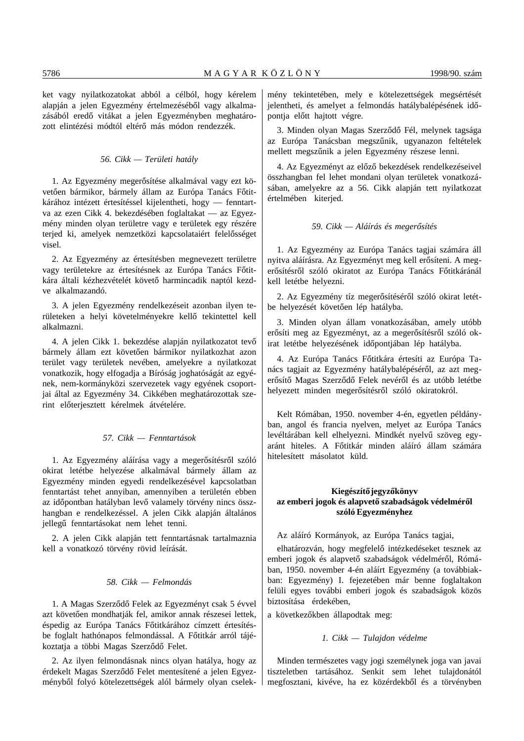ket vagy nyilatkozatokat abból a célból, hogy kérelem alapján a jelen Egyezmény értelmezéséből vagy alkalmazásából eredő vitákat a jelen Egyezményben meghatározott elintézési módtól eltérő más módon rendezzék.

# *56. Cikk — Területi hatály*

1. Az Egyezmény megerősítése alkalmával vagy ezt követően bármikor, bármely állam az Európa Tanács Főtitkárához intézett értesítéssel kijelentheti, hogy — fenntartva az ezen Cikk 4. bekezdésében foglaltakat — az Egyezmény minden olyan területre vagy e területek egy részére terjed ki, amelyek nemzetközi kapcsolataiért felelősséget visel.

2. Az Egyezmény az értesítésben megnevezett területre vagy területekre az értesítésnek az Európa Tanács Főtitkára általi kézhezvételét követő harmincadik naptól kezdve alkalmazandó.

3. A jelen Egyezmény rendelkezéseit azonban ilyen területeken a helyi követelményekre kellő tekintettel kell alkalmazni.

4. A jelen Cikk 1. bekezdése alapján nyilatkozatot tevő bármely állam ezt követően bármikor nyilatkozhat azon terület vagy területek nevében, amelyekre a nyilatkozat vonatkozik, hogy elfogadja a Bíróság joghatóságát az egyének, nem-kormányközi szervezetek vagy egyének csoportjai által az Egyezmény 34. Cikkében meghatározottak szerint előterjesztett kérelmek átvételére.

# *57. Cikk — Fenntartások*

1. Az Egyezmény aláírása vagy a megerősítésről szóló okirat letétbe helyezése alkalmával bármely állam az Egyezmény minden egyedi rendelkezésével kapcsolatban fenntartást tehet annyiban, amennyiben a területén ebben az időpontban hatályban levő valamely törvény nincs összhangban e rendelkezéssel. A jelen Cikk alapján általános jellegű fenntartásokat nem lehet tenni.

2. A jelen Cikk alapján tett fenntartásnak tartalmaznia kell a vonatkozó törvény rövid leírását.

# *58. Cikk — Felmondás*

1. A Magas Szerződő Felek az Egyezményt csak 5 évvel azt követően mondhatják fel, amikor annak részesei lettek, éspedig az Európa Tanács Főtitkárához címzett értesítésbe foglalt hathónapos felmondással. A Főtitkár arról tájékoztatja a többi Magas Szerződő Felet.

2. Az ilyen felmondásnak nincs olyan hatálya, hogy az érdekelt Magas Szerződő Felet mentesítené a jelen Egyezményből folyó kötelezettségek alól bármely olyan cselekmény tekintetében, mely e kötelezettségek megsértését jelentheti, és amelyet a felmondás hatálybalépésének időpontja előtt hajtott végre.

3. Minden olyan Magas Szerződő Fél, melynek tagsága az Európa Tanácsban megszűnik, ugyanazon feltételek mellett megszűnik a jelen Egyezmény részese lenni.

4. Az Egyezményt az előző bekezdések rendelkezéseivel összhangban fel lehet mondani olyan területek vonatkozásában, amelyekre az a 56. Cikk alapján tett nyilatkozat értelmében kiterjed.

## *59. Cikk — Aláírás és meger´´osítés*

1. Az Egyezmény az Európa Tanács tagjai számára áll nyitva aláírásra. Az Egyezményt meg kell erősíteni. A megerősítésről szóló okiratot az Európa Tanács Főtitkáránál kell letétbe helyezni.

2. Az Egyezmény tíz megerősítéséről szóló okirat letétbe helyezését követően lép hatályba.

3. Minden olyan állam vonatkozásában, amely utóbb erősíti meg az Egyezményt, az a megerősítésről szóló okirat letétbe helyezésének időpontjában lép hatályba.

4. Az Európa Tanács Főtitkára értesíti az Európa Tanács tagjait az Egyezmény hatálybalépéséről, az azt megerősítő Magas Szerződő Felek nevéről és az utóbb letétbe helyezett minden megerősítésről szóló okiratokról.

Kelt Rómában, 1950. november 4-én, egyetlen példányban, angol és francia nyelven, melyet az Európa Tanács levéltárában kell elhelyezni. Mindkét nyelvű szöveg egyaránt hiteles. A Főtitkár minden aláíró állam számára hitelesített másolatot küld.

# **Kiegészítő jegyzőkönyv** az emberi jogok és alapvető szabadságok védelméről **szóló Egyezményhez**

Az aláíró Kormányok, az Európa Tanács tagjai,

elhatározván, hogy megfelelő intézkedéseket tesznek az emberi jogok és alapvető szabadságok védelméről, Rómában, 1950. november 4-én aláírt Egyezmény (a továbbiakban: Egyezmény) I. fejezetében már benne foglaltakon felüli egyes további emberi jogok és szabadságok közös biztosítása érdekében,

a következőkben állapodtak meg:

## *1. Cikk — Tulajdon védelme*

Minden természetes vagy jogi személynek joga van javai tiszteletben tartásához. Senkit sem lehet tulajdonától megfosztani, kivéve, ha ez közérdekből és a törvényben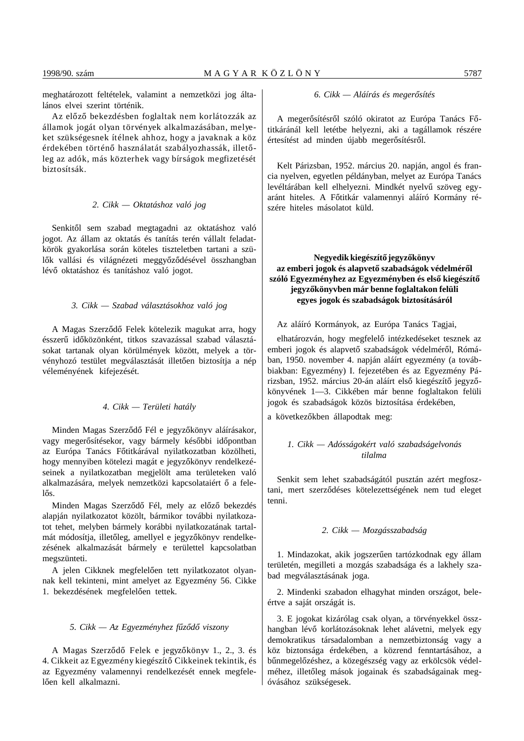meghatározott feltételek, valamint a nemzetközi jog általános elvei szerint történik.

Az előző bekezdésben foglaltak nem korlátozzák az államok jogát olyan törvények alkalmazásában, melyeket szükségesnek ítélnek ahhoz, hogy a javaknak a köz érdekében történő használatát szabályozhassák, illetőleg az adók, más közterhek vagy bírságok megfizetését biztosítsák.

#### *2. Cikk — Oktatáshoz való jog*

Senkitől sem szabad megtagadni az oktatáshoz való jogot. Az állam az oktatás és tanítás terén vállalt feladatkörök gyakorlása során köteles tiszteletben tartani a szülők vallási és világnézeti meggyőződésével összhangban lévő oktatáshoz és tanításhoz való jogot.

# *3. Cikk — Szabad választásokhoz való jog*

A Magas Szerződő Felek kötelezik magukat arra, hogy ésszerű időközönként, titkos szavazással szabad választásokat tartanak olyan körülmények között, melyek a törvényhozó testület megválasztását illetően biztosítja a nép véleményének kifejezését.

#### *4. Cikk — Területi hatály*

Minden Magas Szerződő Fél e jegyzőkönyv aláírásakor, vagy megerősítésekor, vagy bármely későbbi időpontban az Európa Tanács Főtitkárával nyilatkozatban közölheti, hogy mennyiben kötelezi magát e jegyzőkönyv rendelkezéseinek a nyilatkozatban megjelölt ama területeken való alkalmazására, melyek nemzetközi kapcsolataiért ő a felelős.

Minden Magas Szerződő Fél, mely az előző bekezdés alapján nyilatkozatot közölt, bármikor további nyilatkozatot tehet, melyben bármely korábbi nyilatkozatának tartalmát módosítja, illetőleg, amellyel e jegyzőkönyv rendelkezésének alkalmazását bármely e területtel kapcsolatban megszünteti.

A jelen Cikknek megfelelően tett nyilatkozatot olyannak kell tekinteni, mint amelyet az Egyezmény 56. Cikke 1. bekezdésének megfelelően tettek.

#### *5. Cikk — Az Egyezményhez f´´uz´´od´´o viszony*

A Magas Szerződő Felek e jegyzőkönyv 1., 2., 3. és 4. Cikkeit az Egyezmény kiegészítő Cikkeinek tekintik, és az Egyezmény valamennyi rendelkezését ennek megfelelően kell alkalmazni.

#### *6. Cikk — Aláírás és meger´´osítés*

A megerősítésről szóló okiratot az Európa Tanács Főtitkáránál kell letétbe helyezni, aki a tagállamok részére értesítést ad minden újabb megerősítésről.

Kelt Párizsban, 1952. március 20. napján, angol és francia nyelven, egyetlen példányban, melyet az Európa Tanács levéltárában kell elhelyezni. Mindkét nyelvű szöveg egyaránt hiteles. A Főtitkár valamennyi aláíró Kormány részére hiteles másolatot küld.

# Negyedik kiegészítő jegyzőkönyv az emberi jogok és alapvető szabadságok védelméről szóló Egyezményhez az Egyezményben és első kiegészítő jegyzőkönyvben már benne foglaltakon felüli **egyes jogok és szabadságok biztosításáról**

Az aláíró Kormányok, az Európa Tanács Tagjai,

elhatározván, hogy megfelelő intézkedéseket tesznek az emberi jogok és alapvető szabadságok védelméről, Rómában, 1950. november 4. napján aláírt egyezmény (a továbbiakban: Egyezmény) I. fejezetében és az Egyezmény Párizsban, 1952. március 20-án aláírt első kiegészítő jegyzőkönyvének 1—3. Cikkében már benne foglaltakon felüli jogok és szabadságok közös biztosítása érdekében,

a következőkben állapodtak meg:

# *1. Cikk — Adósságokért való szabadságelvonás tilalma*

Senkit sem lehet szabadságától pusztán azért megfosztani, mert szerződéses kötelezettségének nem tud eleget tenni.

#### *2. Cikk — Mozgásszabadság*

1. Mindazokat, akik jogszerűen tartózkodnak egy állam területén, megilleti a mozgás szabadsága és a lakhely szabad megválasztásának joga.

2. Mindenki szabadon elhagyhat minden országot, beleértve a saját országát is.

3. E jogokat kizárólag csak olyan, a törvényekkel összhangban lévő korlátozásoknak lehet alávetni, melyek egy demokratikus társadalomban a nemzetbiztonság vagy a köz biztonsága érdekében, a közrend fenntartásához, a bűnmegelőzéshez, a közegészség vagy az erkölcsök védelméhez, illetőleg mások jogainak és szabadságainak megóvásához szükségesek.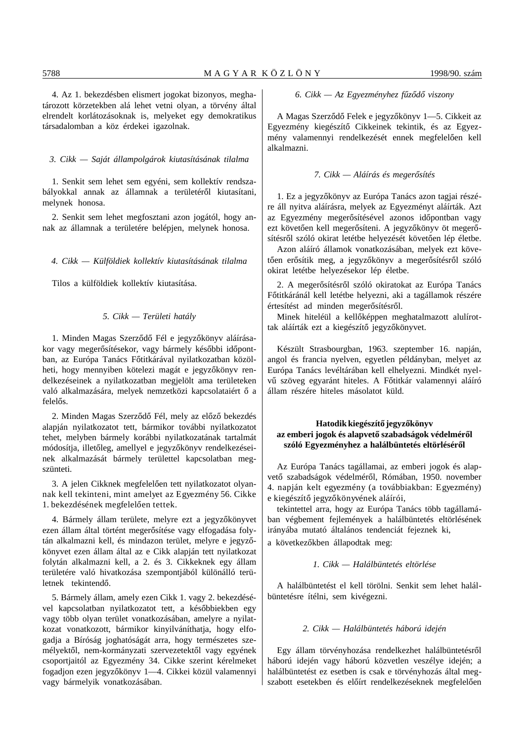4. Az 1. bekezdésben elismert jogokat bizonyos, meghatározott körzetekben alá lehet vetni olyan, a törvény által elrendelt korlátozásoknak is, melyeket egy demokratikus társadalomban a köz érdekei igazolnak.

# *3. Cikk — Saját állampolgárok kiutasításának tilalma*

1. Senkit sem lehet sem egyéni, sem kollektív rendszabályokkal annak az államnak a területéről kiutasítani, melynek honosa.

2. Senkit sem lehet megfosztani azon jogától, hogy annak az államnak a területére belépjen, melynek honosa.

# *4. Cikk — Külföldiek kollektív kiutasításának tilalma*

Tilos a külföldiek kollektív kiutasítása.

# *5. Cikk — Területi hatály*

1. Minden Magas Szerződő Fél e jegyzőkönyv aláírásakor vagy megerősítésekor, vagy bármely későbbi időpontban, az Európa Tanács Főtitkárával nyilatkozatban közölheti, hogy mennyiben kötelezi magát e jegyzőkönyv rendelkezéseinek a nyilatkozatban megjelölt ama területeken való alkalmazására, melyek nemzetközi kapcsolataiért ő a felelős.

2. Minden Magas Szerződő Fél, mely az előző bekezdés alapján nyilatkozatot tett, bármikor további nyilatkozatot tehet, melyben bármely korábbi nyilatkozatának tartalmát módosítja, illetőleg, amellyel e jegyzőkönyv rendelkezéseinek alkalmazását bármely területtel kapcsolatban megszünteti.

3. A jelen Cikknek megfelelően tett nyilatkozatot olyannak kell tekinteni, mint amelyet az Egyezmény 56. Cikke 1. bekezdésének megfelelően tettek.

4. Bármely állam területe, melyre ezt a jegyzőkönyvet ezen állam által történt megerősítése vagy elfogadása folytán alkalmazni kell, és mindazon terület, melyre e jegyzőkönyvet ezen állam által az e Cikk alapján tett nyilatkozat folytán alkalmazni kell, a 2. és 3. Cikkeknek egy állam területére való hivatkozása szempontjából különálló területnek tekintendő.

5. Bármely állam, amely ezen Cikk 1. vagy 2. bekezdésével kapcsolatban nyilatkozatot tett, a későbbiekben egy vagy több olyan terület vonatkozásában, amelyre a nyilatkozat vonatkozott, bármikor kinyilváníthatja, hogy elfogadja a Bíróság joghatóságát arra, hogy természetes személyektől, nem-kormányzati szervezetektől vagy egyének csoportjaitól az Egyezmény 34. Cikke szerint kérelmeket fogadjon ezen jegyzőkönyv 1—4. Cikkei közül valamennyi vagy bármelyik vonatkozásában.

#### *6. Cikk — Az Egyezményhez f´´uz´´od´´o viszony*

A Magas Szerződő Felek e jegyzőkönyv 1-5. Cikkeit az Egyezmény kiegészítő Cikkeinek tekintik, és az Egyezmény valamennyi rendelkezését ennek megfelelően kell alkalmazni.

#### *7. Cikk — Aláírás és meger´´osítés*

1. Ez a jegyzőkönyv az Európa Tanács azon tagjai részére áll nyitva aláírásra, melyek az Egyezményt aláírták. Azt az Egyezmény megerősítésével azonos időpontban vagy ezt követően kell megerősíteni. A jegyzőkönyv öt megerősítésről szóló okirat letétbe helyezését követően lép életbe.

Azon aláíró államok vonatkozásában, melyek ezt követően erősítik meg, a jegyzőkönyv a megerősítésről szóló okirat letétbe helyezésekor lép életbe.

2. A megerősítésről szóló okiratokat az Európa Tanács Főtitkáránál kell letétbe helyezni, aki a tagállamok részére értesítést ad minden megerősítésről.

Minek hiteléül a kellőképpen meghatalmazott alulírottak aláírták ezt a kiegészítő jegyzőkönyvet.

Készült Strasbourgban, 1963. szeptember 16. napján, angol és francia nyelven, egyetlen példányban, melyet az Európa Tanács levéltárában kell elhelyezni. Mindkét nyelvű szöveg egyaránt hiteles. A Főtitkár valamennyi aláíró állam részére hiteles másolatot küld.

# Hatodik kiegészítő jegyzőkönyv az emberi jogok és alapvető szabadságok védelméről szóló Egyezményhez a halálbüntetés eltörléséről

Az Európa Tanács tagállamai, az emberi jogok és alapvető szabadságok védelméről, Rómában, 1950. november 4. napján kelt egyezmény (a továbbiakban: Egyezmény) e kiegészítő jegyzőkönyvének aláírói,

tekintettel arra, hogy az Európa Tanács több tagállamában végbement fejlemények a halálbüntetés eltörlésének irányába mutató általános tendenciát fejeznek ki, a következőkben állapodtak meg:

#### *1. Cikk — Halálbüntetés eltörlése*

A halálbüntetést el kell törölni. Senkit sem lehet halálbüntetésre ítélni, sem kivégezni.

#### *2. Cikk — Halálbüntetés háború idején*

Egy állam törvényhozása rendelkezhet halálbüntetésről háború idején vagy háború közvetlen veszélye idején; a halálbüntetést ez esetben is csak e törvényhozás által megszabott esetekben és előírt rendelkezéseknek megfelelően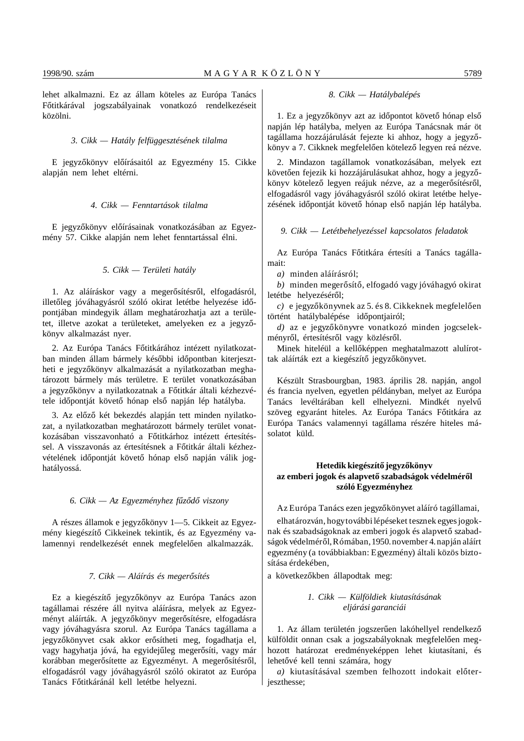lehet alkalmazni. Ez az állam köteles az Európa Tanács Főtitkárával jogszabályainak vonatkozó rendelkezéseit közölni.

# *3. Cikk — Hatály felfüggesztésének tilalma*

E jegyzőkönyv előírásaitól az Egyezmény 15. Cikke alapján nem lehet eltérni.

#### *4. Cikk — Fenntartások tilalma*

E jegyzőkönyv előírásainak vonatkozásában az Egyezmény 57. Cikke alapján nem lehet fenntartással élni.

# *5. Cikk — Területi hatály*

1. Az aláíráskor vagy a megerősítésről, elfogadásról, illetőleg jóváhagyásról szóló okirat letétbe helyezése időpontjában mindegyik állam meghatározhatja azt a területet, illetve azokat a területeket, amelyeken ez a jegyzőkönyv alkalmazást nyer.

2. Az Európa Tanács Főtitkárához intézett nyilatkozatban minden állam bármely későbbi időpontban kiterjesztheti e jegyzőkönyv alkalmazását a nyilatkozatban meghatározott bármely más területre. E terület vonatkozásában a jegyzőkönyv a nyilatkozatnak a Főtitkár általi kézhezvétele időpontját követő hónap első napján lép hatályba.

3. Az előző két bekezdés alapján tett minden nyilatkozat, a nyilatkozatban meghatározott bármely terület vonatkozásában visszavonható a Főtitkárhoz intézett értesítéssel. A visszavonás az értesítésnek a Főtitkár általi kézhezvételének időpontját követő hónap első napján válik joghatályossá.

#### *6. Cikk — Az Egyezményhez f´´uz´´od´´o viszony*

A részes államok e jegyzőkönyv 1—5. Cikkeit az Egyezmény kiegészítő Cikkeinek tekintik, és az Egyezmény valamennyi rendelkezését ennek megfelelően alkalmazzák.

#### *7. Cikk — Aláírás és meger´´osítés*

Ez a kiegészítő jegyzőkönyv az Európa Tanács azon tagállamai részére áll nyitva aláírásra, melyek az Egyezményt aláírták. A jegyzőkönyv megerősítésre, elfogadásra vagy jóváhagyásra szorul. Az Európa Tanács tagállama a jegyzőkönyvet csak akkor erősítheti meg, fogadhatja el, vagy hagyhatja jóvá, ha egyidejűleg megerősíti, vagy már korábban megerősítette az Egyezményt. A megerősítésről, elfogadásról vagy jóváhagyásról szóló okiratot az Európa Tanács Főtitkáránál kell letétbe helyezni.

#### *8. Cikk — Hatálybalépés*

1. Ez a jegyzőkönyv azt az időpontot követő hónap első napján lép hatályba, melyen az Európa Tanácsnak már öt tagállama hozzájárulását fejezte ki ahhoz, hogy a jegyzőkönyv a 7. Cikknek megfelelően kötelező legyen reá nézve.

2. Mindazon tagállamok vonatkozásában, melyek ezt követően fejezik ki hozzájárulásukat ahhoz, hogy a jegyzőkönyv kötelező legyen reájuk nézve, az a megerősítésről, elfogadásról vagy jóváhagyásról szóló okirat letétbe helyezésének időpontját követő hónap első napján lép hatályba.

## *9. Cikk — Letétbehelyezéssel kapcsolatos feladatok*

Az Európa Tanács Főtitkára értesíti a Tanács tagállamait:

*a)* minden aláírásról;

*b*) minden megerősítő, elfogadó vagy jóváhagyó okirat letétbe helyezéséről;

*c*) e jegyzőkönyvnek az 5. és 8. Cikkeknek megfelelően történt hatálybalépése időpontjairól;

d) az e jegyzőkönyvre vonatkozó minden jogcselekményről, értesítésről vagy közlésről.

Minek hiteléül a kellőképpen meghatalmazott alulírottak aláírták ezt a kiegészítő jegyzőkönyvet.

Készült Strasbourgban, 1983. április 28. napján, angol és francia nyelven, egyetlen példányban, melyet az Európa Tanács levéltárában kell elhelyezni. Mindkét nyelvű szöveg egyaránt hiteles. Az Európa Tanács Főtitkára az Európa Tanács valamennyi tagállama részére hiteles másolatot küld.

# Hetedik kiegészítő jegyzőkönyv az emberi jogok és alapvető szabadságok védelméről **szóló Egyezményhez**

Az Európa Tanács ezen jegyzőkönyvet aláíró tagállamai,

elhatározván, hogy további lépéseket tesznek egyes jogoknak és szabadságoknak az emberi jogok és alapvető szabadságok védelméről, Rómában, 1950. november 4. napján aláírt egyezmény (a továbbiakban: Egyezmény) általi közös biztosítása érdekében,

a következőkben állapodtak meg:

# *1. Cikk — Külföldiek kiutasításának eljárási garanciái*

1. Az állam területén jogszerűen lakóhellyel rendelkező külföldit onnan csak a jogszabályoknak megfelelően meghozott határozat eredményeképpen lehet kiutasítani, és lehetővé kell tenni számára, hogy

a) kiutasításával szemben felhozott indokait előterjeszthesse;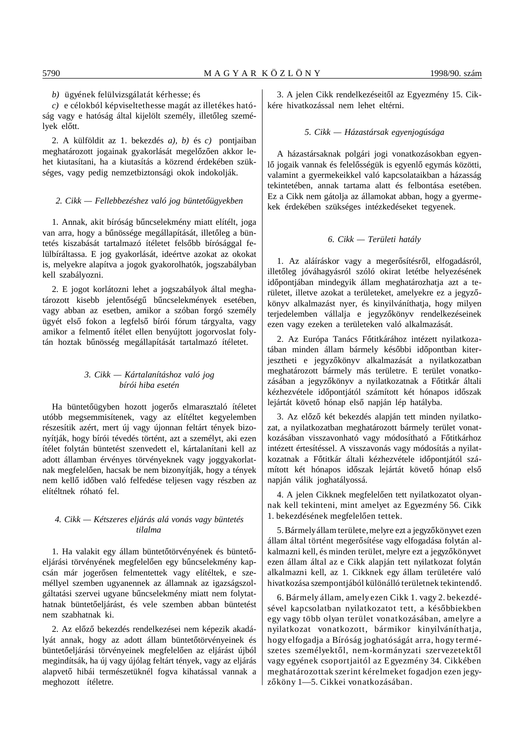*b)* ügyének felülvizsgálatát kérhesse; és

*c)* e célokból képviseltethesse magát az illetékes hatóság vagy e hatóság által kijelölt személy, illetőleg személyek előtt.

2. A külföldit az 1. bekezdés *a), b)* és *c)* pontjaiban meghatározott jogainak gyakorlását megelőzően akkor lehet kiutasítani, ha a kiutasítás a közrend érdekében szükséges, vagy pedig nemzetbiztonsági okok indokolják.

#### 2. Cikk — Fellebbezéshez való jog büntetőügyekben

1. Annak, akit bíróság bűncselekmény miatt elítélt, joga van arra, hogy a bűnössége megállapítását, illetőleg a büntetés kiszabását tartalmazó ítéletet felsőbb bírósággal felülbíráltassa. E jog gyakorlását, ideértve azokat az okokat is, melyekre alapítva a jogok gyakorolhatók, jogszabályban kell szabályozni.

2. E jogot korlátozni lehet a jogszabályok által meghatározott kisebb jelentőségű bűncselekmények esetében, vagy abban az esetben, amikor a szóban forgó személy ügyét első fokon a legfelső bírói fórum tárgyalta, vagy amikor a felmentő ítélet ellen benyújtott jogorvoslat folytán hoztak bűnösség megállapítását tartalmazó ítéletet.

# *3. Cikk — Kártalanításhoz való jog bírói hiba esetén*

Ha büntetőügyben hozott jogerős elmarasztaló ítéletet utóbb megsemmisítenek, vagy az elítéltet kegyelemben részesítik azért, mert új vagy újonnan feltárt tények bizonyítják, hogy bírói tévedés történt, azt a személyt, aki ezen ítélet folytán büntetést szenvedett el, kártalanítani kell az adott államban érvényes törvényeknek vagy joggyakorlatnak megfelelően, hacsak be nem bizonyítják, hogy a tények nem kellő időben való felfedése teljesen vagy részben az elítéltnek róható fel.

# *4. Cikk — Kétszeres eljárás alá vonás vagy büntetés tilalma*

1. Ha valakit egy állam büntetőtörvényének és büntetőeljárási törvényének megfelelően egy bűncselekmény kapcsán már jogerősen felmentettek vagy elítéltek, e személlyel szemben ugyanennek az államnak az igazságszolgáltatási szervei ugyane bűncselekmény miatt nem folytathatnak büntetőeljárást, és vele szemben abban büntetést nem szabhatnak ki.

2. Az előző bekezdés rendelkezései nem képezik akadályát annak, hogy az adott állam büntetőtörvényeinek és büntetőeljárási törvényeinek megfelelően az eljárást újból megindítsák, ha új vagy újólag feltárt tények, vagy az eljárás alapvető hibái természetüknél fogva kihatással vannak a meghozott ítéletre.

3. A jelen Cikk rendelkezéseitől az Egyezmény 15. Cikkére hivatkozással nem lehet eltérni.

#### *5. Cikk — Házastársak egyenjogúsága*

A házastársaknak polgári jogi vonatkozásokban egyenlő jogaik vannak és felelősségük is egyenlő egymás közötti, valamint a gyermekeikkel való kapcsolataikban a házasság tekintetében, annak tartama alatt és felbontása esetében. Ez a Cikk nem gátolja az államokat abban, hogy a gyermekek érdekében szükséges intézkedéseket tegyenek.

# *6. Cikk — Területi hatály*

1. Az aláíráskor vagy a megerősítésről, elfogadásról, illetőleg jóváhagyásról szóló okirat letétbe helyezésének időpontjában mindegyik állam meghatározhatja azt a területet, illetve azokat a területeket, amelyekre ez a jegyzőkönyv alkalmazást nyer, és kinyilváníthatja, hogy milyen terjedelemben vállalja e jegyzőkönyv rendelkezéseinek ezen vagy ezeken a területeken való alkalmazását.

2. Az Európa Tanács Főtitkárához intézett nyilatkozatában minden állam bármely későbbi időpontban kiterjesztheti e jegyzőkönyv alkalmazását a nyilatkozatban meghatározott bármely más területre. E terület vonatkozásában a jegyzőkönyv a nyilatkozatnak a Főtitkár általi kézhezvétele időpontjától számított két hónapos időszak lejártát követő hónap első napján lép hatályba.

3. Az előző két bekezdés alapján tett minden nyilatkozat, a nyilatkozatban meghatározott bármely terület vonatkozásában visszavonható vagy módosítható a Főtitkárhoz intézett értesítéssel. A visszavonás vagy módosítás a nyilatkozatnak a Főtitkár általi kézhezvétele időpontjától számított két hónapos időszak lejártát követő hónap első napján válik joghatályossá.

4. A jelen Cikknek megfelelően tett nyilatkozatot olyannak kell tekinteni, mint amelyet az Egyezmény 56. Cikk 1. bekezdésének megfelelően tettek.

5. Bármely állam területe, melyre ezt a jegyzőkönyvet ezen állam által történt megerősítése vagy elfogadása folytán alkalmazni kell, és minden terület, melyre ezt a jegyzőkönyvet ezen állam által az e Cikk alapján tett nyilatkozat folytán alkalmazni kell, az 1. Cikknek egy állam területére való hivatkozása szempontjából különálló területnek tekintendő.

6. Bármely állam, amely ezen Cikk 1. vagy 2. bekezdésével kapcsolatban nyilatkozatot tett, a későbbiekben egy vagy több olyan terület vonatkozásában, amelyre a nyilatkozat vonatkozott, bármikor kinyilváníthatja, hogy elfogadja a Bíróság joghatóságát arra, hogy természetes személyektől, nem-kormányzati szervezetektől vagy egyének csoportjaitól az Egyezmény 34. Cikkében meghatározottak szerint kérelmeket fogadjon ezen jegyzőköny 1-5. Cikkei vonatkozásában.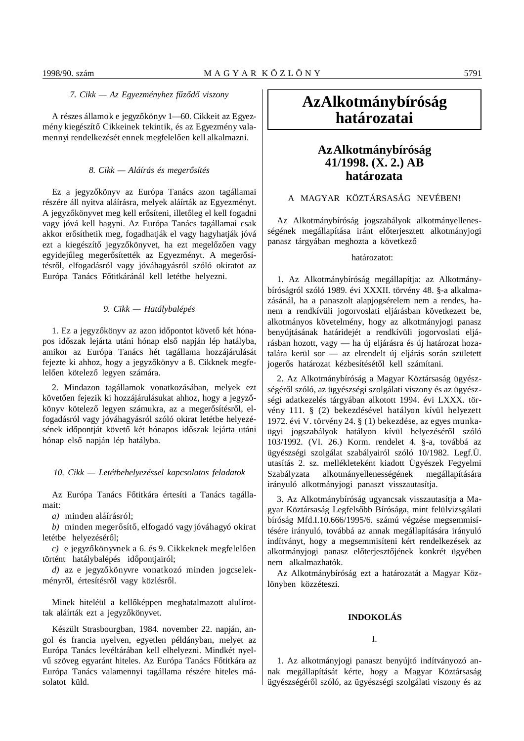## *7. Cikk — Az Egyezményhez f´´uz´´od´´o viszony*

A részes államok e jegyzőkönyv 1-60. Cikkeit az Egyezmény kiegészítő Cikkeinek tekintik, és az Egyezmény valamennyi rendelkezését ennek megfelelően kell alkalmazni.

#### *8. Cikk — Aláírás és meger´´osítés*

Ez a jegyzőkönyv az Európa Tanács azon tagállamai részére áll nyitva aláírásra, melyek aláírták az Egyezményt. A jegyzőkönyvet meg kell erősíteni, illetőleg el kell fogadni vagy jóvá kell hagyni. Az Európa Tanács tagállamai csak akkor erősíthetik meg, fogadhatják el vagy hagyhatják jóvá ezt a kiegészítő jegyzőkönyvet, ha ezt megelőzően vagy egyidejűleg megerősítették az Egyezményt. A megerősítésről, elfogadásról vagy jóváhagyásról szóló okiratot az Európa Tanács Főtitkáránál kell letétbe helyezni.

# *9. Cikk — Hatálybalépés*

1. Ez a jegyzőkönyv az azon időpontot követő két hónapos időszak lejárta utáni hónap első napján lép hatályba, amikor az Európa Tanács hét tagállama hozzájárulását fejezte ki ahhoz, hogy a jegyzőkönyv a 8. Cikknek megfelelően kötelező legyen számára.

2. Mindazon tagállamok vonatkozásában, melyek ezt követően fejezik ki hozzájárulásukat ahhoz, hogy a jegyzőkönyv kötelező legyen számukra, az a megerősítésről, elfogadásról vagy jóváhagyásról szóló okirat letétbe helyezésének időpontját követő két hónapos időszak lejárta utáni hónap első napján lép hatályba.

# *10. Cikk — Letétbehelyezéssel kapcsolatos feladatok*

Az Európa Tanács Főtitkára értesíti a Tanács tagállamait:

*a)* minden aláírásról;

*b*) minden megerősítő, elfogadó vagy jóváhagyó okirat letétbe helyezéséről;

 $c)$  e jegyzőkönyvnek a 6. és 9. Cikkeknek megfelelően történt hatálybalépés időpontjairól;

d) az e jegyzőkönyvre vonatkozó minden jogcselekményről, értesítésről vagy közlésről.

Minek hiteléül a kellőképpen meghatalmazott alulírottak aláírták ezt a jegyzőkönyvet.

Készült Strasbourgban, 1984. november 22. napján, angol és francia nyelven, egyetlen példányban, melyet az Európa Tanács levéltárában kell elhelyezni. Mindkét nyelvű szöveg egyaránt hiteles. Az Európa Tanács Főtitkára az Európa Tanács valamennyi tagállama részére hiteles másolatot küld.

# **Az Alkotmánybíróság határozatai**

# **Az Alkotmánybíróság 41/1998. (X. 2.) AB határozata**

# A MAGYAR KÖZTÁRSASÁG NEVÉBEN!

Az Alkotmánybíróság jogszabályok alkotmányellenességének megállapítása iránt előterjesztett alkotmányjogi panasz tárgyában meghozta a következő

# határozatot:

1. Az Alkotmánybíróság megállapítja: az Alkotmánybíróságról szóló 1989. évi XXXII. törvény 48. §-a alkalmazásánál, ha a panaszolt alapjogsérelem nem a rendes, hanem a rendkívüli jogorvoslati eljárásban következett be, alkotmányos követelmény, hogy az alkotmányjogi panasz benyújtásának határidejét a rendkívüli jogorvoslati eljárásban hozott, vagy — ha új eljárásra és új határozat hozatalára kerül sor — az elrendelt új eljárás során született jogerős határozat kézbesítésétől kell számítani.

2. Az Alkotmánybíróság a Magyar Köztársaság ügyészségéről szóló, az ügyészségi szolgálati viszony és az ügyészségi adatkezelés tárgyában alkotott 1994. évi LXXX. törvény 111. § (2) bekezdésével hatályon kívül helyezett 1972. évi V. törvény 24. § (1) bekezdése, az egyes munkaügyi jogszabályok hatályon kívül helyezéséről szóló 103/1992. (VI. 26.) Korm. rendelet 4. §-a, továbbá az ügyészségi szolgálat szabályairól szóló 10/1982. Legf.Ü. utasítás 2. sz. mellékleteként kiadott Ügyészek Fegyelmi Szabályzata alkotmányellenességének megállapítására irányuló alkotmányjogi panaszt visszautasítja.

3. Az Alkotmánybíróság ugyancsak visszautasítja a Magyar Köztársaság Legfelsőbb Bírósága, mint felülvizsgálati bíróság Mfd.I.10.666/1995/6. számú végzése megsemmisítésére irányuló, továbbá az annak megállapítására irányuló indítványt, hogy a megsemmisíteni kért rendelkezések az alkotmányjogi panasz előterjesztőjének konkrét ügyében nem alkalmazhatók.

Az Alkotmánybíróság ezt a határozatát a Magyar Közlönyben közzéteszi.

#### **INDOKOLÁS**

# I.

1. Az alkotmányjogi panaszt benyújtó indítványozó annak megállapítását kérte, hogy a Magyar Köztársaság ügyészségéről szóló, az ügyészségi szolgálati viszony és az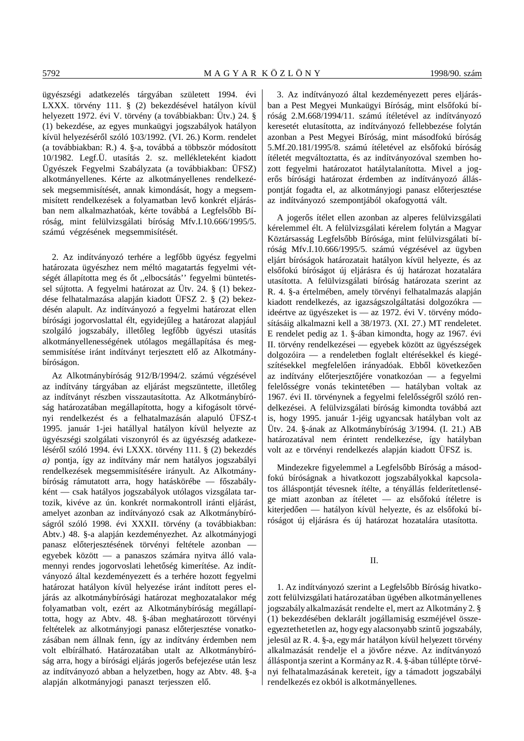ügyészségi adatkezelés tárgyában született 1994. évi LXXX. törvény 111. § (2) bekezdésével hatályon kívül helyezett 1972. évi V. törvény (a továbbiakban: Ütv.) 24. § (1) bekezdése, az egyes munkaügyi jogszabályok hatályon kívül helyezéséről szóló 103/1992. (VI. 26.) Korm. rendelet (a továbbiakban: R.) 4. §-a, továbbá a többször módosított 10/1982. Legf.Ü. utasítás 2. sz. mellékleteként kiadott Ügyészek Fegyelmi Szabályzata (a továbbiakban: ÜFSZ) alkotmányellenes. Kérte az alkotmányellenes rendelkezések megsemmisítését, annak kimondását, hogy a megsemmisített rendelkezések a folyamatban levő konkrét eljárásban nem alkalmazhatóak, kérte továbbá a Legfelsőbb Bíróság, mint felülvizsgálati bíróság Mfv.I.10.666/1995/5. számú végzésének megsemmisítését.

2. Az indítványozó terhére a legfőbb ügyész fegyelmi határozata ügyészhez nem méltó magatartás fegyelmi vétségét állapította meg és őt "elbocsátás" fegyelmi büntetéssel sújtotta. A fegyelmi határozat az Ütv. 24. § (1) bekezdése felhatalmazása alapján kiadott ÜFSZ 2. § (2) bekezdésén alapult. Az indítványozó a fegyelmi határozat ellen bírósági jogorvoslattal élt, egyidejűleg a határozat alapjául szolgáló jogszabály, illetőleg legfőbb ügyészi utasítás alkotmányellenességének utólagos megállapítása és megsemmisítése iránt indítványt terjesztett elő az Alkotmánybíróságon.

Az Alkotmánybíróság 912/B/1994/2. számú végzésével az indítvány tárgyában az eljárást megszüntette, illetőleg az indítványt részben visszautasította. Az Alkotmánybíróság határozatában megállapította, hogy a kifogásolt törvényi rendelkezést és a felhatalmazásán alapuló ÜFSZ-t 1995. január 1-jei hatállyal hatályon kívül helyezte az ügyészségi szolgálati viszonyról és az ügyészség adatkezeléséről szóló 1994. évi LXXX. törvény 111. § (2) bekezdés *a)* pontja, így az indítvány már nem hatályos jogszabályi rendelkezések megsemmisítésére irányult. Az Alkotmánybíróság rámutatott arra, hogy hatáskörébe — főszabályként — csak hatályos jogszabályok utólagos vizsgálata tartozik, kivéve az ún. konkrét normakontroll iránti eljárást, amelyet azonban az indítványozó csak az Alkotmánybíróságról szóló 1998. évi XXXII. törvény (a továbbiakban: Abtv.) 48. §-a alapján kezdeményezhet. Az alkotmányjogi panasz előterjesztésének törvényi feltétele azonban egyebek között — a panaszos számára nyitva álló valamennyi rendes jogorvoslati lehetőség kimerítése. Az indítványozó által kezdeményezett és a terhére hozott fegyelmi határozat hatályon kívül helyezése iránt indított peres eljárás az alkotmánybírósági határozat meghozatalakor még folyamatban volt, ezért az Alkotmánybíróság megállapította, hogy az Abtv. 48. §-ában meghatározott törvényi feltételek az alkotmányjogi panasz előterjesztése vonatkozásában nem állnak fenn, így az indítvány érdemben nem volt elbírálható. Határozatában utalt az Alkotmánybíróság arra, hogy a bírósági eljárás jogerős befejezése után lesz az indítványozó abban a helyzetben, hogy az Abtv. 48. §-a alapján alkotmányjogi panaszt terjesszen elő.

3. Az indítványozó által kezdeményezett peres eljárásban a Pest Megyei Munkaügyi Bíróság, mint elsőfokú bíróság 2.M.668/1994/11. számú ítéletével az indítványozó keresetét elutasította, az indítványozó fellebbezése folytán azonban a Pest Megyei Bíróság, mint másodfokú bíróság 5.Mf.20.181/1995/8. számú ítéletével az elsőfokú bíróság ítéletét megváltoztatta, és az indítványozóval szemben hozott fegyelmi határozatot hatálytalanította. Mivel a jogerős bírósági határozat érdemben az indítványozó álláspontját fogadta el, az alkotmányjogi panasz előterjesztése az indítványozó szempontjából okafogyottá vált.

A jogerős ítélet ellen azonban az alperes felülvizsgálati kérelemmel élt. A felülvizsgálati kérelem folytán a Magyar Köztársasság Legfelsőbb Bírósága, mint felülvizsgálati bíróság Mfv.I.10.666/1995/5. számú végzésével az ügyben eljárt bíróságok határozatait hatályon kívül helyezte, és az elsőfokú bíróságot új eljárásra és új határozat hozatalára utasította. A felülvizsgálati bíróság határozata szerint az R. 4. §-a értelmében, amely törvényi felhatalmazás alapján kiadott rendelkezés, az igazságszolgáltatási dolgozókra ideértve az ügyészeket is — az 1972. évi V. törvény módosításáig alkalmazni kell a 38/1973. (XI. 27.) MT rendeletet. E rendelet pedig az 1. §-ában kimondta, hogy az 1967. évi II. törvény rendelkezései — egyebek között az ügyészségek dolgozóira — a rendeletben foglalt eltérésekkel és kiegészítésekkel megfelelően irányadóak. Ebből következően az indítvány előterjesztőjére vonatkozóan  $-$  a fegyelmi felelősségre vonás tekintetében — hatályban voltak az 1967. évi II. törvénynek a fegyelmi felelősségről szóló rendelkezései. A felülvizsgálati bíróság kimondta továbbá azt is, hogy 1995. január 1-jéig ugyancsak hatályban volt az Ütv. 24. §-ának az Alkotmánybíróság 3/1994. (I. 21.) AB határozatával nem érintett rendelkezése, így hatályban volt az e törvényi rendelkezés alapján kiadott ÜFSZ is.

Mindezekre figyelemmel a Legfelsőbb Bíróság a másodfokú bíróságnak a hivatkozott jogszabályokkal kapcsolatos álláspontját tévesnek ítélte, a tényállás felderítetlensége miatt azonban az ítéletet — az elsőfokú ítéletre is kiterjedően — hatályon kívül helyezte, és az elsőfokú bíróságot új eljárásra és új határozat hozatalára utasította.

II.

1. Az indítványozó szerint a Legfelsőbb Bíróság hivatkozott felülvizsgálati határozatában ügyében alkotmányellenes jogszabály alkalmazását rendelte el, mert az Alkotmány 2. § (1) bekezdésében deklarált jogállamiság eszméjével összeegyeztethetetlen az, hogy egy alacsonyabb szintű jogszabály, jelesül az R. 4. §-a, egy már hatályon kívül helyezett törvény alkalmazását rendelje el a jövőre nézve. Az indítványozó álláspontja szerint a Kormány az R. 4. §-ában túllépte törvényi felhatalmazásának kereteit, így a támadott jogszabályi rendelkezés ez okból is alkotmányellenes.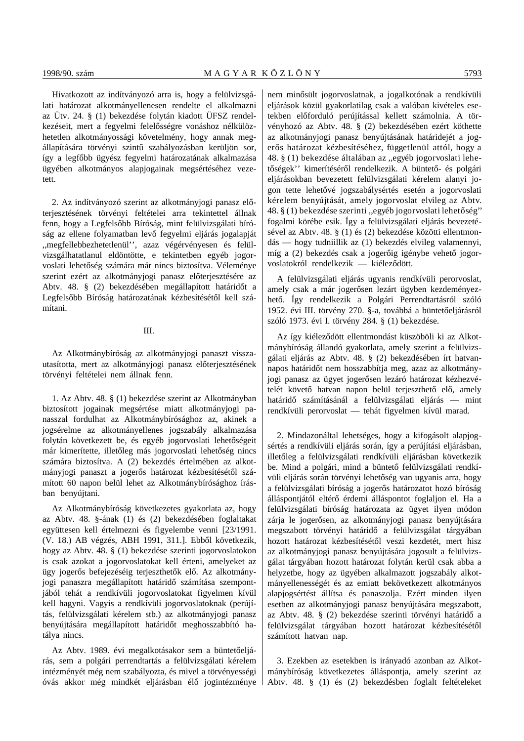Hivatkozott az indítványozó arra is, hogy a felülvizsgálati határozat alkotmányellenesen rendelte el alkalmazni az Ütv. 24. § (1) bekezdése folytán kiadott ÜFSZ rendelkezéseit, mert a fegyelmi felelősségre vonáshoz nélkülözhetetlen alkotmányossági követelmény, hogy annak megállapítására törvényi szintű szabályozásban kerüljön sor, így a legfőbb ügyész fegyelmi határozatának alkalmazása ügyében alkotmányos alapjogainak megsértéséhez vezetett.

2. Az indítványozó szerint az alkotmányjogi panasz előterjesztésének törvényi feltételei arra tekintettel állnak fenn, hogy a Legfelsőbb Bíróság, mint felülvizsgálati bíróság az ellene folyamatban levő fegyelmi eljárás jogalapját ,,megfellebbezhetetlenül'', azaz végérvényesen és felülvizsgálhatatlanul eldöntötte, e tekintetben egyéb jogorvoslati lehetőség számára már nincs biztosítva. Véleménye szerint ezért az alkotmányjogi panasz előterjesztésére az Abtv. 48. § (2) bekezdésében megállapított határidőt a Legfelsőbb Bíróság határozatának kézbesítésétől kell számítani.

# III.

Az Alkotmánybíróság az alkotmányjogi panaszt visszautasította, mert az alkotmányjogi panasz előterjesztésének törvényi feltételei nem állnak fenn.

1. Az Abtv. 48. § (1) bekezdése szerint az Alkotmányban biztosított jogainak megsértése miatt alkotmányjogi panasszal fordulhat az Alkotmánybírósághoz az, akinek a jogsérelme az alkotmányellenes jogszabály alkalmazása folytán következett be, és egyéb jogorvoslati lehetőségeit már kimerítette, illetőleg más jogorvoslati lehetőség nincs számára biztosítva. A (2) bekezdés értelmében az alkotmányjogi panaszt a jogerős határozat kézbesítésétől számított 60 napon belül lehet az Alkotmánybírósághoz írásban benyújtani.

Az Alkotmánybíróság következetes gyakorlata az, hogy az Abtv. 48. §-ának (1) és (2) bekezdésében foglaltakat együttesen kell értelmezni és figyelembe venni [23/1991. (V. 18.) AB végzés, ABH 1991, 311.]. Ebből következik, hogy az Abtv. 48. § (1) bekezdése szerinti jogorvoslatokon is csak azokat a jogorvoslatokat kell érteni, amelyeket az ügy jogerős befejezéséig terjeszthetők elő. Az alkotmányjogi panaszra megállapított határidő számítása szempontjából tehát a rendkívüli jogorvoslatokat figyelmen kívül kell hagyni. Vagyis a rendkívüli jogorvoslatoknak (perújítás, felülvizsgálati kérelem stb.) az alkotmányjogi panasz benyújtására megállapított határidőt meghosszabbító hatálya nincs.

Az Abtv. 1989. évi megalkotásakor sem a büntetőeljárás, sem a polgári perrendtartás a felülvizsgálati kérelem intézményét még nem szabályozta, és mivel a törvényességi óvás akkor még mindkét eljárásban élő jogintézménye nem minősült jogorvoslatnak, a jogalkotónak a rendkívüli eljárások közül gyakorlatilag csak a valóban kivételes esetekben előforduló perújítással kellett számolnia. A törvényhozó az Abtv. 48. § (2) bekezdésében ezért köthette az alkotmányjogi panasz benyújtásának határidejét a jogerős határozat kézbesítéséhez, függetlenül attól, hogy a 48. § (1) bekezdése általában az ,,egyéb jogorvoslati lehetőségek'' kimerítéséről rendelkezik. A büntető- és polgári eljárásokban bevezetett felülvizsgálati kérelem alanyi jogon tette lehetővé jogszabálysértés esetén a jogorvoslati kérelem benyújtását, amely jogorvoslat elvileg az Abtv. 48. § (1) bekezdése szerinti "egyéb jogorvoslati lehetőség" fogalmi körébe esik. Így a felülvizsgálati eljárás bevezetésével az Abtv. 48. § (1) és (2) bekezdése közötti ellentmondás — hogy tudniillik az (1) bekezdés elvileg valamennyi, míg a (2) bekezdés csak a jogerőig igénybe vehető jogorvoslatokról rendelkezik — kiéleződött.

A felülvizsgálati eljárás ugyanis rendkívüli perorvoslat, amely csak a már jogerősen lezárt ügyben kezdeményezhető. Így rendelkezik a Polgári Perrendtartásról szóló 1952. évi III. törvény 270. §-a, továbbá a büntetőeljárásról szóló 1973. évi I. törvény 284. § (1) bekezdése.

Az így kiéleződött ellentmondást küszöböli ki az Alkotmánybíróság állandó gyakorlata, amely szerint a felülvizsgálati eljárás az Abtv. 48. § (2) bekezdésében írt hatvannapos határidőt nem hosszabbítja meg, azaz az alkotmányjogi panasz az ügyet jogerősen lezáró határozat kézhezvételét követő hatvan napon belül terjeszthető elő, amely határidő számításánál a felülvizsgálati eljárás — mint rendkívüli perorvoslat — tehát figyelmen kívül marad.

2. Mindazonáltal lehetséges, hogy a kifogásolt alapjogsértés a rendkívüli eljárás során, így a perújítási eljárásban, illetőleg a felülvizsgálati rendkívüli eljárásban következik be. Mind a polgári, mind a büntető felülvizsgálati rendkívüli eljárás során törvényi lehetőség van ugyanis arra, hogy a felülvizsgálati bíróság a jogerős határozatot hozó bíróság álláspontiától eltérő érdemi álláspontot foglaljon el. Ha a felülvizsgálati bíróság határozata az ügyet ilyen módon zárja le jogerősen, az alkotmányjogi panasz benyújtására megszabott törvényi határidő a felülvizsgálat tárgyában hozott határozat kézbesítésétől veszi kezdetét, mert hisz az alkotmányjogi panasz benyújtására jogosult a felülvizsgálat tárgyában hozott határozat folytán kerül csak abba a helyzetbe, hogy az ügyében alkalmazott jogszabály alkotmányellenességét és az emiatt bekövetkezett alkotmányos alapjogsértést állítsa és panaszolja. Ezért minden ilyen esetben az alkotmányjogi panasz benyújtására megszabott, az Abtv. 48. § (2) bekezdése szerinti törvényi határidő a felülvizsgálat tárgyában hozott határozat kézbesítésétől számított hatvan nap.

3. Ezekben az esetekben is irányadó azonban az Alkotmánybíróság következetes álláspontja, amely szerint az Abtv. 48. § (1) és (2) bekezdésben foglalt feltételeket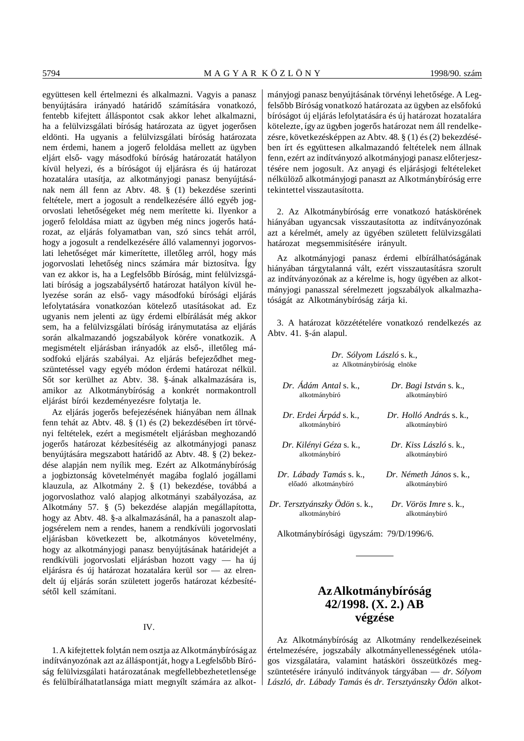együttesen kell értelmezni és alkalmazni. Vagyis a panasz benyújtására irányadó határidő számítására vonatkozó, fentebb kifejtett álláspontot csak akkor lehet alkalmazni, ha a felülvizsgálati bíróság határozata az ügyet jogerősen eldönti. Ha ugyanis a felülvizsgálati bíróság határozata nem érdemi, hanem a jogerő feloldása mellett az ügyben eljárt első- vagy másodfokú bíróság határozatát hatályon kívül helyezi, és a bíróságot új eljárásra és új határozat hozatalára utasítja, az alkotmányjogi panasz benyújtásának nem áll fenn az Abtv. 48. § (1) bekezdése szerinti feltétele, mert a jogosult a rendelkezésére álló egyéb jogorvoslati lehetőségeket még nem merítette ki. Ilyenkor a jogerő feloldása miatt az ügyben még nincs jogerős határozat, az eljárás folyamatban van, szó sincs tehát arról, hogy a jogosult a rendelkezésére álló valamennyi jogorvoslati lehetőséget már kimerítette, illetőleg arról, hogy más jogorvoslati lehetőség nincs számára már biztosítva. Így van ez akkor is, ha a Legfelsőbb Bíróság, mint felülvizsgálati bíróság a jogszabálysértő határozat hatályon kívül helyezése során az első- vagy másodfokú bírósági eljárás lefolytatására vonatkozóan kötelező utasításokat ad. Ez ugyanis nem jelenti az ügy érdemi elbírálását még akkor sem, ha a felülvizsgálati bíróság iránymutatása az eljárás során alkalmazandó jogszabályok körére vonatkozik. A megismételt eljárásban irányadók az első-, illetőleg másodfokú eljárás szabályai. Az eljárás befejeződhet megszüntetéssel vagy egyéb módon érdemi határozat nélkül. Sőt sor kerülhet az Abtv. 38. §-ának alkalmazására is, amikor az Alkotmánybíróság a konkrét normakontroll eljárást bírói kezdeményezésre folytatja le.

Az eljárás jogerős befejezésének hiányában nem állnak fenn tehát az Abtv. 48. § (1) és (2) bekezdésében írt törvényi feltételek, ezért a megismételt eljárásban meghozandó jogerős határozat kézbesítéséig az alkotmányjogi panasz benyújtására megszabott határidő az Abtv. 48. § (2) bekezdése alapján nem nyílik meg. Ezért az Alkotmánybíróság a jogbiztonság követelményét magába foglaló jogállami klauzula, az Alkotmány 2. § (1) bekezdése, továbbá a jogorvoslathoz való alapjog alkotmányi szabályozása, az Alkotmány 57. § (5) bekezdése alapján megállapította, hogy az Abtv. 48. §-a alkalmazásánál, ha a panaszolt alapjogsérelem nem a rendes, hanem a rendkívüli jogorvoslati eljárásban következett be, alkotmányos követelmény, hogy az alkotmányjogi panasz benyújtásának határidejét a rendkívüli jogorvoslati eljárásban hozott vagy — ha új eljárásra és új határozat hozatalára kerül sor — az elrendelt új eljárás során született jogerős határozat kézbesítésétől kell számítani.

#### IV.

1. A kifejtettek folytán nem osztja az Alkotmánybíróság az indítványozónak azt az álláspontját, hogy a Legfelsőbb Bíróság felülvizsgálati határozatának megfellebbezhetetlensége és felülbírálhatatlansága miatt megnyílt számára az alkotmányjogi panasz benyújtásának törvényi lehetősége. A Legfelsőbb Bíróság vonatkozó határozata az ügyben az elsőfokú bíróságot új eljárás lefolytatására és új határozat hozatalára kötelezte, így az ügyben jogerős határozat nem áll rendelkezésre, következésképpen az Abtv. 48. § (1) és (2) bekezdésében írt és együttesen alkalmazandó feltételek nem állnak fenn, ezért az indítványozó alkotmányjogi panasz előterjesztésére nem jogosult. Az anyagi és eljárásjogi feltételeket nélkülöző alkotmányjogi panaszt az Alkotmánybíróság erre tekintettel visszautasította.

2. Az Alkotmánybíróság erre vonatkozó hatáskörének hiányában ugyancsak visszautasította az indítványozónak azt a kérelmét, amely az ügyében született felülvizsgálati határozat megsemmisítésére irányult.

Az alkotmányjogi panasz érdemi elbírálhatóságának hiányában tárgytalanná vált, ezért visszautasításra szorult az indítványozónak az a kérelme is, hogy ügyében az alkotmányjogi panasszal sérelmezett jogszabályok alkalmazhatóságát az Alkotmánybíróság zárja ki.

3. A határozat közzétételére vonatkozó rendelkezés az Abtv. 41. §-án alapul.

> *Dr. Sólyom László* s. k., az Alkotmánybíróság elnöke

| Dr. Ádám Antal s. k.,         | Dr. Bagi István s. k.,  |
|-------------------------------|-------------------------|
| alkotmánybíró                 | alkotmánybíró           |
| Dr. Erdei Árpád s. k.,        | Dr. Holló András s. k   |
| alkotmánybíró                 | alkotmánybíró           |
| Dr. Kilényi Géza s. k.,       | Dr. Kiss László s. k.,  |
| alkotmánybíró                 | alkotmánybíró           |
| Dr. Lábady Tamás s. k.,       | Dr. Németh János s. k., |
| előadó alkotmánybíró          | alkotmánybíró           |
| Dr. Tersztyánszky Odön s. k., | Dr. Vörös Imre s. k     |
| alkotmánybíró                 | alkotmánybíró           |

Alkotmánybírósági ügyszám: 79/D/1996/6.

# **Az Alkotmánybíróság 42/1998. (X. 2.) AB végzése**

Az Alkotmánybíróság az Alkotmány rendelkezéseinek értelmezésére, jogszabály alkotmányellenességének utólagos vizsgálatára, valamint hatásköri összeütközés megszüntetésére irányuló indítványok tárgyában — *dr. Sólyom László, dr. Lábady Tamás* és *dr. Tersztyánszky Ödön* alkot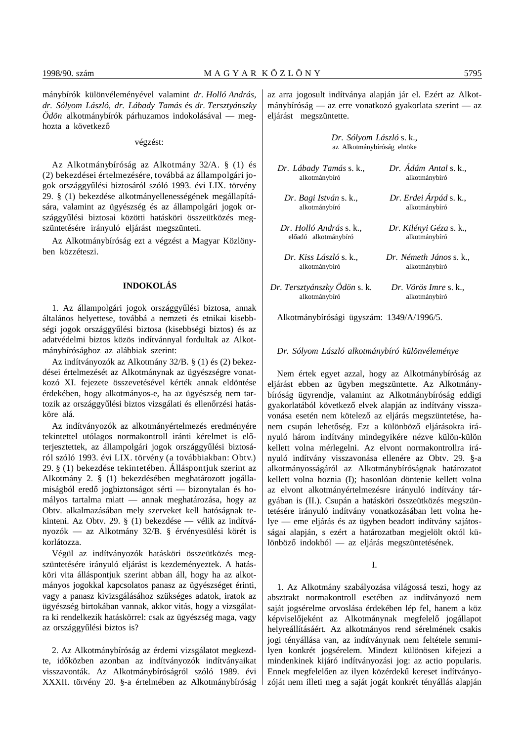mánybírók különvéleményével valamint *dr. Holló András, dr. Sólyom László, dr. Lábady Tamás* és *dr. Tersztyánszky Ödön* alkotmánybírók párhuzamos indokolásával — meghozta a következő

végzést:

Az Alkotmánybíróság az Alkotmány 32/A. § (1) és (2) bekezdései értelmezésére, továbbá az állampolgári jogok országgyűlési biztosáról szóló 1993. évi LIX. törvény 29. § (1) bekezdése alkotmányellenességének megállapítására, valamint az ügyészség és az állampolgári jogok országgyűlési biztosai közötti hatásköri összeütközés megszüntetésére irányuló eljárást megszünteti.

Az Alkotmánybíróság ezt a végzést a Magyar Közlönyben közzéteszi.

# **INDOKOLÁS**

1. Az állampolgári jogok országgyűlési biztosa, annak általános helyettese, továbbá a nemzeti és etnikai kisebbségi jogok országgyűlési biztosa (kisebbségi biztos) és az adatvédelmi biztos közös indítvánnyal fordultak az Alkotmánybírósághoz az alábbiak szerint:

Az indítványozók az Alkotmány 32/B. § (1) és (2) bekezdései értelmezését az Alkotmánynak az ügyészségre vonatkozó XI. fejezete összevetésével kérték annak eldöntése érdekében, hogy alkotmányos-e, ha az ügyészség nem tartozik az országgyűlési biztos vizsgálati és ellenőrzési hatásköre alá.

Az indítványozók az alkotmányértelmezés eredményére tekintettel utólagos normakontroll iránti kérelmet is előterjesztettek, az állampolgári jogok országgyűlési biztosáról szóló 1993. évi LIX. törvény (a továbbiakban: Obtv.) 29. § (1) bekezdése tekintetében. Álláspontjuk szerint az Alkotmány 2. § (1) bekezdésében meghatározott jogállamiságból eredő jogbiztonságot sérti — bizonytalan és homályos tartalma miatt — annak meghatározása, hogy az Obtv. alkalmazásában mely szerveket kell hatóságnak tekinteni. Az Obtv. 29. § (1) bekezdése — vélik az indítványozók — az Alkotmány 32/B. § érvényesülési körét is korlátozza.

Végül az indítványozók hatásköri összeütközés megszüntetésére irányuló eljárást is kezdeményeztek. A hatásköri vita álláspontjuk szerint abban áll, hogy ha az alkotmányos jogokkal kapcsolatos panasz az ügyészséget érinti, vagy a panasz kivizsgálásához szükséges adatok, iratok az ügyészség birtokában vannak, akkor vitás, hogy a vizsgálatra ki rendelkezik hatáskörrel: csak az ügyészség maga, vagy az országgyűlési biztos is?

2. Az Alkotmánybíróság az érdemi vizsgálatot megkezdte, időközben azonban az indítványozók indítványaikat visszavonták. Az Alkotmánybíróságról szóló 1989. évi XXXII. törvény 20. §-a értelmében az Alkotmánybíróság az arra jogosult indítványa alapján jár el. Ezért az Alkotmánybíróság — az erre vonatkozó gyakorlata szerint — az eljárást megszüntette.

> *Dr. Sólyom László* s. k., az Alkotmánybíróság elnöke

| Dr. Lábady Tamás s. k.,      | Dr. Ádám Antal s. k     |
|------------------------------|-------------------------|
| alkotmánybíró                | alkotmánybíró           |
| Dr. Bagi István s. k.,       | Dr. Erdei Árpád s. k.,  |
| alkotmánybíró                | alkotmánybíró           |
| Dr. Holló András s. k        | Dr. Kilényi Géza s. k., |
| előadó alkotmánybíró         | alkotmánybíró           |
| Dr. Kiss László s. k         | Dr. Németh János s. k., |
| alkotmánybíró                | alkotmánybíró           |
| Dr. Tersztyánszky Ödön s. k. | Dr. Vörös Imre s. k.,   |
| alkotmánybíró                | alkotmánybíró           |

Alkotmánybírósági ügyszám: 1349/A/1996/5.

#### *Dr. Sólyom László alkotmánybíró különvéleménye*

Nem értek egyet azzal, hogy az Alkotmánybíróság az eljárást ebben az ügyben megszüntette. Az Alkotmánybíróság ügyrendje, valamint az Alkotmánybíróság eddigi gyakorlatából következő elvek alapján az indítvány visszavonása esetén nem kötelező az eljárás megszüntetése, hanem csupán lehetőség. Ezt a különböző eljárásokra irányuló három indítvány mindegyikére nézve külön-külön kellett volna mérlegelni. Az elvont normakontrollra irányuló indítvány visszavonása ellenére az Obtv. 29. §-a alkotmányosságáról az Alkotmánybíróságnak határozatot kellett volna hoznia (I); hasonlóan döntenie kellett volna az elvont alkotmányértelmezésre irányuló indítvány tárgyában is (II.). Csupán a hatásköri összeütközés megszüntetésére irányuló indítvány vonatkozásában lett volna helye — eme eljárás és az ügyben beadott indítvány sajátosságai alapján, s ezért a határozatban megjelölt októl különböző indokból — az eljárás megszüntetésének.

I.

1. Az Alkotmány szabályozása világossá teszi, hogy az absztrakt normakontroll esetében az indítványozó nem saját jogsérelme orvoslása érdekében lép fel, hanem a köz képviselőjeként az Alkotmánynak megfelelő jogállapot helyreállításáért. Az alkotmányos rend sérelmének csakis jogi tényállása van, az indítványnak nem feltétele semmilyen konkrét jogsérelem. Mindezt különösen kifejezi a mindenkinek kijáró indítványozási jog: az actio popularis. Ennek megfelelően az ilyen közérdekű kereset indítványozóját nem illeti meg a saját jogát konkrét tényállás alapján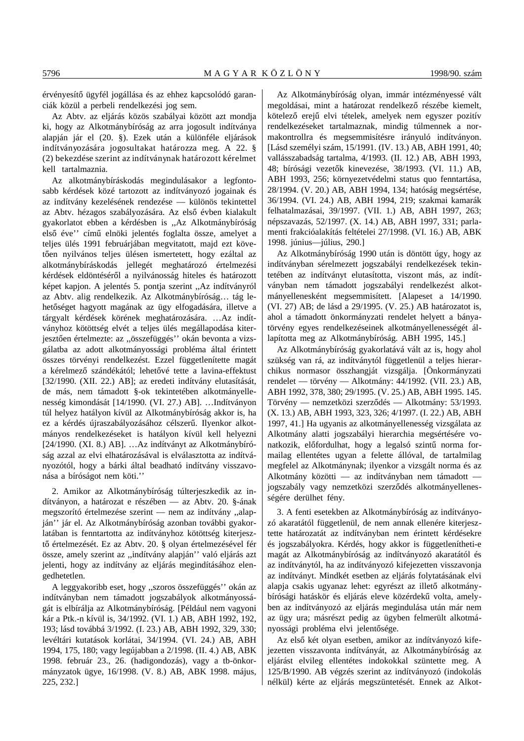érvényesítő ügyfél jogállása és az ehhez kapcsolódó garanciák közül a perbeli rendelkezési jog sem.

Az Abtv. az eljárás közös szabályai között azt mondja ki, hogy az Alkotmánybíróság az arra jogosult indítványa alapján jár el (20. §). Ezek után a különféle eljárások indítványozására jogosultakat határozza meg. A 22. § (2) bekezdése szerint az indítványnak határozott kérelmet kell tartalmaznia.

Az alkotmánybíráskodás megindulásakor a legfontosabb kérdések közé tartozott az indítványozó jogainak és az indítvány kezelésének rendezése — különös tekintettel az Abtv. hézagos szabályozására. Az első évben kialakult gyakorlatot ebben a kérdésben is ,,Az Alkotmánybíróság első éve" című elnöki jelentés foglalta össze, amelyet a teljes ülés 1991 februárjában megvitatott, majd ezt követően nyilvános teljes ülésen ismertetett, hogy ezáltal az alkotmánybíráskodás jellegét meghatározó értelmezési kérdések eldöntéséről a nyilvánosság hiteles és határozott képet kapjon. A jelentés 5. pontja szerint ,,Az indítványról az Abtv. alig rendelkezik. Az Alkotmánybíróság… tág lehetőséget hagyott magának az ügy elfogadására, illetve a tárgyalt kérdések körének meghatározására. …Az indítványhoz kötöttség elvét a teljes ülés megállapodása kiterjesztően értelmezte: az "összefüggés" okán bevonta a vizsgálatba az adott alkotmányossági probléma által érintett összes törvényi rendelkezést. Ezzel függetlenítette magát a kérelmező szándékától; lehetővé tette a lavina-effektust [32/1990. (XII. 22.) AB]; az eredeti indítvány elutasítását, de más, nem támadott §-ok tekintetében alkotmányellenesség kimondását [14/1990. (VI. 27.) AB]. …Indítványon túl helyez hatályon kívül az Alkotmánybíróság akkor is, ha ez a kérdés újraszabályozásához célszerű. Ilyenkor alkotmányos rendelkezéseket is hatályon kívül kell helyezni [24/1990. (XI. 8.) AB]. …Az indítványt az Alkotmánybíróság azzal az elvi elhatározásával is elválasztotta az indítványozótól, hogy a bárki által beadható indítvány visszavonása a bíróságot nem köti.''

2. Amikor az Alkotmánybíróság túlterjeszkedik az indítványon, a határozat e részében — az Abtv. 20. §-ának megszorító értelmezése szerint — nem az indítvány ,,alapján'' jár el. Az Alkotmánybíróság azonban további gyakorlatában is fenntartotta az indítványhoz kötöttség kiterjesztő értelmezését. Ez az Abtv. 20. § olyan értelmezésével fér össze, amely szerint az ,,indítvány alapján'' való eljárás azt jelenti, hogy az indítvány az eljárás megindításához elengedhetetlen.

A leggyakoribb eset, hogy ,,szoros összefüggés'' okán az indítványban nem támadott jogszabályok alkotmányosságát is elbírálja az Alkotmánybíróság. [Például nem vagyoni kár a Ptk.-n kívül is, 34/1992. (VI. 1.) AB, ABH 1992, 192, 193; lásd továbbá 3/1992. (I. 23.) AB, ABH 1992, 329, 330; levéltári kutatások korlátai, 34/1994. (VI. 24.) AB, ABH 1994, 175, 180; vagy legújabban a 2/1998. (II. 4.) AB, ABK 1998. február 23., 26. (hadigondozás), vagy a tb-önkormányzatok ügye, 16/1998. (V. 8.) AB, ABK 1998. május, 225, 232.]

Az Alkotmánybíróság olyan, immár intézményessé vált megoldásai, mint a határozat rendelkező részébe kiemelt, kötelező erejű elvi tételek, amelyek nem egyszer pozitív rendelkezéseket tartalmaznak, mindig túlmennek a normakontrollra és megsemmisítésre irányuló indítványon. [Lásd személyi szám, 15/1991. (IV. 13.) AB, ABH 1991, 40; vallásszabadság tartalma, 4/1993. (II. 12.) AB, ABH 1993, 48; bírósági vezetők kinevezése, 38/1993. (VI. 11.) AB, ABH 1993, 256; környezetvédelmi status quo fenntartása, 28/1994. (V. 20.) AB, ABH 1994, 134; hatóság megsértése, 36/1994. (VI. 24.) AB, ABH 1994, 219; szakmai kamarák felhatalmazásai, 39/1997. (VII. 1.) AB, ABH 1997, 263; népszavazás, 52/1997. (X. 14.) AB, ABH 1997, 331; parlamenti frakcióalakítás feltételei 27/1998. (VI. 16.) AB, ABK 1998. június—július, 290.]

Az Alkotmánybíróság 1990 után is döntött úgy, hogy az indítványban sérelmezett jogszabályi rendelkezések tekintetében az indítványt elutasította, viszont más, az indítványban nem támadott jogszabályi rendelkezést alkotmányellenesként megsemmisített. [Alapeset a 14/1990. (VI. 27) AB; de lásd a 29/1995. (V. 25.) AB határozatot is, ahol a támadott önkormányzati rendelet helyett a bányatörvény egyes rendelkezéseinek alkotmányellenességét állapította meg az Alkotmánybíróság. ABH 1995, 145.]

Az Alkotmánybíróság gyakorlatává vált az is, hogy ahol szükség van rá, az indítványtól függetlenül a teljes hierarchikus normasor összhangját vizsgálja. [Önkormányzati rendelet — törvény — Alkotmány: 44/1992. (VII. 23.) AB, ABH 1992, 378, 380; 29/1995. (V. 25.) AB, ABH 1995. 145. Törvény — nemzetközi szerződés — Alkotmány: 53/1993. (X. 13.) AB, ABH 1993, 323, 326; 4/1997. (I. 22.) AB, ABH 1997, 41.] Ha ugyanis az alkotmányellenesség vizsgálata az Alkotmány alatti jogszabályi hierarchia megsértésére vonatkozik, előfordulhat, hogy a legalsó szintű norma formailag ellentétes ugyan a felette állóval, de tartalmilag megfelel az Alkotmánynak; ilyenkor a vizsgált norma és az Alkotmány közötti — az indítványban nem támadott jogszabály vagy nemzetközi szerződés alkotmányellenességére derülhet fény.

3. A fenti esetekben az Alkotmánybíróság az indítványozó akaratától függetlenül, de nem annak ellenére kiterjesztette határozatát az indítványban nem érintett kérdésekre és jogszabályokra. Kérdés, hogy akkor is függetlenítheti-e magát az Alkotmánybíróság az indítványozó akaratától és az indítványtól, ha az indítványozó kifejezetten visszavonja az indítványt. Mindkét esetben az eljárás folytatásának elvi alapja csakis ugyanaz lehet: egyrészt az illető alkotmánybírósági hatáskör és eljárás eleve közérdekű volta, amelyben az indítványozó az eljárás megindulása után már nem az ügy ura; másrészt pedig az ügyben felmerült alkotmányossági probléma elvi jelentősége.

Az első két olyan esetben, amikor az indítványozó kifejezetten visszavonta indítványát, az Alkotmánybíróság az eljárást elvileg ellentétes indokokkal szüntette meg. A 125/B/1990. AB végzés szerint az indítványozó (indokolás nélkül) kérte az eljárás megszüntetését. Ennek az Alkot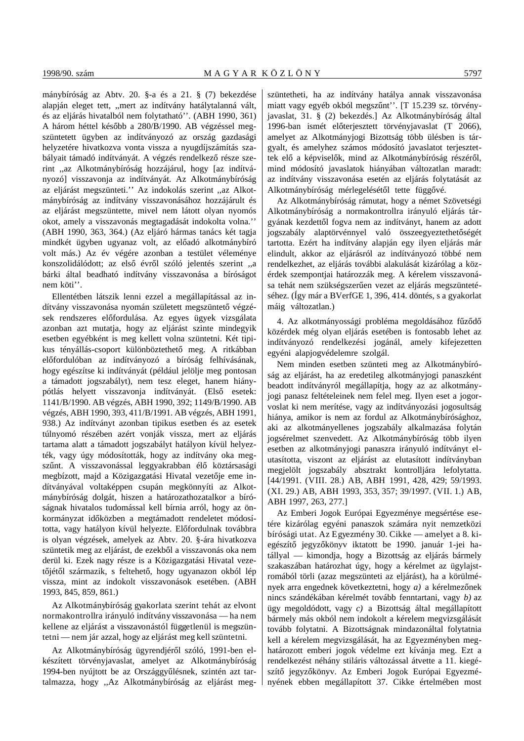mánybíróság az Abtv. 20. §-a és a 21. § (7) bekezdése alapján eleget tett, ,,mert az indítvány hatálytalanná vált, és az eljárás hivatalból nem folytatható''. (ABH 1990, 361) A három héttel később a 280/B/1990. AB végzéssel megszüntetett ügyben az indítványozó az ország gazdasági helyzetére hivatkozva vonta vissza a nyugdíjszámítás szabályait támadó indítványát. A végzés rendelkező része szerint ,,az Alkotmánybíróság hozzájárul, hogy [az indítványozó] visszavonja az indítványát. Az Alkotmánybíróság az eljárást megszünteti.'' Az indokolás szerint ,,az Alkotmánybíróság az indítvány visszavonásához hozzájárult és az eljárást megszüntette, mivel nem látott olyan nyomós okot, amely a visszavonás megtagadását indokolta volna.'' (ABH 1990, 363, 364.) (Az eljáró hármas tanács két tagja mindkét ügyben ugyanaz volt, az előadó alkotmánybíró volt más.) Az év végére azonban a testület véleménye konszolidálódott; az első évről szóló jelentés szerint "a bárki által beadható indítvány visszavonása a bíróságot nem köti''.

Ellentétben látszik lenni ezzel a megállapítással az indítvány visszavonása nyomán született megszüntető végzések rendszeres előfordulása. Az egyes ügyek vizsgálata azonban azt mutatja, hogy az eljárást szinte mindegyik esetben egyébként is meg kellett volna szüntetni. Két tipikus tényállás-csoport különböztethető meg. A ritkábban előfordulóban az indítványozó a bíróság felhívásának, hogy egészítse ki indítványát (például jelölje meg pontosan a támadott jogszabályt), nem tesz eleget, hanem hiánypótlás helyett visszavonja indítványát. (Első esetek: 1141/B/1990. AB végzés, ABH 1990, 392; 1149/B/1990. AB végzés, ABH 1990, 393, 411/B/1991. AB végzés, ABH 1991, 938.) Az indítványt azonban tipikus esetben és az esetek túlnyomó részében azért vonják vissza, mert az eljárás tartama alatt a támadott jogszabályt hatályon kívül helyezték, vagy úgy módosították, hogy az indítvány oka megszűnt. A visszavonással leggyakrabban élő köztársasági megbízott, majd a Közigazgatási Hivatal vezetője eme indítványával voltaképpen csupán megkönnyíti az Alkotmánybíróság dolgát, hiszen a határozathozatalkor a bíróságnak hivatalos tudomással kell bírnia arról, hogy az önkormányzat időközben a megtámadott rendeletet módosította, vagy hatályon kívül helyezte. Előfordulnak továbbra is olyan végzések, amelyek az Abtv. 20. §-ára hivatkozva szüntetik meg az eljárást, de ezekből a visszavonás oka nem derül ki. Ezek nagy része is a Közigazgatási Hivatal vezetőjétől származik, s feltehető, hogy ugyanazon okból lép vissza, mint az indokolt visszavonások esetében. (ABH 1993, 845, 859, 861.)

Az Alkotmánybíróság gyakorlata szerint tehát az elvont normakontrollra irányuló indítvány visszavonása — ha nem kellene az eljárást a visszavonástól függetlenül is megszüntetni — nem jár azzal, hogy az eljárást meg kell szüntetni.

Az Alkotmánybíróság ügyrendjéről szóló, 1991-ben elkészített törvényjavaslat, amelyet az Alkotmánybíróság 1994-ben nyújtott be az Országgyűlésnek, szintén azt tartalmazza, hogy ,,Az Alkotmánybíróság az eljárást megszüntetheti, ha az indítvány hatálya annak visszavonása miatt vagy egyéb okból megszűnt''. [T 15.239 sz. törvényjavaslat, 31. § (2) bekezdés.] Az Alkotmánybíróság által 1996-ban ismét előterjesztett törvényjavaslat (T 2066), amelyet az Alkotmányjogi Bizottság több ülésben is tárgyalt, és amelyhez számos módosító javaslatot terjesztettek elő a képviselők, mind az Alkotmánybíróság részéről, mind módosító javaslatok hiányában változatlan maradt: az indítvány visszavonása esetén az eljárás folytatását az Alkotmánybíróság mérlegelésétől tette függővé.

Az Alkotmánybíróság rámutat, hogy a német Szövetségi Alkotmánybíróság a normakontrollra irányuló eljárás tárgyának kezdettől fogva nem az indítványt, hanem az adott jogszabály alaptörvénnyel való összeegyeztethetőségét tartotta. Ezért ha indítvány alapján egy ilyen eljárás már elindult, akkor az eljárásról az indítványozó többé nem rendelkezhet, az eljárás további alakulását kizárólag a közérdek szempontjai határozzák meg. A kérelem visszavonása tehát nem szükségszerűen vezet az eljárás megszüntetéséhez. (Így már a BVerfGE 1, 396, 414. döntés, s a gyakorlat máig változatlan.)

4. Az alkotmányossági probléma megoldásához fűződő közérdek még olyan eljárás esetében is fontosabb lehet az indítványozó rendelkezési jogánál, amely kifejezetten egyéni alapjogvédelemre szolgál.

Nem minden esetben szünteti meg az Alkotmánybíróság az eljárást, ha az eredetileg alkotmányjogi panaszként beadott indítványról megállapítja, hogy az az alkotmányjogi panasz feltételeinek nem felel meg. Ilyen eset a jogorvoslat ki nem merítése, vagy az indítványozási jogosultság hiánya, amikor is nem az fordul az Alkotmánybírósághoz, aki az alkotmányellenes jogszabály alkalmazása folytán jogsérelmet szenvedett. Az Alkotmánybíróság több ilyen esetben az alkotmányjogi panaszra irányuló indítványt elutasította, viszont az eljárást az elutasított indítványban megjelölt jogszabály absztrakt kontrolljára lefolytatta. [44/1991. (VIII. 28.) AB, ABH 1991, 428, 429; 59/1993. (XI. 29.) AB, ABH 1993, 353, 357; 39/1997. (VII. 1.) AB, ABH 1997, 263, 277.]

Az Emberi Jogok Európai Egyezménye megsértése esetére kizárólag egyéni panaszok számára nyit nemzetközi bírósági utat. Az Egyezmény 30. Cikke — amelyet a 8. kiegészítő jegyzőkönyv iktatott be 1990. január 1-jei hatállyal — kimondja, hogy a Bizottság az eljárás bármely szakaszában határozhat úgy, hogy a kérelmet az ügylajstromából törli (azaz megszünteti az eljárást), ha a körülmények arra engednek következtetni, hogy *a*) a kérelmezőnek nincs szándékában kérelmét tovább fenntartani, vagy *b)* az ügy megoldódott, vagy *c)* a Bizottság által megállapított bármely más okból nem indokolt a kérelem megvizsgálását tovább folytatni. A Bizottságnak mindazonáltal folytatnia kell a kérelem megvizsgálását, ha az Egyezményben meghatározott emberi jogok védelme ezt kívánja meg. Ezt a rendelkezést néhány stiláris változással átvette a 11. kiegészítő jegyzőkönyv. Az Emberi Jogok Európai Egyezményének ebben megállapított 37. Cikke értelmében most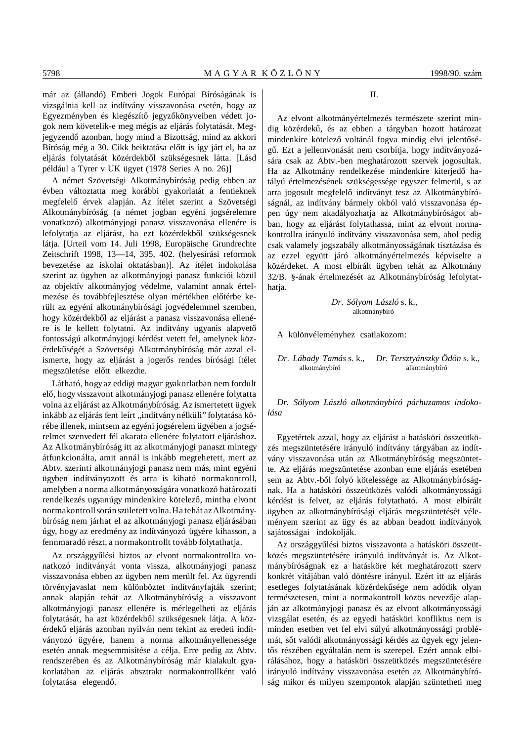már az (állandó) Emberi Jogok Európai Bíróságának is vizsgálnia kell az indítvány visszavonása esetén, hogy az Egyezményben és kiegészítő jegyzőkönyveiben védett jogok nem követelik-e meg mégis az eljárás folytatását. Megjegyzendő azonban, hogy mind a Bizottság, mind az akkori Bíróság még a 30. Cikk beiktatása előtt is így járt el, ha az eljárás folytatását közérdekből szükségesnek látta. [Lásd például a Tyrer v UK ügyet (1978 Series A no. 26)]

A német Szövetségi Alkotmánybíróság pedig ebben az évben változtatta meg korábbi gyakorlatát a fentieknek megfelelő érvek alapján. Az ítélet szerint a Szövetségi Alkotmánybíróság (a német jogban egyéni jogsérelemre vonatkozó) alkotmányjogi panasz visszavonása ellenére is lefolytatja az eljárást, ha ezt közérdekből szükségesnek látja. [Urteil vom 14. Juli 1998, Europäische Grundrechte Zeitschrift 1998, 13—14, 395, 402. (helyesírási reformok bevezetése az iskolai oktatásban)]. Az ítélet indokolása szerint az ügyben az alkotmányjogi panasz funkciói közül az objektív alkotmányjog védelme, valamint annak értelmezése és továbbfejlesztése olyan mértékben előtérbe került az egyéni alkotmánybírósági jogvédelemmel szemben, hogy közérdekből az eljárást a panasz visszavonása ellenére is le kellett folytatni. Az indítvány ugyanis alapvető fontosságú alkotmányjogi kérdést vetett fel, amelynek közérdekűségét a Szövetségi Alkotmánybíróság már azzal elismerte, hogy az eljárást a jogerős rendes bírósági ítélet megszületése előtt elkezdte.

Látható, hogy az eddigi magyar gyakorlatban nem fordult elő, hogy visszavont alkotmányjogi panasz ellenére folytatta volna az eljárást az Alkotmánybíróság. Az ismertetett ügyek inkább az eljárás fent leírt ,,indítvány nélküli'' folytatása körébe illenek, mintsem az egyéni jogsérelem ügyében a jogsérelmet szenvedett fél akarata ellenére folytatott eljáráshoz. Az Alkotmánybíróság itt az alkotmányjogi panaszt mintegy átfunkcionálta, amit annál is inkább megtehetett, mert az Abtv. szerinti alkotmányjogi panasz nem más, mint egyéni ügyben indítványozott és arra is kiható normakontroll, amelyben a norma alkotmányosságára vonatkozó határozati rendelkezés ugyanúgy mindenkire kötelező, mintha elvont normakontroll során született volna. Ha tehát az Alkotmánybíróság nem járhat el az alkotmányjogi panasz eljárásában úgy, hogy az eredmény az indítványozó ügyére kihasson, a fennmaradó részt, a normakontrollt tovább folytathatja.

Az országgyűlési biztos az elvont normakontrollra vonatkozó indítványát vonta vissza, alkotmányjogi panasz visszavonása ebben az ügyben nem merült fel. Az ügyrendi törvényjavaslat nem különböztet indítványfajták szerint; annak alapján tehát az Alkotmánybíróság a visszavont alkotmányjogi panasz ellenére is mérlegelheti az eljárás folytatását, ha azt közérdekből szükségesnek látja. A közérdekű eljárás azonban nyilván nem tekint az eredeti indítványozó ügyére, hanem a norma alkotmányellenessége esetén annak megsemmisítése a célja. Erre pedig az Abtv. rendszerében és az Alkotmánybíróság már kialakult gyakorlatában az eljárás absztrakt normakontrollként való folytatása elegendő.

#### $II$ .

Az elvont alkotmányértelmezés természete szerint mindig közérdekű, és az ebben a tárgyban hozott határozat mindenkire kötelező voltánál fogva mindig elvi jelentőségű. Ezt a jellemvonását nem csorbítja, hogy indítványozására csak az Abtv.-ben meghatározott szervek jogosultak. Ha az Alkotmány rendelkezése mindenkire kiterjedő hatályú értelmezésének szükségessége egyszer felmerül, s az arra jogosult megfelelő indítványt tesz az Alkotmánybíróságnál, az indítvány bármely okból való visszavonása éppen úgy nem akadályozhatja az Alkotmánybíróságot abban, hogy az eljárást folytathassa, mint az elvont normakontrollra irányuló indítvány visszavonása sem, ahol pedig csak valamely jogszabály alkotmányosságának tisztázása és az ezzel együtt járó alkotmányértelmezés képviselte a közérdeket. A most elbírált ügyben tehát az Alkotmány 32/B. §-ának értelmezését az Alkotmánybíróság lefolytathatia

> *Dr. Sólyom László* s. k., alkotmánybíró

A különvéleményhez csatlakozom:

*Dr. Lábady Tamás* s. k., *Dr. Tersztyánszky Ödön* s. k., alkotmánybíró alkotmánybíró

*Dr. Sólyom László alkotmánybíró párhuzamos indokolása*

Egyetértek azzal, hogy az eljárást a hatásköri összeütközés megszüntetésére irányuló indítvány tárgyában az indítvány visszavonása után az Alkotmánybíróság megszüntette. Az eljárás megszüntetése azonban eme eljárás esetében sem az Abtv.-ből folyó kötelessége az Alkotmánybíróságnak. Ha a hatásköri összeütközés valódi alkotmányossági kérdést is felvet, az eljárás folytatható. A most elbírált ügyben az alkotmánybírósági eljárás megszüntetését véleményem szerint az ügy és az abban beadott indítványok sajátosságai indokolják.

Az országgyűlési biztos visszavonta a hatásköri összeütközés megszüntetésére irányuló indítványát is. Az Alkotmánybíróságnak ez a hatásköre két meghatározott szerv konkrét vitájában való döntésre irányul. Ezért itt az eljárás esetleges folytatásának közérdekűsége nem adódik olyan természetesen, mint a normakontroll közös nevezője alapján az alkotmányjogi panasz és az elvont alkotmányossági vizsgálat esetén, és az egyedi hatásköri konfliktus nem is minden esetben vet fel elvi súlyú alkotmányossági problémát, sőt valódi alkotmányossági kérdés az ügyek egy jelentős részében egyáltalán nem is szerepel. Ezért annak elbírálásához, hogy a hatásköri összeütközés megszüntetésére irányuló indítvány visszavonása esetén az Alkotmánybíróság mikor és milyen szempontok alapján szüntetheti meg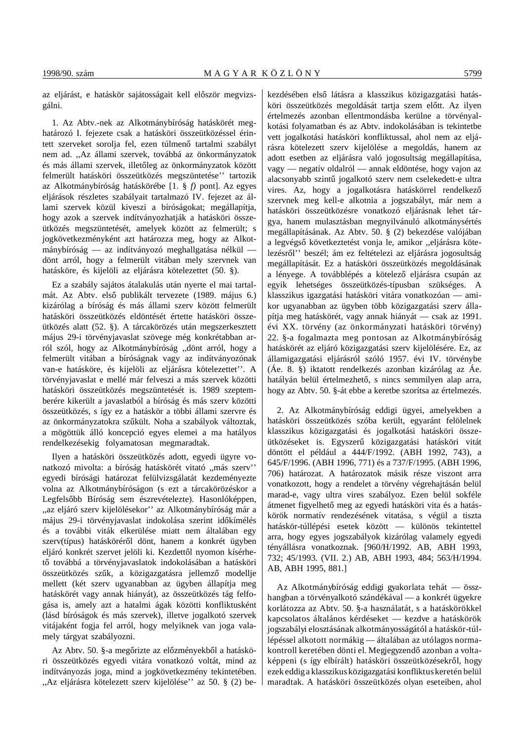az eljárást, e hatáskör sajátosságait kell először megvizsgálni.

1. Az Abtv.-nek az Alkotmánybíróság hatáskörét meghatározó I. fejezete csak a hatásköri összeütközéssel érintett szerveket sorolja fel, ezen túlmenő tartalmi szabályt nem ad. ,,Az állami szervek, továbbá az önkormányzatok és más állami szervek, illetőleg az önkormányzatok között felmerült hatásköri összeütközés megszüntetése'' tartozik az Alkotmánybíróság hatáskörébe [1. § *f)* pont]. Az egyes eljárások részletes szabályait tartalmazó IV. fejezet az állami szervek közül kiveszi a bíróságokat; megállapítja, hogy azok a szervek indítványozhatják a hatásköri összeütközés megszüntetését, amelyek között az felmerült; s jogkövetkezményként azt határozza meg, hogy az Alkotmánybíróság — az indítványozó meghallgatása nélkül dönt arról, hogy a felmerült vitában mely szervnek van hatásköre, és kijelöli az eljárásra kötelezettet (50. §).

Ez a szabály sajátos átalakulás után nyerte el mai tartalmát. Az Abtv. első publikált tervezete (1989. május 6.) kizárólag a bíróság és más állami szerv között felmerült hatásköri összeütközés eldöntését értette hatásköri összeütközés alatt (52. §). A tárcakörözés után megszerkesztett május 29-i törvényjavaslat szövege még konkrétabban arról szól, hogy az Alkotmánybíróság ,,dönt arról, hogy a felmerült vitában a bíróságnak vagy az indítványozónak van-e hatásköre, és kijelöli az eljárásra kötelezettet''. A törvényjavaslat e mellé már felveszi a más szervek közötti hatásköri összeütközés megszüntetését is. 1989 szeptemberére kikerült a javaslatból a bíróság és más szerv közötti összeütközés, s így ez a hatáskör a többi állami szervre és az önkormányzatokra szűkült. Noha a szabályok változtak, a mögöttük álló koncepció egyes elemei a ma hatályos rendelkezésekig folyamatosan megmaradtak.

Ilyen a hatásköri összeütközés adott, egyedi ügyre vonatkozó mivolta: a bíróság hatáskörét vitató ,,más szerv'' egyedi bírósági határozat felülvizsgálatát kezdeményezte volna az Alkotmánybíróságon (s ezt a tárcakörözéskor a Legfelsőbb Bíróság sem észrevételezte). Hasonlóképpen, ,,az eljáró szerv kijelölésekor'' az Alkotmánybíróság már a május 29-i törvényjavaslat indokolása szerint időkímélés és a további viták elkerülése miatt nem általában egy szerv(típus) hatásköréről dönt, hanem a konkrét ügyben eljáró konkrét szervet jelöli ki. Kezdettől nyomon kísérhető továbbá a törvényjavaslatok indokolásában a hatásköri összeütközés szűk, a közigazgatásra jellemző modellje mellett (két szerv ugyanabban az ügyben állapítja meg hatáskörét vagy annak hiányát), az összeütközés tág felfogása is, amely azt a hatalmi ágak közötti konfliktusként (lásd bíróságok és más szervek), illetve jogalkotó szervek vitájaként fogja fel arról, hogy melyiknek van joga valamely tárgyat szabályozni.

Az Abtv. 50. §-a megőrizte az előzményekből a hatásköri összeütközés egyedi vitára vonatkozó voltát, mind az indítványozás joga, mind a jogkövetkezmény tekintetében. ,,Az eljárásra kötelezett szerv kijelölése'' az 50. § (2) bekezdésében első látásra a klasszikus közigazgatási hatásköri összeütközés megoldását tartja szem előtt. Az ilyen értelmezés azonban ellentmondásba kerülne a törvényalkotási folyamatban és az Abtv. indokolásában is tekintetbe vett jogalkotási hatásköri konfliktussal, ahol nem az eljárásra kötelezett szerv kijelölése a megoldás, hanem az adott esetben az eljárásra való jogosultság megállapítása, vagy — negatív oldalról — annak eldöntése, hogy vajon az alacsonyabb szintű jogalkotó szerv nem cselekedett-e ultra vires. Az, hogy a jogalkotásra hatáskörrel rendelkező szervnek meg kell-e alkotnia a jogszabályt, már nem a hatásköri összeütközésre vonatkozó eljárásnak lehet tárgya, hanem mulasztásban megnyilvánuló alkotmánysértés megállapításának. Az Abtv. 50. § (2) bekezdése valójában a legvégső következtetést vonja le, amikor "eljárásra kötelezésről'' beszél; ám ez feltételezi az eljárásra jogosultság megállapítását. Ez a hatásköri összeütközés megoldásának a lényege. A továbblépés a kötelező eljárásra csupán az egyik lehetséges összeütközés-típusban szükséges. A klasszikus igazgatási hatásköri vitára vonatkozóan — amikor ugyanabban az ügyben több közigazgatási szerv állapítja meg hatáskörét, vagy annak hiányát — csak az 1991. évi XX. törvény (az önkormányzati hatásköri törvény) 22. §-a fogalmazta meg pontosan az Alkotmánybíróság hatáskörét az eljáró közigazgatási szerv kijelölésére. Ez, az államigazgatási eljárásról szóló 1957. évi IV. törvénybe (Áe. 8. §) iktatott rendelkezés azonban kizárólag az Áe. hatályán belül értelmezhető, s nincs semmilyen alap arra, hogy az Abtv. 50. §-át ebbe a keretbe szorítsa az értelmezés.

2. Az Alkotmánybíróság eddigi ügyei, amelyekben a hatásköri összeütközés szóba került, egyaránt felölelnek klasszikus közigazgatási és jogalkotási hatásköri összeütközéseket is. Egyszerű közigazgatási hatásköri vitát döntött el például a 444/F/1992. (ABH 1992, 743), a 645/F/1996. (ABH 1996, 771) és a 737/F/1995. (ABH 1996, 706) határozat. A határozatok másik része viszont arra vonatkozott, hogy a rendelet a törvény végrehajtásán belül marad-e, vagy ultra vires szabályoz. Ezen belül sokféle átmenet figyelhető meg az egyedi hatásköri vita és a hatáskörök normatív rendezésének vitatása, s végül a tiszta hatáskör-túllépési esetek között — különös tekintettel arra, hogy egyes jogszabályok kizárólag valamely egyedi tényállásra vonatkoznak. [960/H/1992. AB, ABH 1993, 732; 45/1993. (VII. 2.) AB, ABH 1993, 484; 563/H/1994. AB, ABH 1995, 881.]

Az Alkotmánybíróság eddigi gyakorlata tehát — összhangban a törvényalkotó szándékával — a konkrét ügyekre korlátozza az Abtv. 50. §-a használatát, s a hatáskörökkel kapcsolatos általános kérdéseket — kezdve a hatáskörök jogszabályi elosztásának alkotmányosságától a hatáskör-túllépéssel alkotott normákig — általában az utólagos normakontroll keretében dönti el. Megjegyzendő azonban a voltaképpeni (s így elbírált) hatásköri összeütközésekről, hogy ezek eddig a klasszikus közigazgatási konfliktus keretén belül maradtak. A hatásköri összeütközés olyan eseteiben, ahol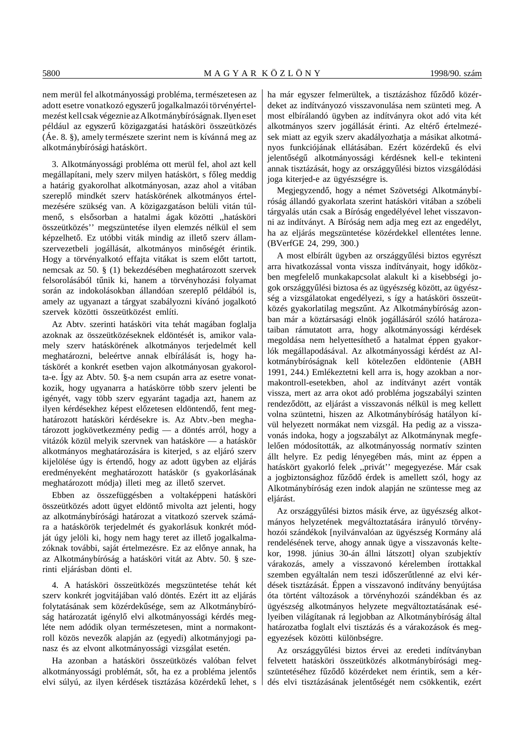nem merül fel alkotmányossági probléma, természetesen az adott esetre vonatkozó egyszerű jogalkalmazói törvényértelmezést kell csak végeznie az Alkotmánybíróságnak. Ilyen eset például az egyszerű közigazgatási hatásköri összeütközés (Áe. 8. §), amely természete szerint nem is kívánná meg az alkotmánybírósági hatáskört.

3. Alkotmányossági probléma ott merül fel, ahol azt kell megállapítani, mely szerv milyen hatáskört, s főleg meddig a határig gyakorolhat alkotmányosan, azaz ahol a vitában szereplő mindkét szerv hatáskörének alkotmányos értelmezésére szükség van. A közigazgatáson belüli vitán túlmenő, s elsősorban a hatalmi ágak közötti "hatásköri összeütközés'' megszüntetése ilyen elemzés nélkül el sem képzelhető. Ez utóbbi viták mindig az illető szerv államszervezetbeli jogállását, alkotmányos minőségét érintik. Hogy a törvényalkotó effajta vitákat is szem előtt tartott, nemcsak az 50. § (1) bekezdésében meghatározott szervek felsorolásából tűnik ki, hanem a törvényhozási folyamat során az indokolásokban állandóan szereplő példából is, amely az ugyanazt a tárgyat szabályozni kívánó jogalkotó szervek közötti összeütközést említi.

Az Abtv. szerinti hatásköri vita tehát magában foglalja azoknak az összeütközéseknek eldöntését is, amikor valamely szerv hatáskörének alkotmányos terjedelmét kell meghatározni, beleértve annak elbírálását is, hogy hatáskörét a konkrét esetben vajon alkotmányosan gyakorolta-e. Így az Abtv. 50. §-a nem csupán arra az esetre vonatkozik, hogy ugyanarra a hatáskörre több szerv jelenti be igényét, vagy több szerv egyaránt tagadja azt, hanem az ilyen kérdésekhez képest előzetesen eldöntendő, fent meghatározott hatásköri kérdésekre is. Az Abtv.-ben meghatározott jogkövetkezmény pedig — a döntés arról, hogy a vitázók közül melyik szervnek van hatásköre — a hatáskör alkotmányos meghatározására is kiterjed, s az eljáró szerv kijelölése úgy is értendő, hogy az adott ügyben az eljárás eredményeként meghatározott hatáskör (s gyakorlásának meghatározott módja) illeti meg az illető szervet.

Ebben az összefüggésben a voltaképpeni hatásköri összeütközés adott ügyet eldöntő mivolta azt jelenti, hogy az alkotmánybírósági határozat a vitatkozó szervek számára a hatáskörök terjedelmét és gyakorlásuk konkrét módját úgy jelöli ki, hogy nem hagy teret az illető jogalkalmazóknak további, saját értelmezésre. Ez az előnye annak, ha az Alkotmánybíróság a hatásköri vitát az Abtv. 50. § szerinti eljárásban dönti el.

4. A hatásköri összeütközés megszüntetése tehát két szerv konkrét jogvitájában való döntés. Ezért itt az eljárás folytatásának sem közérdekűsége, sem az Alkotmánybíróság határozatát igénylő elvi alkotmányossági kérdés megléte nem adódik olyan természetesen, mint a normakontroll közös nevezők alapján az (egyedi) alkotmányjogi panasz és az elvont alkotmányossági vizsgálat esetén.

Ha azonban a hatásköri összeütközés valóban felvet alkotmányossági problémát, sőt, ha ez a probléma jelentős elvi súlyú, az ilyen kérdések tisztázása közérdekű lehet, s ha már egyszer felmerültek, a tisztázáshoz fűződő közérdeket az indítványozó visszavonulása nem szünteti meg. A most elbírálandó ügyben az indítványra okot adó vita két alkotmányos szerv jogállását érinti. Az eltérő értelmezések miatt az egyik szerv akadályozhatja a másikat alkotmányos funkciójának ellátásában. Ezért közérdekű és elvi jelentőségű alkotmányossági kérdésnek kell-e tekinteni annak tisztázását, hogy az országgyűlési biztos vizsgálódási joga kiterjed-e az ügyészségre is.

Megjegyzendő, hogy a német Szövetségi Alkotmánybíróság állandó gyakorlata szerint hatásköri vitában a szóbeli tárgyalás után csak a Bíróság engedélyével lehet visszavonni az indítványt. A Bíróság nem adja meg ezt az engedélyt, ha az eljárás megszüntetése közérdekkel ellentétes lenne. (BVerfGE 24, 299, 300.)

A most elbírált ügyben az országgyűlési biztos egyrészt arra hivatkozással vonta vissza indítványait, hogy időközben megfelelő munkakapcsolat alakult ki a kisebbségi jogok országgyűlési biztosa és az ügyészség között, az ügyészség a vizsgálatokat engedélyezi, s így a hatásköri összeütközés gyakorlatilag megszűnt. Az Alkotmánybíróság azonban már a köztársasági elnök jogállásáról szóló határozataiban rámutatott arra, hogy alkotmányossági kérdések megoldása nem helyettesíthető a hatalmat éppen gyakorlók megállapodásával. Az alkotmányossági kérdést az Alkotmánybíróságnak kell kötelezően eldöntenie (ABH 1991, 244.) Emlékeztetni kell arra is, hogy azokban a normakontroll-esetekben, ahol az indítványt azért vonták vissza, mert az arra okot adó probléma jogszabályi szinten rendeződött, az eljárást a visszavonás nélkül is meg kellett volna szüntetni, hiszen az Alkotmánybíróság hatályon kívül helyezett normákat nem vizsgál. Ha pedig az a visszavonás indoka, hogy a jogszabályt az Alkotmánynak megfelelően módosították, az alkotmányosság normatív szinten állt helyre. Ez pedig lényegében más, mint az éppen a hatáskört gyakorló felek ,,privát'' megegyezése. Már csak a jogbiztonsághoz fűződő érdek is amellett szól, hogy az Alkotmánybíróság ezen indok alapján ne szüntesse meg az eljárást.

Az országgyűlési biztos másik érve, az ügyészség alkotmányos helyzetének megváltoztatására irányuló törvényhozói szándékok [nyilvánvalóan az ügyészség Kormány alá rendelésének terve, ahogy annak ügye a visszavonás keltekor, 1998. június 30-án állni látszott] olyan szubjektív várakozás, amely a visszavonó kérelemben írottakkal szemben egyáltalán nem teszi időszerűtlenné az elvi kérdések tisztázását. Éppen a visszavonó indítvány benyújtása óta történt változások a törvényhozói szándékban és az ügyészség alkotmányos helyzete megváltoztatásának esélyeiben világítanak rá legjobban az Alkotmánybíróság által határozatba foglalt elvi tisztázás és a várakozások és megegyezések közötti különbségre.

Az országgyűlési biztos érvei az eredeti indítványban felvetett hatásköri összeütközés alkotmánybírósági megszüntetéséhez fűződő közérdeket nem érintik, sem a kérdés elvi tisztázásának jelentőségét nem csökkentik, ezért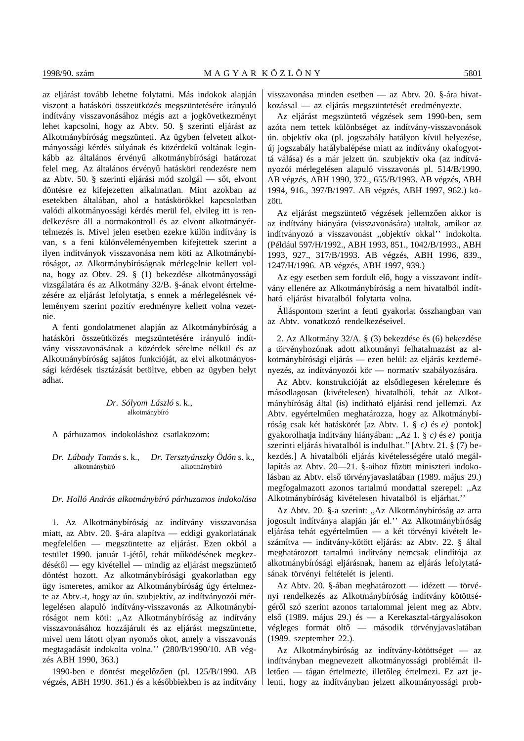az eljárást tovább lehetne folytatni. Más indokok alapján viszont a hatásköri összeütközés megszüntetésére irányuló indítvány visszavonásához mégis azt a jogkövetkezményt lehet kapcsolni, hogy az Abtv. 50. § szerinti eljárást az Alkotmánybíróság megszünteti. Az ügyben felvetett alkotmányossági kérdés súlyának és közérdekű voltának leginkább az általános érvényű alkotmánybírósági határozat felel meg. Az általános érvényű hatásköri rendezésre nem az Abtv. 50. § szerinti eljárási mód szolgál — sőt, elvont döntésre ez kifejezetten alkalmatlan. Mint azokban az esetekben általában, ahol a hatáskörökkel kapcsolatban valódi alkotmányossági kérdés merül fel, elvileg itt is rendelkezésre áll a normakontroll és az elvont alkotmányértelmezés is. Mivel jelen esetben ezekre külön indítvány is van, s a feni különvéleményemben kifejtettek szerint a ilyen indítványok visszavonása nem köti az Alkotmánybíróságot, az Alkotmánybíróságnak mérlegelnie kellett volna, hogy az Obtv. 29. § (1) bekezdése alkotmányossági vizsgálatára és az Alkotmány 32/B. §-ának elvont értelmezésére az eljárást lefolytatja, s ennek a mérlegelésnek véleményem szerint pozitív eredményre kellett volna vezetnie.

A fenti gondolatmenet alapján az Alkotmánybíróság a hatásköri összeütközés megszüntetésére irányuló indítvány visszavonásának a közérdek sérelme nélkül és az Alkotmánybíróság sajátos funkcióját, az elvi alkotmányossági kérdések tisztázását betöltve, ebben az ügyben helyt adhat.

> *Dr. Sólyom László* s. k., alkotmánybíró

A párhuzamos indokoláshoz csatlakozom:

*Dr. Lábady Tamás* s. k., *Dr. Tersztyánszky Ödön* s. k., alkotmánybíró alkotmánybíró

*Dr. Holló András alkotmánybíró párhuzamos indokolása*

1. Az Alkotmánybíróság az indítvány visszavonása miatt, az Abtv. 20. §-ára alapítva — eddigi gyakorlatának megfelelően — megszüntette az eljárást. Ezen okból a testület 1990. január 1-jétől, tehát működésének megkez $d$ ésétől — egy kivétellel — mindig az eljárást megszüntető döntést hozott. Az alkotmánybírósági gyakorlatban egy ügy ismeretes, amikor az Alkotmánybíróság úgy értelmezte az Abtv.-t, hogy az ún. szubjektív, az indítványozói mérlegelésen alapuló indítvány-visszavonás az Alkotmánybíróságot nem köti: ,,Az Alkotmánybíróság az indítvány visszavonásához hozzájárult és az eljárást megszüntette, mivel nem látott olyan nyomós okot, amely a visszavonás megtagadását indokolta volna.'' (280/B/1990/10. AB végzés ABH 1990, 363.)

1990-ben e döntést megelőzően (pl. 125/B/1990. AB végzés, ABH 1990. 361.) és a későbbiekben is az indítvány visszavonása minden esetben — az Abtv. 20. §-ára hivatkozással — az eljárás megszüntetését eredményezte.

Az eljárást megszüntető végzések sem 1990-ben, sem azóta nem tettek különbséget az indítvány-visszavonások ún. objektív oka (pl. jogszabály hatályon kívül helyezése, új jogszabály hatálybalépése miatt az indítvány okafogyottá válása) és a már jelzett ún. szubjektív oka (az indítványozói mérlegelésen alapuló visszavonás pl. 514/B/1990. AB végzés, ABH 1990, 372., 655/B/1993. AB végzés, ABH 1994, 916., 397/B/1997. AB végzés, ABH 1997, 962.) között.

Az eljárást megszüntető végzések jellemzően akkor is az indítvány hiányára (visszavonására) utaltak, amikor az indítványozó a visszavonást ,,objektív okkal'' indokolta. (Például 597/H/1992., ABH 1993, 851., 1042/B/1993., ABH 1993, 927., 317/B/1993. AB végzés, ABH 1996, 839., 1247/H/1996. AB végzés, ABH 1997, 939.)

Az egy esetben sem fordult elő, hogy a visszavont indítvány ellenére az Alkotmánybíróság a nem hivatalból indítható eljárást hivatalból folytatta volna.

Álláspontom szerint a fenti gyakorlat összhangban van az Abtv. vonatkozó rendelkezéseivel.

2. Az Alkotmány 32/A. § (3) bekezdése és (6) bekezdése a törvényhozónak adott alkotmányi felhatalmazást az alkotmánybírósági eljárás — ezen belül: az eljárás kezdeményezés, az indítványozói kör — normatív szabályozására.

Az Abtv. konstrukcióját az elsődlegesen kérelemre és másodlagosan (kivételesen) hivatalbóli, tehát az Alkotmánybíróság által (is) indítható eljárási rend jellemzi. Az Abtv. egyértelműen meghatározza, hogy az Alkotmánybíróság csak két hatáskörét [az Abtv. 1. § *c)* és *e)* pontok] gyakorolhatja indítvány hiányában: ,,Az 1. § *c)* és *e)* pontja szerinti eljárás hivatalból is indulhat.'' [Abtv. 21. § (7) bekezdés.] A hivatalbóli eljárás kivételességére utaló megállapítás az Abtv. 20—21. §-aihoz fűzött miniszteri indokolásban az Abtv. első törvényjavaslatában (1989. május 29.) megfogalmazott azonos tartalmú mondattal szerepel: ,,Az Alkotmánybíróság kivételesen hivatalból is eljárhat.''

Az Abtv. 20. §-a szerint: ,,Az Alkotmánybíróság az arra jogosult indítványa alapján jár el.'' Az Alkotmánybíróság eljárása tehát egyértelműen — a két törvényi kivételt leszámítva — indítvány-kötött eljárás: az Abtv. 22. § által meghatározott tartalmú indítvány nemcsak elindítója az alkotmánybírósági eljárásnak, hanem az eljárás lefolytatásának törvényi feltételét is jelenti.

Az Abtv. 20. §-ában meghatározott — idézett — törvényi rendelkezés az Alkotmánybíróság indítvány kötöttségéről szó szerint azonos tartalommal jelent meg az Abtv. első (1989. május 29.) és — a Kerekasztal-tárgyalásokon végleges formát öltő — második törvényjavaslatában (1989. szeptember 22.).

Az Alkotmánybíróság az indítvány-kötöttséget — az indítványban megnevezett alkotmányossági problémát illetően — tágan értelmezte, illetőleg értelmezi. Ez azt jelenti, hogy az indítványban jelzett alkotmányossági prob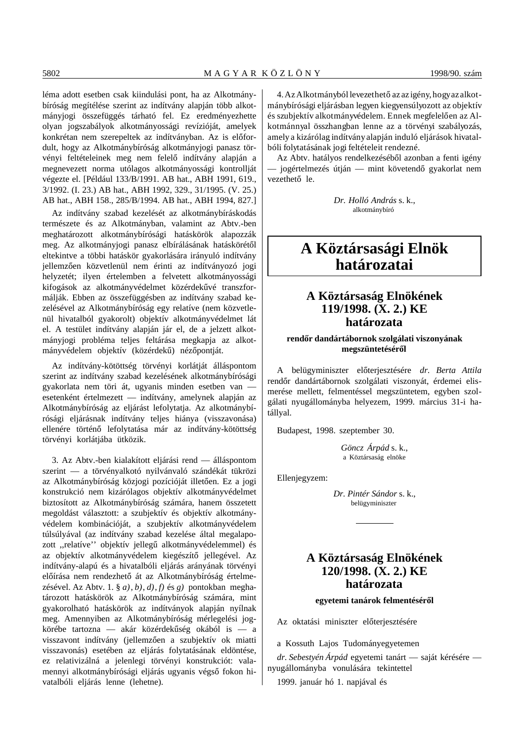léma adott esetben csak kiindulási pont, ha az Alkotmánybíróság megítélése szerint az indítvány alapján több alkotmányjogi összefüggés tárható fel. Ez eredményezhette olyan jogszabályok alkotmányossági revízióját, amelyek konkrétan nem szerepeltek az indítványban. Az is előfordult, hogy az Alkotmánybíróság alkotmányjogi panasz törvényi feltételeinek meg nem felelő indítvány alapján a megnevezett norma utólagos alkotmányossági kontrollját végezte el. [Például 133/B/1991. AB hat., ABH 1991, 619., 3/1992. (I. 23.) AB hat., ABH 1992, 329., 31/1995. (V. 25.) AB hat., ABH 158., 285/B/1994. AB hat., ABH 1994, 827.]

Az indítvány szabad kezelését az alkotmánybíráskodás természete és az Alkotmányban, valamint az Abtv.-ben meghatározott alkotmánybírósági hatáskörök alapozzák meg. Az alkotmányjogi panasz elbírálásának hatáskörétől eltekintve a többi hatáskör gyakorlására irányuló indítvány jellemzően közvetlenül nem érinti az indítványozó jogi helyzetét; ilyen értelemben a felvetett alkotmányossági kifogások az alkotmányvédelmet közérdekűvé transzformálják. Ebben az összefüggésben az indítvány szabad kezelésével az Alkotmánybíróság egy relatíve (nem közvetlenül hivatalból gyakorolt) objektív alkotmányvédelmet lát el. A testület indítvány alapján jár el, de a jelzett alkotmányjogi probléma teljes feltárása megkapja az alkotmányvédelem objektív (közérdekű) nézőpontját.

Az indítvány-kötöttség törvényi korlátját álláspontom szerint az indítvány szabad kezelésének alkotmánybírósági gyakorlata nem töri át, ugyanis minden esetben van esetenként értelmezett — indítvány, amelynek alapján az Alkotmánybíróság az eljárást lefolytatja. Az alkotmánybírósági eljárásnak indítvány teljes hiánya (visszavonása) ellenére történő lefolytatása már az indítvány-kötöttség törvényi korlátjába ütközik.

3. Az Abtv.-ben kialakított eljárási rend — álláspontom szerint — a törvényalkotó nyilvánvaló szándékát tükrözi az Alkotmánybíróság közjogi pozícióját illetően. Ez a jogi konstrukció nem kizárólagos objektív alkotmányvédelmet biztosított az Alkotmánybíróság számára, hanem összetett megoldást választott: a szubjektív és objektív alkotmányvédelem kombinációját, a szubjektív alkotmányvédelem túlsúlyával (az indítvány szabad kezelése által megalapozott "relatíve" objektív jellegű alkotmányvédelemmel) és az objektív alkotmányvédelem kiegészítő jellegével. Az indítvány-alapú és a hivatalbóli eljárás arányának törvényi előírása nem rendezhető át az Alkotmánybíróság értelmezésével. Az Abtv. 1. § *a)*, *b)*, *d)*, *f)* és *g)* pontokban meghatározott hatáskörök az Alkotmánybíróság számára, mint gyakorolható hatáskörök az indítványok alapján nyílnak meg. Amennyiben az Alkotmánybíróság mérlegelési jogkörébe tartozna — akár közérdekűség okából is — a visszavont indítvány (jellemzően a szubjektív ok miatti visszavonás) esetében az eljárás folytatásának eldöntése, ez relativizálná a jelenlegi törvényi konstrukciót: valamennyi alkotmánybírósági eljárás ugyanis végső fokon hivatalbóli eljárás lenne (lehetne).

4. Az Alkotmányból levezethető az az igény, hogy az alkotmánybírósági eljárásban legyen kiegyensúlyozott az objektív és szubjektív alkotmányvédelem. Ennek megfelelően az Alkotmánnyal összhangban lenne az a törvényi szabályozás, amely a kizárólag indítvány alapján induló eljárások hivatalbóli folytatásának jogi feltételeit rendezné.

Az Abtv. hatályos rendelkezéséből azonban a fenti igény - jogértelmezés útján — mint követendő gyakorlat nem vezethető le.

> *Dr. Holló András* s. k., alkotmánybíró

# **A Köztársasági Elnök határozatai**

# **A Köztársaság Elnökének 119/1998. (X. 2.) KE határozata**

# **rend´´or dandártábornok szolgálati viszonyának** megszüntetéséről

A belügyminiszter előterjesztésére dr. Berta Attila rendőr dandártábornok szolgálati viszonyát, érdemei elismerése mellett, felmentéssel megszüntetem, egyben szolgálati nyugállományba helyezem, 1999. március 31-i hatállyal.

Budapest, 1998. szeptember 30.

*Göncz Árpád* s. k., a Köztársaság elnöke

Ellenjegyzem:

*Dr. Pintér Sándor* s. k., belügyminiszter

# **A Köztársaság Elnökének 120/1998. (X. 2.) KE határozata**

# **egyetemi tanárok felmentéséről**

Az oktatási miniszter előterjesztésére

a Kossuth Lajos Tudományegyetemen

*dr. Sebestyén Árpád* egyetemi tanárt — saját kérésére nyugállományba vonulására tekintettel

1999. január hó 1. napjával és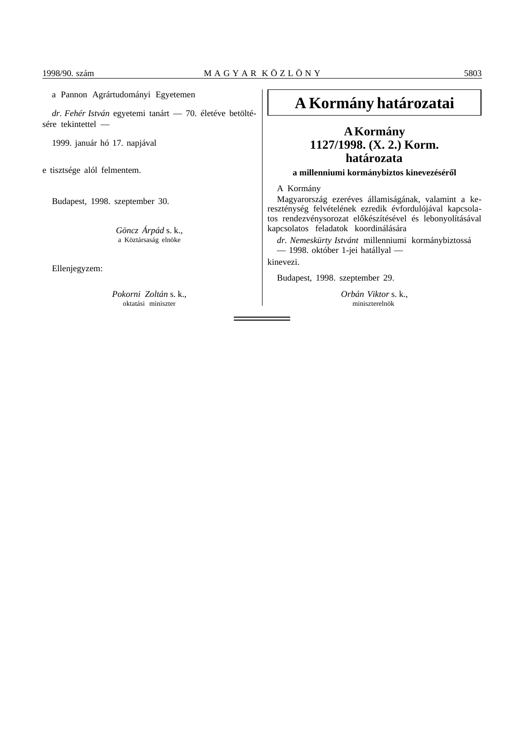# a Pannon Agrártudományi Egyetemen

*dr. Fehér István* egyetemi tanárt — 70. életéve betöltésére tekintettel —

1999. január hó 17. napjával

e tisztsége alól felmentem.

Budapest, 1998. szeptember 30.

*Göncz Árpád* s. k., a Köztársaság elnöke

Ellenjegyzem:

*Pokorni Zoltán* s. k., oktatási miniszter

# **A Kormány határozatai**

# **A Kormány 1127/1998. (X. 2.) Korm. határozata**

# a millenniumi kormánybiztos kinevezéséről

A Kormány

Magyarország ezeréves államiságának, valamint a kereszténység felvételének ezredik évfordulójával kapcsolatos rendezvénysorozat előkészítésével és lebonyolításával kapcsolatos feladatok koordinálására

*dr. Nemeskürty Istvánt* millenniumi kormánybiztossá — 1998. október 1-jei hatállyal —

kinevezi.

Budapest, 1998. szeptember 29.

*Orbán Viktor* s. k., miniszterelnök